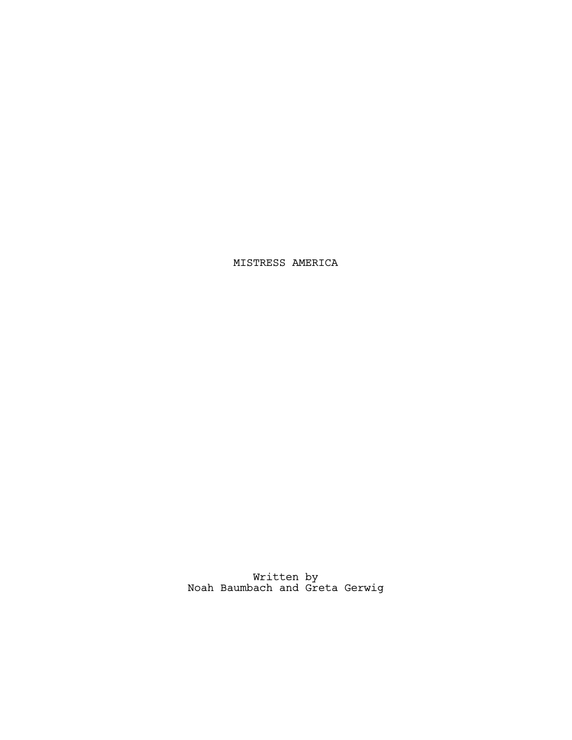MISTRESS AMERICA

Written by Noah Baumbach and Greta Gerwig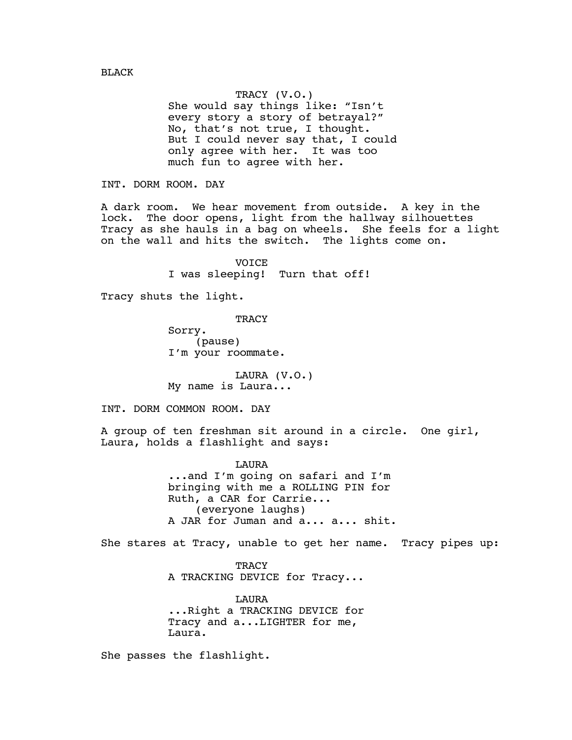TRACY (V.O.) She would say things like: "Isn't every story a story of betrayal?" No, that's not true, I thought. But I could never say that, I could only agree with her. It was too much fun to agree with her.

INT. DORM ROOM. DAY

A dark room. We hear movement from outside. A key in the lock. The door opens, light from the hallway silhouettes Tracy as she hauls in a bag on wheels. She feels for a light on the wall and hits the switch. The lights come on.

> VOICE I was sleeping! Turn that off!

Tracy shuts the light.

**TRACY** 

Sorry. (pause) I'm your roommate.

LAURA (V.O.) My name is Laura...

INT. DORM COMMON ROOM. DAY

A group of ten freshman sit around in a circle. One girl, Laura, holds a flashlight and says:

> LAURA ...and I'm going on safari and I'm bringing with me a ROLLING PIN for Ruth, a CAR for Carrie... (everyone laughs) A JAR for Juman and a... a... shit.

She stares at Tracy, unable to get her name. Tracy pipes up:

**TRACY** A TRACKING DEVICE for Tracy...

LAURA ...Right a TRACKING DEVICE for Tracy and a...LIGHTER for me, Laura.

She passes the flashlight.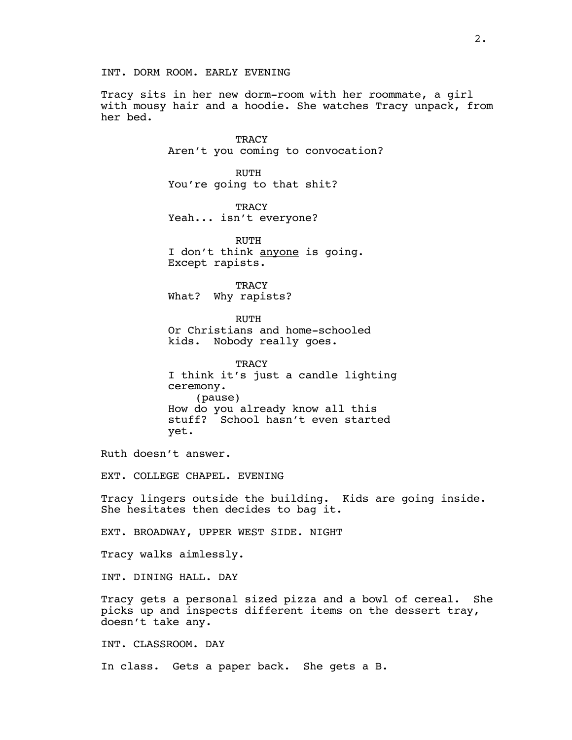Tracy sits in her new dorm-room with her roommate, a girl with mousy hair and a hoodie. She watches Tracy unpack, from her bed.

> **TRACY** Aren't you coming to convocation?

RUTH You're going to that shit?

**TRACY** Yeah... isn't everyone?

RUTH I don't think anyone is going. Except rapists.

**TRACY** What? Why rapists?

RUTH Or Christians and home-schooled kids. Nobody really goes.

**TRACY** I think it's just a candle lighting ceremony. (pause) How do you already know all this stuff? School hasn't even started yet.

Ruth doesn't answer.

EXT. COLLEGE CHAPEL. EVENING

Tracy lingers outside the building. Kids are going inside. She hesitates then decides to bag it.

EXT. BROADWAY, UPPER WEST SIDE. NIGHT

Tracy walks aimlessly.

INT. DINING HALL. DAY

Tracy gets a personal sized pizza and a bowl of cereal. She picks up and inspects different items on the dessert tray, doesn't take any.

INT. CLASSROOM. DAY

In class. Gets a paper back. She gets a B.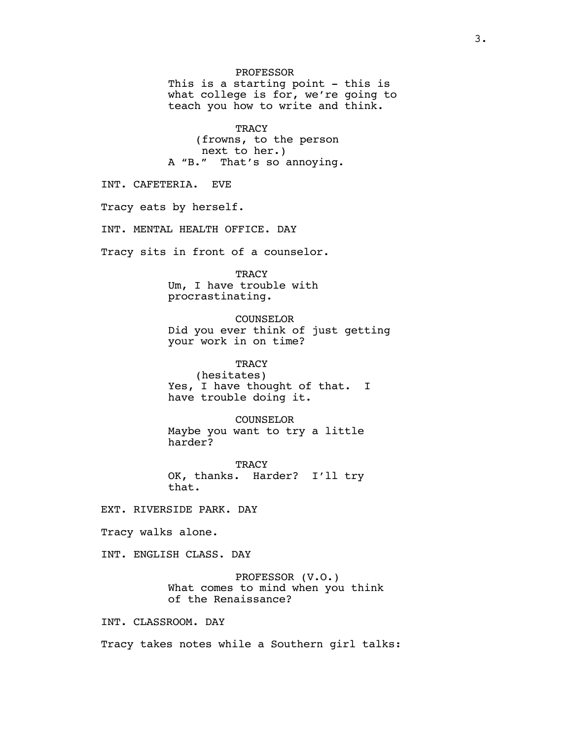PROFESSOR This is a starting point - this is what college is for, we're going to teach you how to write and think.

**TRACY** (frowns, to the person next to her.) A "B." That's so annoying.

INT. CAFETERIA. EVE

Tracy eats by herself.

INT. MENTAL HEALTH OFFICE. DAY

Tracy sits in front of a counselor.

**TRACY** Um, I have trouble with procrastinating.

COUNSELOR Did you ever think of just getting your work in on time?

**TRACY** (hesitates) Yes, I have thought of that. I have trouble doing it.

COUNSELOR Maybe you want to try a little harder?

**TRACY** OK, thanks. Harder? I'll try that.

EXT. RIVERSIDE PARK. DAY

Tracy walks alone.

INT. ENGLISH CLASS. DAY

PROFESSOR (V.O.) What comes to mind when you think of the Renaissance?

INT. CLASSROOM. DAY

Tracy takes notes while a Southern girl talks: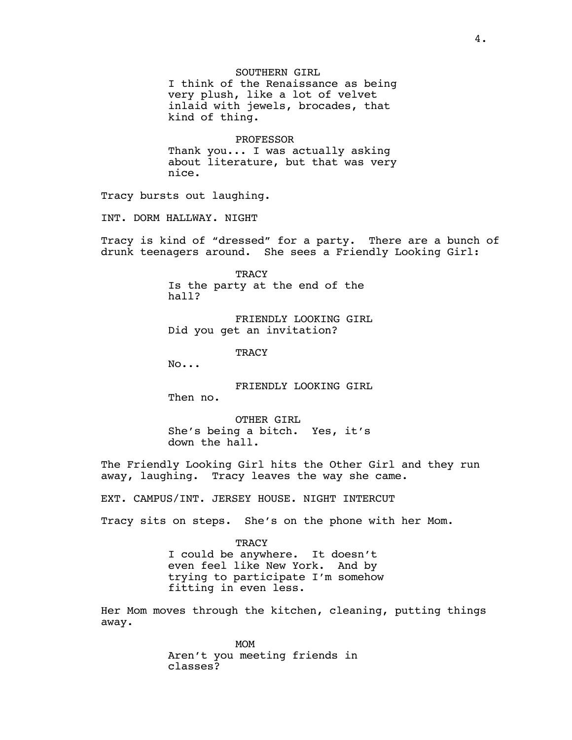SOUTHERN GIRL I think of the Renaissance as being very plush, like a lot of velvet inlaid with jewels, brocades, that kind of thing.

PROFESSOR Thank you... I was actually asking about literature, but that was very nice.

Tracy bursts out laughing.

INT. DORM HALLWAY. NIGHT

Tracy is kind of "dressed" for a party. There are a bunch of drunk teenagers around. She sees a Friendly Looking Girl:

> TRACY Is the party at the end of the hall?

FRIENDLY LOOKING GIRL Did you get an invitation?

TRACY

No...

FRIENDLY LOOKING GIRL

Then no.

OTHER GIRL She's being a bitch. Yes, it's down the hall.

The Friendly Looking Girl hits the Other Girl and they run away, laughing. Tracy leaves the way she came.

EXT. CAMPUS/INT. JERSEY HOUSE. NIGHT INTERCUT

Tracy sits on steps. She's on the phone with her Mom.

TRACY I could be anywhere. It doesn't even feel like New York. And by trying to participate I'm somehow fitting in even less.

Her Mom moves through the kitchen, cleaning, putting things away.

> MOM Aren't you meeting friends in classes?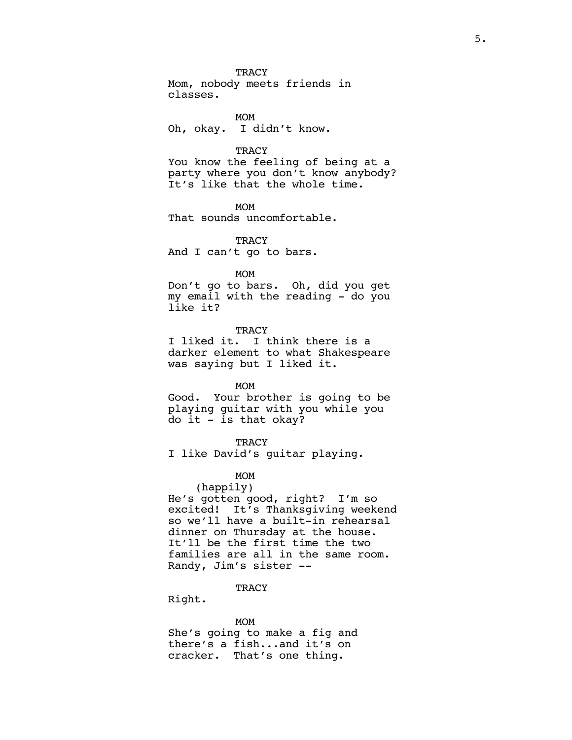Mom, nobody meets friends in classes.

MOM Oh, okay. I didn't know.

### **TRACY**

You know the feeling of being at a party where you don't know anybody? It's like that the whole time.

MOM

That sounds uncomfortable.

**TRACY** And I can't go to bars.

#### MOM

Don't go to bars. Oh, did you get my email with the reading - do you like it?

**TRACY** 

I liked it. I think there is a darker element to what Shakespeare was saying but I liked it.

MOM

Good. Your brother is going to be playing guitar with you while you do it - is that okay?

# **TRACY**

I like David's guitar playing.

#### MOM

(happily) He's gotten good, right? I'm so excited! It's Thanksgiving weekend so we'll have a built-in rehearsal dinner on Thursday at the house. It'll be the first time the two families are all in the same room. Randy, Jim's sister --

#### TRACY

Right.

#### MOM

She's going to make a fig and there's a fish...and it's on cracker. That's one thing.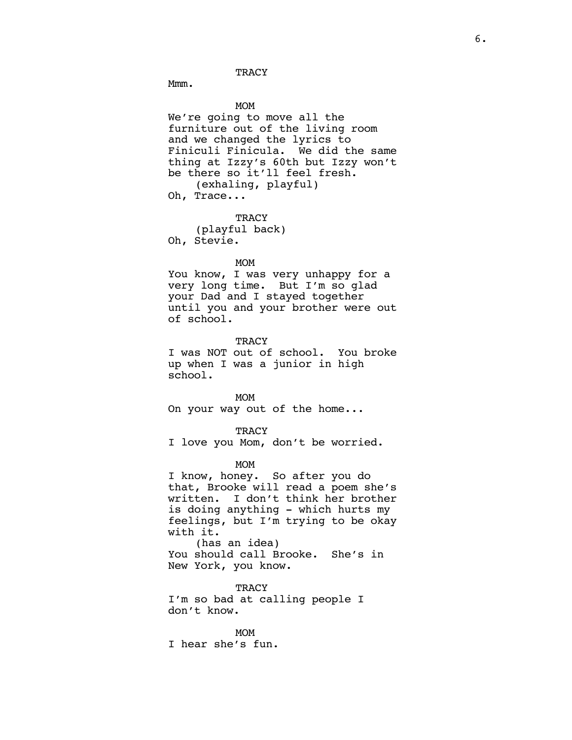Mmm.

MOM We're going to move all the furniture out of the living room and we changed the lyrics to Finiculi Finicula. We did the same thing at Izzy's 60th but Izzy won't be there so it'll feel fresh. (exhaling, playful) Oh, Trace...

**TRACY** (playful back) Oh, Stevie.

#### MOM

You know, I was very unhappy for a very long time. But I'm so glad your Dad and I stayed together until you and your brother were out of school.

#### TRACY

I was NOT out of school. You broke up when I was a junior in high school.

MOM On your way out of the home...

#### **TRACY**

I love you Mom, don't be worried.

MOM

I know, honey. So after you do that, Brooke will read a poem she's written. I don't think her brother is doing anything - which hurts my feelings, but I'm trying to be okay with it. (has an idea)

You should call Brooke. She's in New York, you know.

TRACY I'm so bad at calling people I don't know.

MOM I hear she's fun.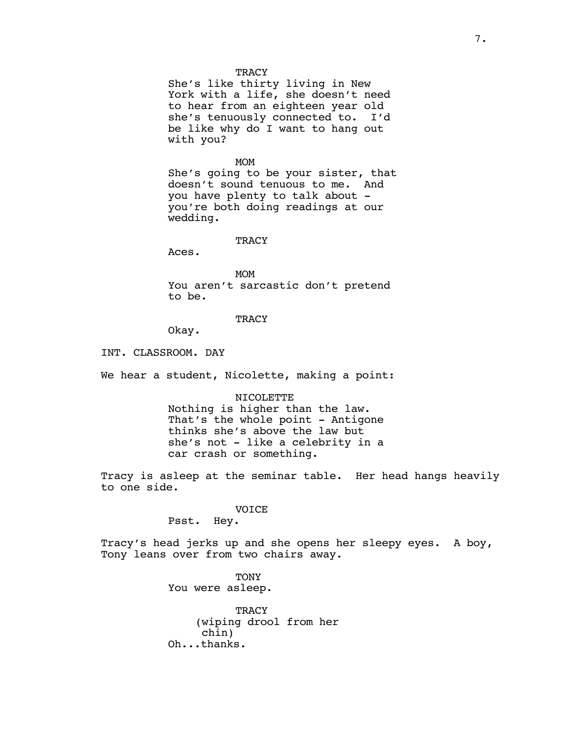She's like thirty living in New York with a life, she doesn't need to hear from an eighteen year old she's tenuously connected to. I'd be like why do I want to hang out with you?

#### MOM

She's going to be your sister, that doesn't sound tenuous to me. And you have plenty to talk about you're both doing readings at our wedding.

#### **TRACY**

Aces.

MOM You aren't sarcastic don't pretend to be.

# **TRACY**

Okay.

INT. CLASSROOM. DAY

We hear a student, Nicolette, making a point:

#### NICOLETTE

Nothing is higher than the law. That's the whole point - Antigone thinks she's above the law but she's not - like a celebrity in a car crash or something.

Tracy is asleep at the seminar table. Her head hangs heavily to one side.

### VOICE

Psst. Hey.

Tracy's head jerks up and she opens her sleepy eyes. A boy, Tony leans over from two chairs away.

> **TONY** You were asleep.

**TRACY** (wiping drool from her chin) Oh...thanks.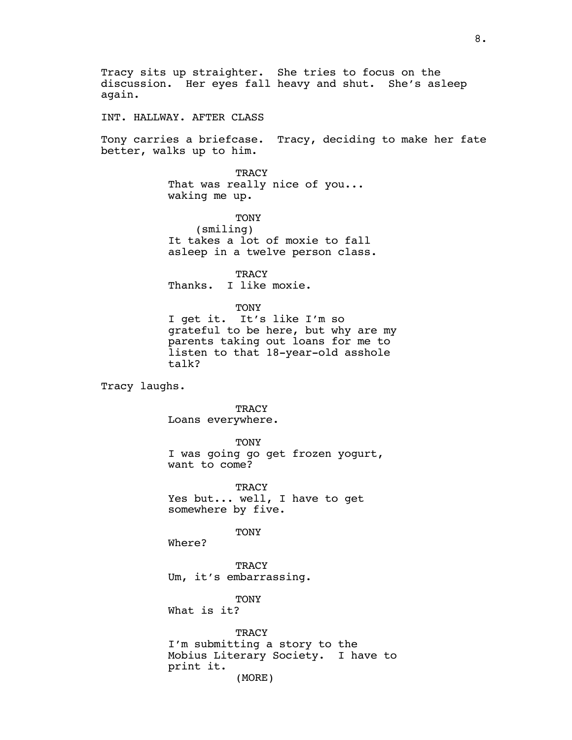Tracy sits up straighter. She tries to focus on the discussion. Her eyes fall heavy and shut. She's asleep again. INT. HALLWAY. AFTER CLASS Tony carries a briefcase. Tracy, deciding to make her fate better, walks up to him. **TRACY** That was really nice of you... waking me up. TONY (smiling) It takes a lot of moxie to fall asleep in a twelve person class. TRACY Thanks. I like moxie. TONY I get it. It's like I'm so grateful to be here, but why are my parents taking out loans for me to listen to that 18-year-old asshole talk? Tracy laughs. **TRACY** Loans everywhere. TONY I was going go get frozen yogurt, want to come? **TRACY** Yes but... well, I have to get somewhere by five. TONY Where? **TRACY** Um, it's embarrassing. TONY What is it? **TRACY** I'm submitting a story to the Mobius Literary Society. I have to print it. (MORE)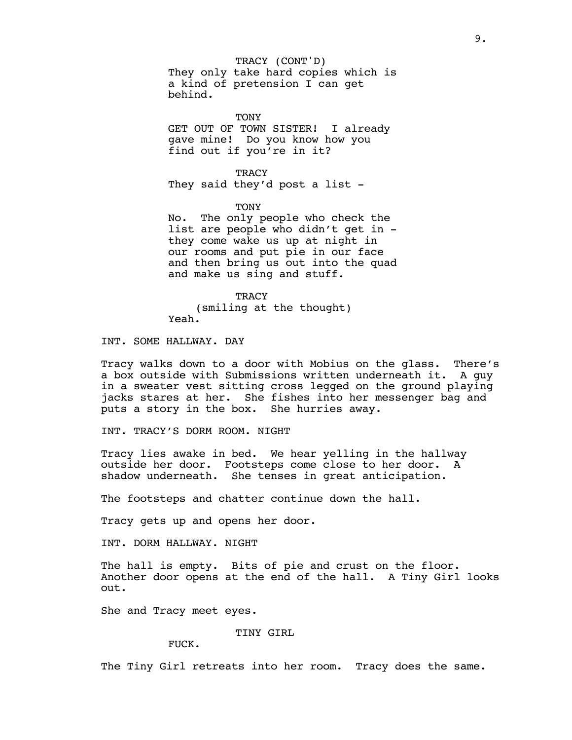They only take hard copies which is a kind of pretension I can get behind. TRACY (CONT'D)

**TONY** GET OUT OF TOWN SISTER! I already gave mine! Do you know how you find out if you're in it?

**TRACY** They said they'd post a list -

TONY

No. The only people who check the list are people who didn't get in they come wake us up at night in our rooms and put pie in our face and then bring us out into the quad and make us sing and stuff.

**TRACY** (smiling at the thought) Yeah.

INT. SOME HALLWAY. DAY

Tracy walks down to a door with Mobius on the glass. There's a box outside with Submissions written underneath it. A guy in a sweater vest sitting cross legged on the ground playing jacks stares at her. She fishes into her messenger bag and puts a story in the box. She hurries away.

INT. TRACY'S DORM ROOM. NIGHT

Tracy lies awake in bed. We hear yelling in the hallway outside her door. Footsteps come close to her door. A shadow underneath. She tenses in great anticipation.

The footsteps and chatter continue down the hall.

Tracy gets up and opens her door.

INT. DORM HALLWAY. NIGHT

The hall is empty. Bits of pie and crust on the floor. Another door opens at the end of the hall. A Tiny Girl looks out.

She and Tracy meet eyes.

TINY GIRL

FUCK.

The Tiny Girl retreats into her room. Tracy does the same.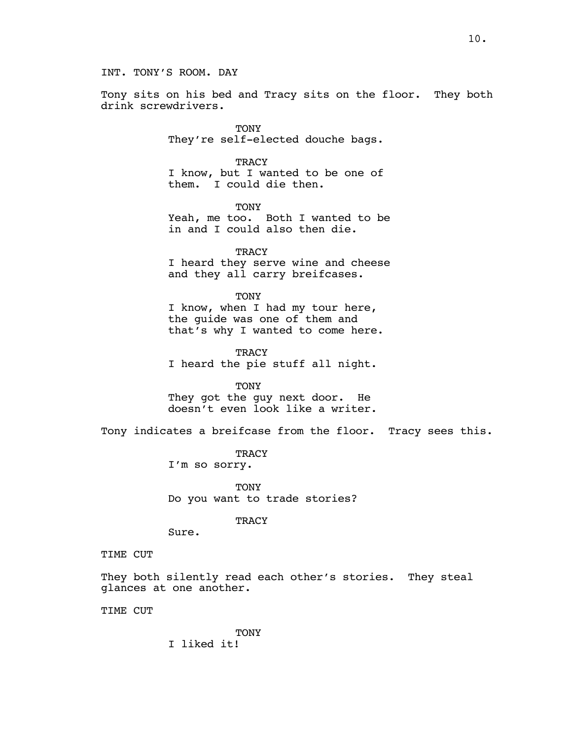Tony sits on his bed and Tracy sits on the floor. They both drink screwdrivers.

> **TONY** They're self-elected douche bags.

> **TRACY** I know, but I wanted to be one of them. I could die then.

TONY Yeah, me too. Both I wanted to be in and I could also then die.

**TRACY** I heard they serve wine and cheese and they all carry breifcases.

TONY I know, when I had my tour here, the guide was one of them and that's why I wanted to come here.

TRACY I heard the pie stuff all night.

TONY They got the guy next door. He doesn't even look like a writer.

Tony indicates a breifcase from the floor. Tracy sees this.

**TRACY** I'm so sorry.

TONY Do you want to trade stories?

**TRACY** 

Sure.

TIME CUT

They both silently read each other's stories. They steal glances at one another.

TIME CUT

**TONY** I liked it!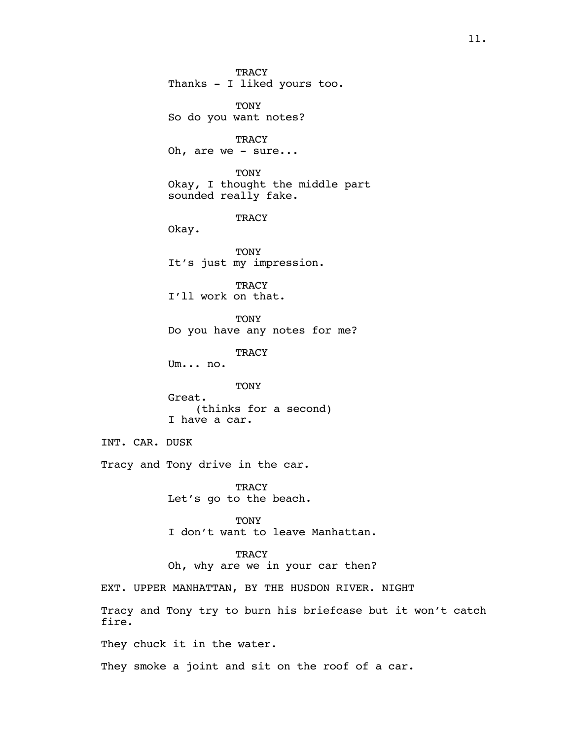**TRACY** Thanks - I liked yours too. TONY So do you want notes? TRACY Oh, are we - sure... TONY Okay, I thought the middle part sounded really fake. **TRACY** Okay. **TONY** It's just my impression. **TRACY** I'll work on that. TONY Do you have any notes for me? **TRACY** Um... no. TONY Great. (thinks for a second) I have a car. INT. CAR. DUSK Tracy and Tony drive in the car. **TRACY** Let's go to the beach. TONY I don't want to leave Manhattan. **TRACY** Oh, why are we in your car then? EXT. UPPER MANHATTAN, BY THE HUSDON RIVER. NIGHT Tracy and Tony try to burn his briefcase but it won't catch They chuck it in the water. They smoke a joint and sit on the roof of a car.

fire.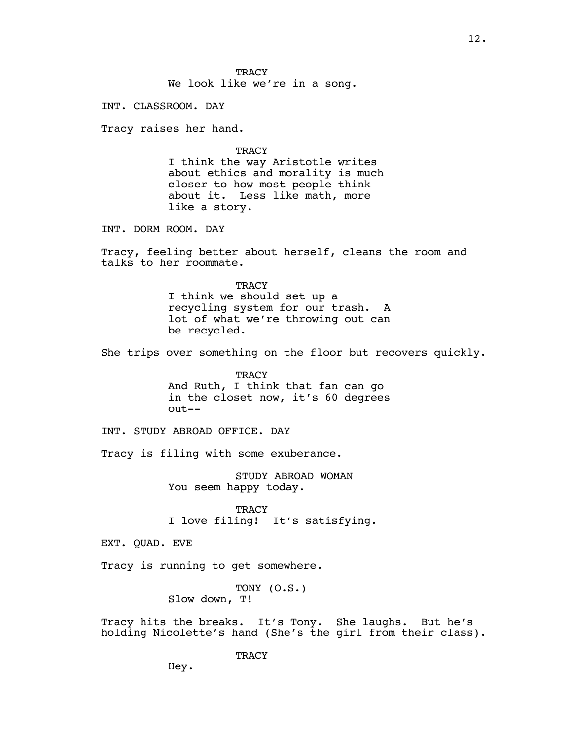We look like we're in a song.

INT. CLASSROOM. DAY

Tracy raises her hand.

**TRACY** 

I think the way Aristotle writes about ethics and morality is much closer to how most people think about it. Less like math, more like a story.

INT. DORM ROOM. DAY

Tracy, feeling better about herself, cleans the room and talks to her roommate.

> **TRACY** I think we should set up a recycling system for our trash. A lot of what we're throwing out can be recycled.

She trips over something on the floor but recovers quickly.

**TRACY** And Ruth, I think that fan can go in the closet now, it's 60 degrees out--

INT. STUDY ABROAD OFFICE. DAY

Tracy is filing with some exuberance.

STUDY ABROAD WOMAN You seem happy today.

**TRACY** I love filing! It's satisfying.

EXT. QUAD. EVE

Tracy is running to get somewhere.

TONY (O.S.) Slow down, T!

Tracy hits the breaks. It's Tony. She laughs. But he's holding Nicolette's hand (She's the girl from their class).

**TRACY** 

Hey.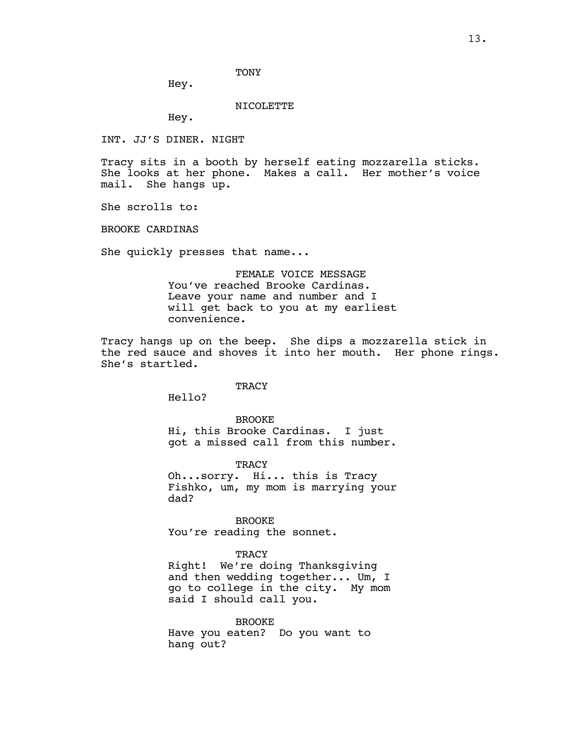TONY

Hey.

NICOLETTE

Hey.

INT. JJ'S DINER. NIGHT

Tracy sits in a booth by herself eating mozzarella sticks. She looks at her phone. Makes a call. Her mother's voice mail. She hangs up.

She scrolls to:

BROOKE CARDINAS

She quickly presses that name...

FEMALE VOICE MESSAGE You've reached Brooke Cardinas. Leave your name and number and I will get back to you at my earliest convenience.

Tracy hangs up on the beep. She dips a mozzarella stick in the red sauce and shoves it into her mouth. Her phone rings. She's startled.

**TRACY** 

Hello?

BROOKE Hi, this Brooke Cardinas. I just got a missed call from this number.

TRACY Oh...sorry. Hi... this is Tracy Fishko, um, my mom is marrying your dad?

BROOKE You're reading the sonnet.

### **TRACY**

Right! We're doing Thanksgiving and then wedding together... Um, I go to college in the city. My mom said I should call you.

BROOKE Have you eaten? Do you want to hang out?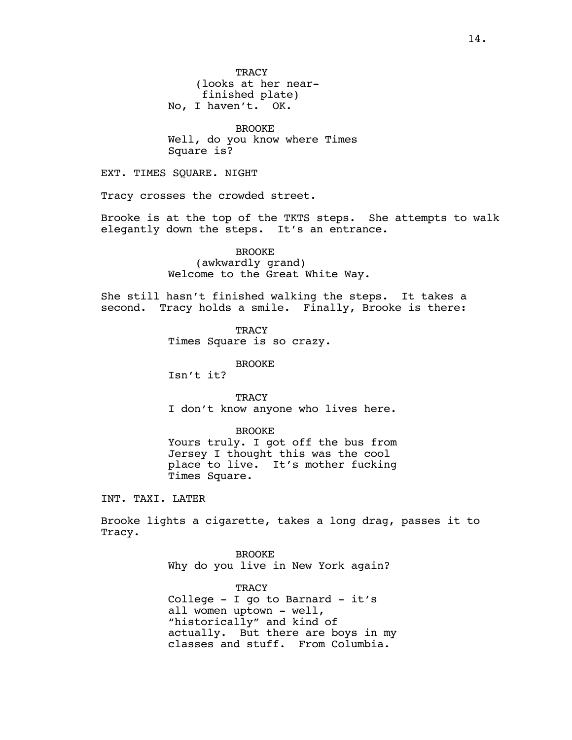BROOKE Well, do you know where Times Square is?

EXT. TIMES SQUARE. NIGHT

Tracy crosses the crowded street.

Brooke is at the top of the TKTS steps. She attempts to walk elegantly down the steps. It's an entrance.

> BROOKE (awkwardly grand) Welcome to the Great White Way.

She still hasn't finished walking the steps. It takes a second. Tracy holds a smile. Finally, Brooke is there:

> **TRACY** Times Square is so crazy.

> > BROOKE

Isn't it?

**TRACY** I don't know anyone who lives here.

BROOKE

Yours truly. I got off the bus from Jersey I thought this was the cool place to live. It's mother fucking Times Square.

INT. TAXI. LATER

Brooke lights a cigarette, takes a long drag, passes it to Tracy.

> BROOKE Why do you live in New York again?

**TRACY** College - I go to Barnard - it's all women uptown - well, "historically" and kind of actually. But there are boys in my classes and stuff. From Columbia.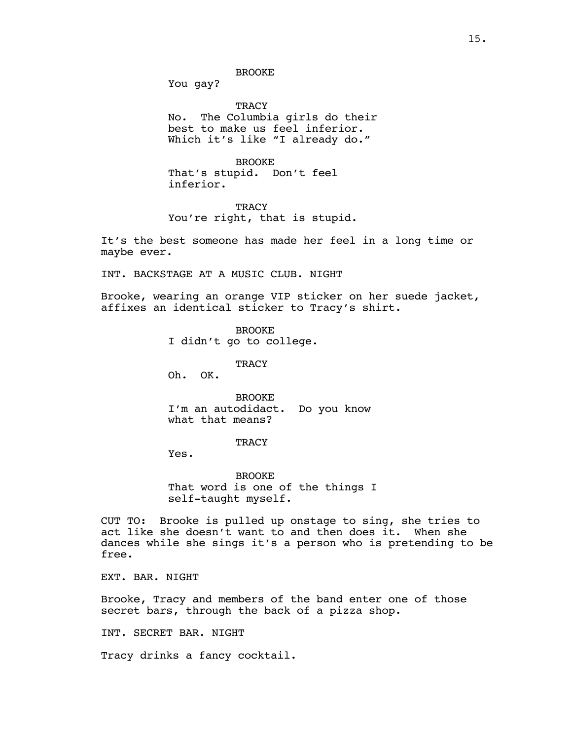BROOKE

You gay?

**TRACY** No. The Columbia girls do their best to make us feel inferior. Which it's like "I already do."

BROOKE That's stupid. Don't feel inferior.

**TRACY** You're right, that is stupid.

It's the best someone has made her feel in a long time or maybe ever.

INT. BACKSTAGE AT A MUSIC CLUB. NIGHT

Brooke, wearing an orange VIP sticker on her suede jacket, affixes an identical sticker to Tracy's shirt.

> BROOKE I didn't go to college.

> > **TRACY**

Oh. OK.

BROOKE I'm an autodidact. Do you know what that means?

**TRACY** 

Yes.

BROOKE That word is one of the things I self-taught myself.

CUT TO: Brooke is pulled up onstage to sing, she tries to act like she doesn't want to and then does it. When she dances while she sings it's a person who is pretending to be free.

EXT. BAR. NIGHT

Brooke, Tracy and members of the band enter one of those secret bars, through the back of a pizza shop.

INT. SECRET BAR. NIGHT

Tracy drinks a fancy cocktail.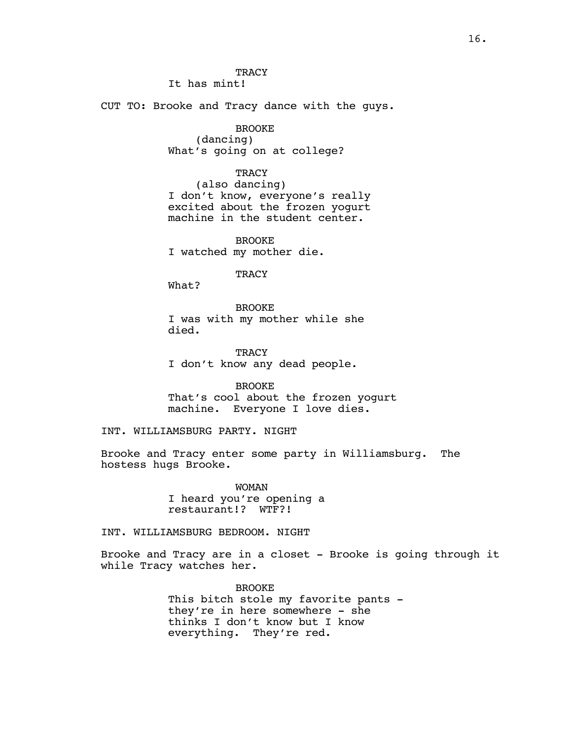It has mint!

CUT TO: Brooke and Tracy dance with the guys.

BROOKE (dancing) What's going on at college?

**TRACY** 

(also dancing) I don't know, everyone's really excited about the frozen yogurt machine in the student center.

BROOKE I watched my mother die.

**TRACY** 

What?

BROOKE I was with my mother while she died.

**TRACY** I don't know any dead people.

BROOKE

That's cool about the frozen yogurt machine. Everyone I love dies.

INT. WILLIAMSBURG PARTY. NIGHT

Brooke and Tracy enter some party in Williamsburg. The hostess hugs Brooke.

> WOMAN I heard you're opening a restaurant!? WTF?!

INT. WILLIAMSBURG BEDROOM. NIGHT

Brooke and Tracy are in a closet - Brooke is going through it while Tracy watches her.

> BROOKE This bitch stole my favorite pants they're in here somewhere - she thinks I don't know but I know everything. They're red.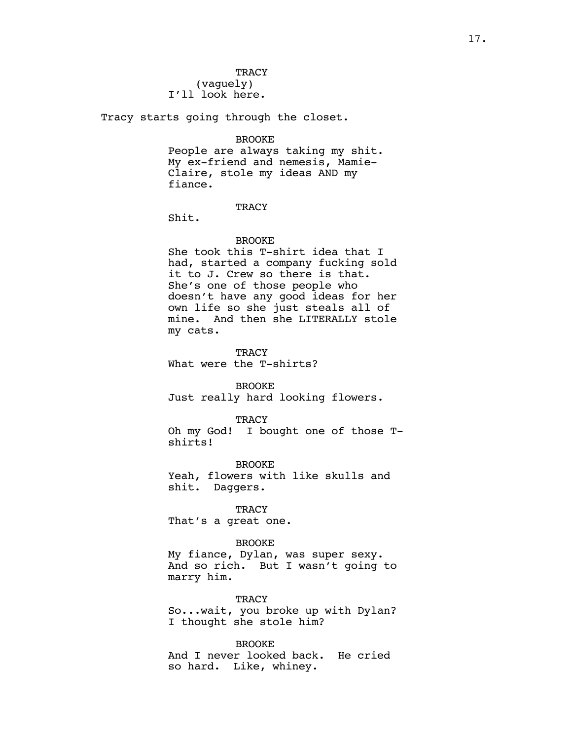(vaguely) I'll look here.

Tracy starts going through the closet.

BROOKE

People are always taking my shit. My ex-friend and nemesis, Mamie-Claire, stole my ideas AND my fiance.

### **TRACY**

Shit.

#### **BROOKE**

She took this T-shirt idea that I had, started a company fucking sold it to J. Crew so there is that. She's one of those people who doesn't have any good ideas for her own life so she just steals all of mine. And then she LITERALLY stole my cats.

TRACY What were the T-shirts?

BROOKE Just really hard looking flowers.

**TRACY** Oh my God! I bought one of those Tshirts!

BROOKE Yeah, flowers with like skulls and shit. Daggers.

TRACY That's a great one.

### BROOKE

My fiance, Dylan, was super sexy. And so rich. But I wasn't going to marry him.

**TRACY** 

So...wait, you broke up with Dylan? I thought she stole him?

BROOKE

And I never looked back. He cried so hard. Like, whiney.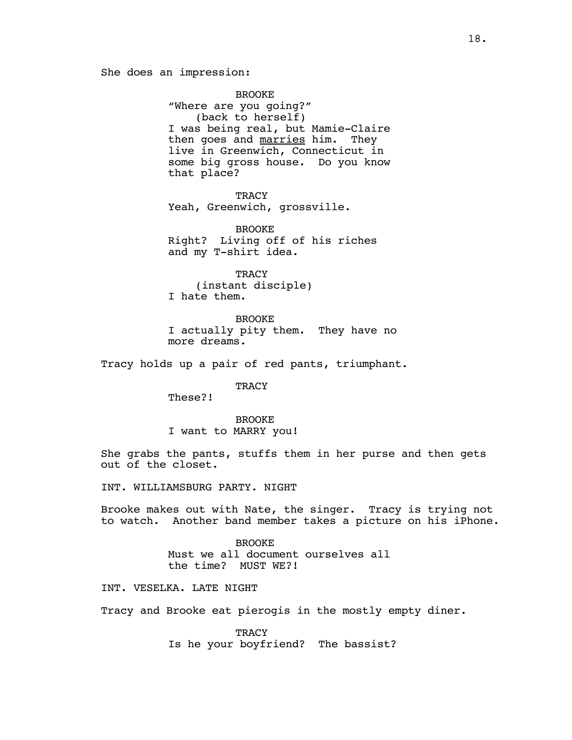BROOKE "Where are you going?" (back to herself) I was being real, but Mamie-Claire then goes and marries him. They live in Greenwich, Connecticut in some big gross house. Do you know that place?

TRACY Yeah, Greenwich, grossville.

BROOKE Right? Living off of his riches and my T-shirt idea.

**TRACY** (instant disciple) I hate them.

BROOKE I actually pity them. They have no more dreams.

Tracy holds up a pair of red pants, triumphant.

**TRACY** 

These?!

**BROOKE** I want to MARRY you!

She grabs the pants, stuffs them in her purse and then gets out of the closet.

INT. WILLIAMSBURG PARTY. NIGHT

Brooke makes out with Nate, the singer. Tracy is trying not to watch. Another band member takes a picture on his iPhone.

> BROOKE Must we all document ourselves all the time? MUST WE?!

INT. VESELKA. LATE NIGHT

Tracy and Brooke eat pierogis in the mostly empty diner.

**TRACY** Is he your boyfriend? The bassist?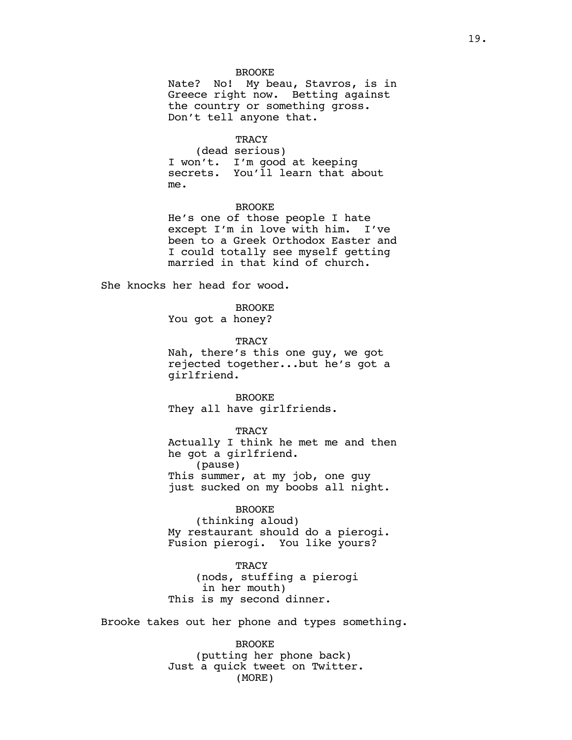#### BROOKE

Nate? No! My beau, Stavros, is in Greece right now. Betting against the country or something gross. Don't tell anyone that.

#### **TRACY**

(dead serious) I won't. I'm good at keeping secrets. You'll learn that about me.

### BROOKE

He's one of those people I hate except I'm in love with him. I've been to a Greek Orthodox Easter and I could totally see myself getting married in that kind of church.

She knocks her head for wood.

BROOKE You got a honey?

**TRACY** 

Nah, there's this one guy, we got rejected together...but he's got a girlfriend.

BROOKE They all have girlfriends.

#### **TRACY**

Actually I think he met me and then he got a girlfriend. (pause) This summer, at my job, one guy just sucked on my boobs all night.

#### BROOKE

(thinking aloud) My restaurant should do a pierogi. Fusion pierogi. You like yours?

**TRACY** (nods, stuffing a pierogi in her mouth) This is my second dinner.

Brooke takes out her phone and types something.

BROOKE (putting her phone back) Just a quick tweet on Twitter. (MORE)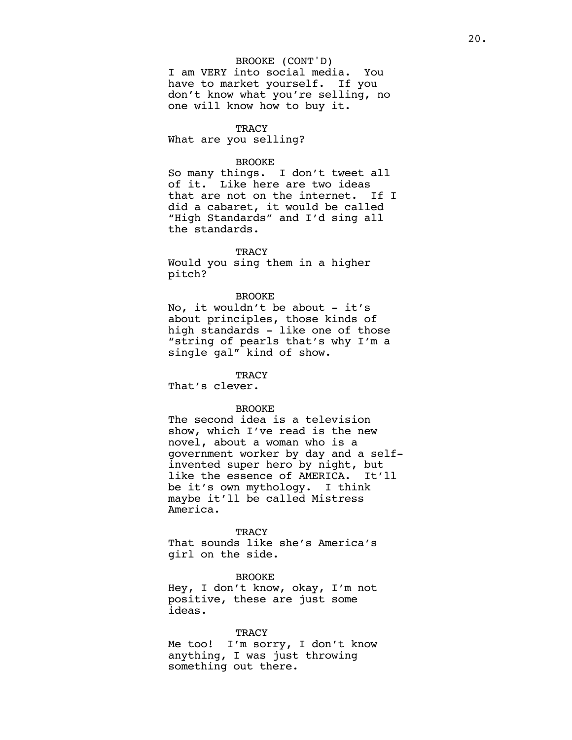### BROOKE (CONT'D)

I am VERY into social media. You have to market yourself. If you don't know what you're selling, no one will know how to buy it.

### **TRACY**

What are you selling?

#### BROOKE

So many things. I don't tweet all of it. Like here are two ideas that are not on the internet. If I did a cabaret, it would be called "High Standards" and I'd sing all the standards.

### **TRACY**

Would you sing them in a higher pitch?

### BROOKE

No, it wouldn't be about - it's about principles, those kinds of high standards - like one of those "string of pearls that's why I'm a single gal" kind of show.

#### **TRACY**

That's clever.

### BROOKE

The second idea is a television show, which I've read is the new novel, about a woman who is a government worker by day and a selfinvented super hero by night, but like the essence of AMERICA. It'll be it's own mythology. I think maybe it'll be called Mistress America.

### **TRACY**

That sounds like she's America's girl on the side.

BROOKE Hey, I don't know, okay, I'm not positive, these are just some ideas.

#### **TRACY**

Me too! I'm sorry, I don't know anything, I was just throwing something out there.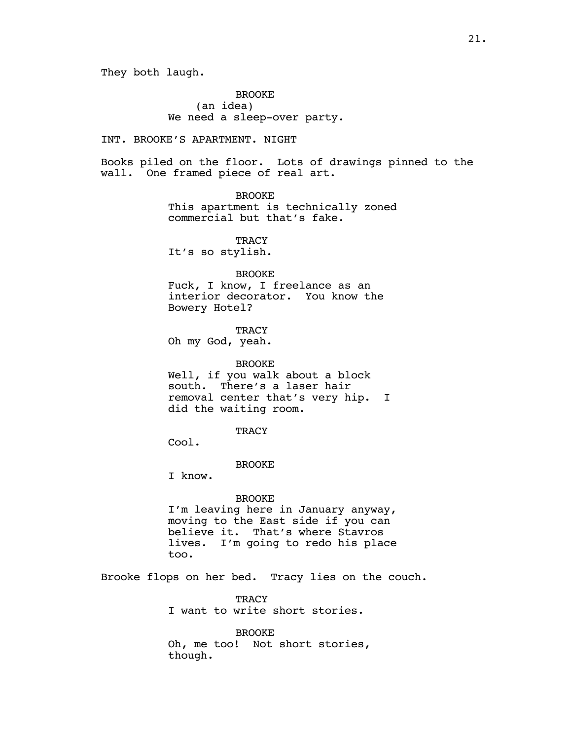They both laugh.

BROOKE (an idea) We need a sleep-over party.

INT. BROOKE'S APARTMENT. NIGHT

Books piled on the floor. Lots of drawings pinned to the wall. One framed piece of real art.

BROOKE

This apartment is technically zoned commercial but that's fake.

**TRACY** 

It's so stylish.

BROOKE

Fuck, I know, I freelance as an interior decorator. You know the Bowery Hotel?

**TRACY** 

Oh my God, yeah.

BROOKE

Well, if you walk about a block south. There's a laser hair removal center that's very hip. I did the waiting room.

**TRACY** 

Cool.

**BROOKE** 

I know.

### BROOKE

I'm leaving here in January anyway, moving to the East side if you can believe it. That's where Stavros lives. I'm going to redo his place too.

Brooke flops on her bed. Tracy lies on the couch.

TRACY I want to write short stories.

BROOKE Oh, me too! Not short stories, though.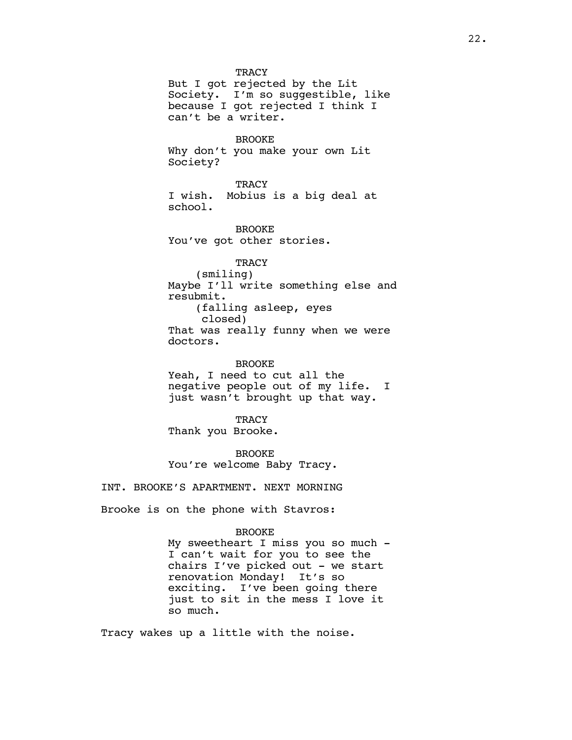But I got rejected by the Lit Society. I'm so suggestible, like because I got rejected I think I can't be a writer.

#### BROOKE

Why don't you make your own Lit Society?

**TRACY** I wish. Mobius is a big deal at school.

BROOKE You've got other stories.

# **TRACY**

(smiling) Maybe I'll write something else and resubmit. (falling asleep, eyes closed) That was really funny when we were doctors.

BROOKE Yeah, I need to cut all the negative people out of my life. I just wasn't brought up that way.

**TRACY** Thank you Brooke.

BROOKE You're welcome Baby Tracy.

INT. BROOKE'S APARTMENT. NEXT MORNING

Brooke is on the phone with Stavros:

#### BROOKE

My sweetheart I miss you so much - I can't wait for you to see the chairs I've picked out - we start renovation Monday! It's so exciting. I've been going there just to sit in the mess I love it so much.

Tracy wakes up a little with the noise.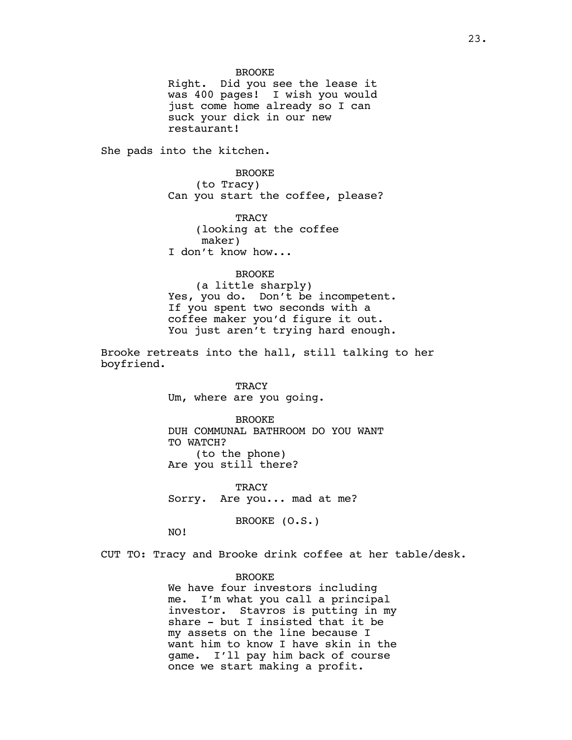BROOKE

Right. Did you see the lease it was 400 pages! I wish you would just come home already so I can suck your dick in our new restaurant!

She pads into the kitchen.

BROOKE (to Tracy) Can you start the coffee, please?

**TRACY** (looking at the coffee maker) I don't know how...

BROOKE

(a little sharply) Yes, you do. Don't be incompetent. If you spent two seconds with a coffee maker you'd figure it out. You just aren't trying hard enough.

Brooke retreats into the hall, still talking to her boyfriend.

> **TRACY** Um, where are you going.

**BROOKE** DUH COMMUNAL BATHROOM DO YOU WANT TO WATCH? (to the phone) Are you still there?

**TRACY** Sorry. Are you... mad at me?

BROOKE (O.S.)

NO!

CUT TO: Tracy and Brooke drink coffee at her table/desk.

BROOKE We have four investors including me. I'm what you call a principal investor. Stavros is putting in my share - but I insisted that it be my assets on the line because I want him to know I have skin in the game. I'll pay him back of course once we start making a profit.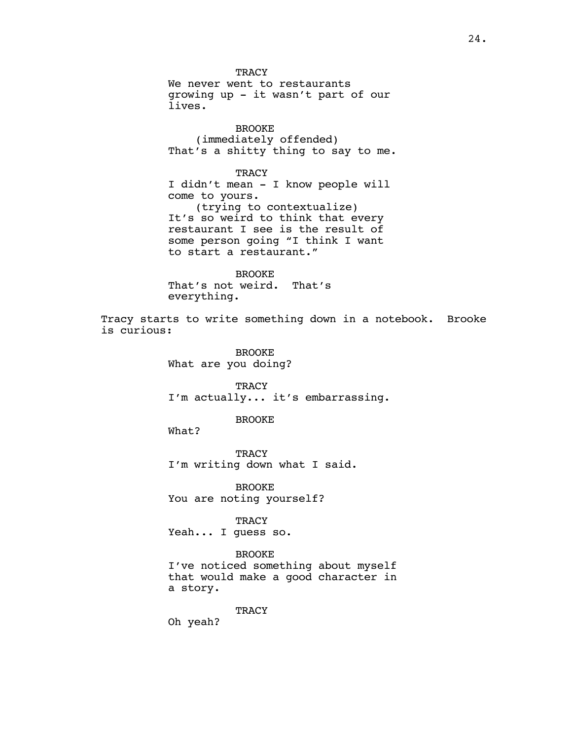TRACY We never went to restaurants growing up - it wasn't part of our lives.

BROOKE (immediately offended) That's a shitty thing to say to me.

**TRACY** 

I didn't mean - I know people will come to yours. (trying to contextualize) It's so weird to think that every restaurant I see is the result of some person going "I think I want to start a restaurant."

BROOKE That's not weird. That's everything.

Tracy starts to write something down in a notebook. Brooke is curious:

> BROOKE What are you doing?

**TRACY** I'm actually... it's embarrassing.

BROOKE

What?

**TRACY** I'm writing down what I said.

BROOKE You are noting yourself?

TRACY

Yeah... I guess so.

### BROOKE

I've noticed something about myself that would make a good character in a story.

TRACY

Oh yeah?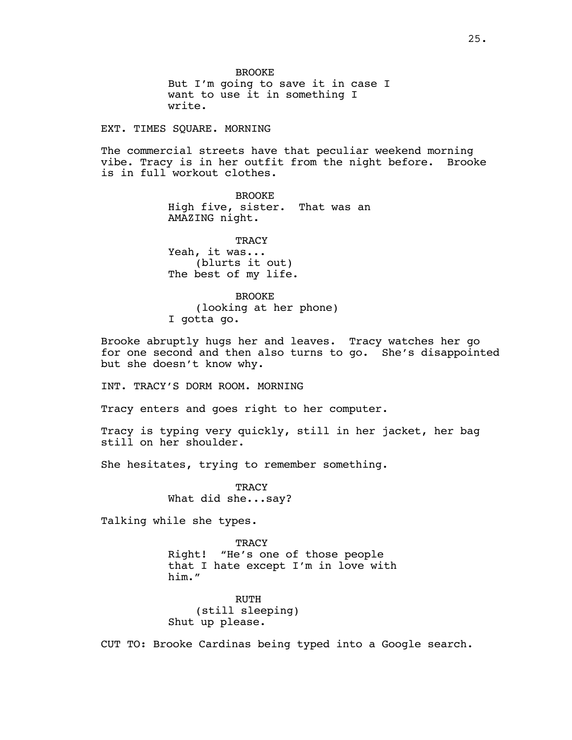BROOKE But I'm going to save it in case I want to use it in something I write.

EXT. TIMES SQUARE. MORNING

The commercial streets have that peculiar weekend morning vibe. Tracy is in her outfit from the night before. Brooke is in full workout clothes.

> BROOKE High five, sister. That was an AMAZING night.

**TRACY** Yeah, it was... (blurts it out) The best of my life.

BROOKE (looking at her phone) I gotta go.

Brooke abruptly hugs her and leaves. Tracy watches her go for one second and then also turns to go. She's disappointed but she doesn't know why.

INT. TRACY'S DORM ROOM. MORNING

Tracy enters and goes right to her computer.

Tracy is typing very quickly, still in her jacket, her bag still on her shoulder.

She hesitates, trying to remember something.

**TRACY** What did she...say?

Talking while she types.

TRACY Right! "He's one of those people that I hate except I'm in love with him."

RUTH (still sleeping) Shut up please.

CUT TO: Brooke Cardinas being typed into a Google search.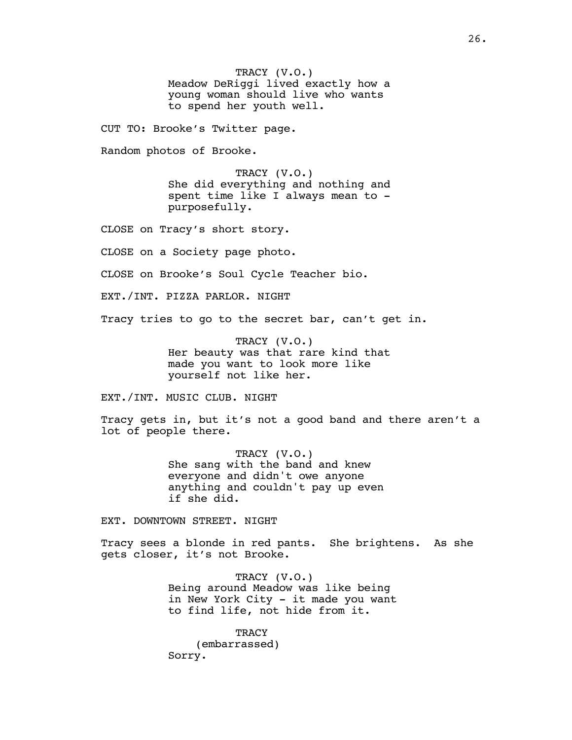TRACY (V.O.) Meadow DeRiggi lived exactly how a young woman should live who wants to spend her youth well.

CUT TO: Brooke's Twitter page.

Random photos of Brooke.

TRACY (V.O.) She did everything and nothing and spent time like I always mean to purposefully.

CLOSE on Tracy's short story.

CLOSE on a Society page photo.

CLOSE on Brooke's Soul Cycle Teacher bio.

EXT./INT. PIZZA PARLOR. NIGHT

Tracy tries to go to the secret bar, can't get in.

TRACY (V.O.) Her beauty was that rare kind that made you want to look more like yourself not like her.

EXT./INT. MUSIC CLUB. NIGHT

Tracy gets in, but it's not a good band and there aren't a lot of people there.

> TRACY (V.O.) She sang with the band and knew everyone and didn't owe anyone anything and couldn't pay up even if she did.

EXT. DOWNTOWN STREET. NIGHT

Tracy sees a blonde in red pants. She brightens. As she gets closer, it's not Brooke.

> TRACY (V.O.) Being around Meadow was like being in New York City - it made you want to find life, not hide from it.

**TRACY** (embarrassed) Sorry.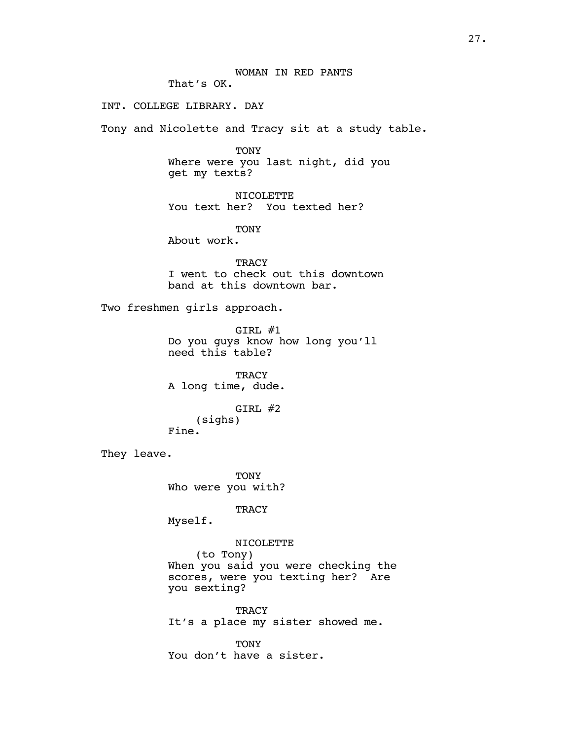INT. COLLEGE LIBRARY. DAY

Tony and Nicolette and Tracy sit at a study table.

TONY Where were you last night, did you get my texts?

NICOLETTE You text her? You texted her?

TONY

About work.

**TRACY** I went to check out this downtown band at this downtown bar.

Two freshmen girls approach.

GIRL #1 Do you guys know how long you'll need this table?

**TRACY** A long time, dude.

GIRL #2 (sighs) Fine.

They leave.

TONY Who were you with?

**TRACY** 

Myself.

NICOLETTE

(to Tony) When you said you were checking the scores, were you texting her? Are you sexting?

TRACY It's a place my sister showed me.

TONY You don't have a sister.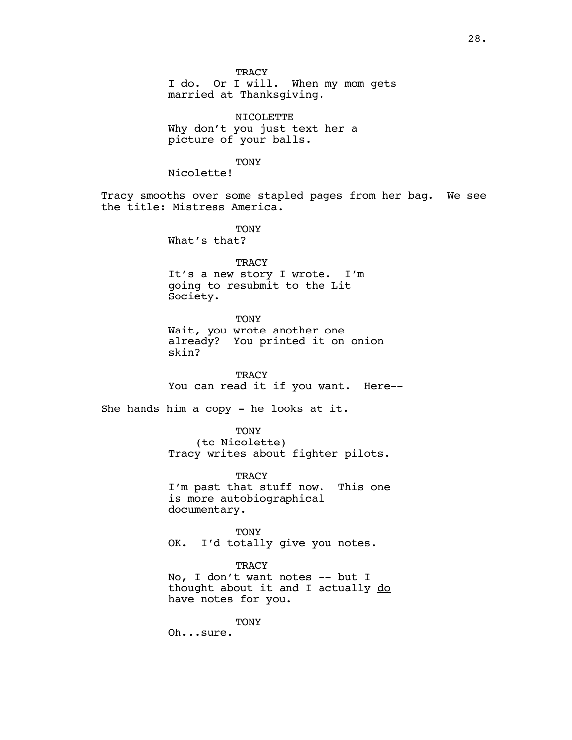I do. Or I will. When my mom gets married at Thanksgiving.

NICOLETTE Why don't you just text her a picture of your balls.

**TONY** 

Nicolette!

Tracy smooths over some stapled pages from her bag. We see the title: Mistress America.

> **TONY** What's that?

TRACY It's a new story I wrote. I'm going to resubmit to the Lit Society.

TONY

Wait, you wrote another one already? You printed it on onion skin?

**TRACY** You can read it if you want. Here--

She hands him a copy - he looks at it.

TONY (to Nicolette) Tracy writes about fighter pilots.

TRACY I'm past that stuff now. This one is more autobiographical documentary.

TONY OK. I'd totally give you notes.

TRACY

No, I don't want notes -- but I thought about it and I actually do have notes for you.

**TONY** 

Oh...sure.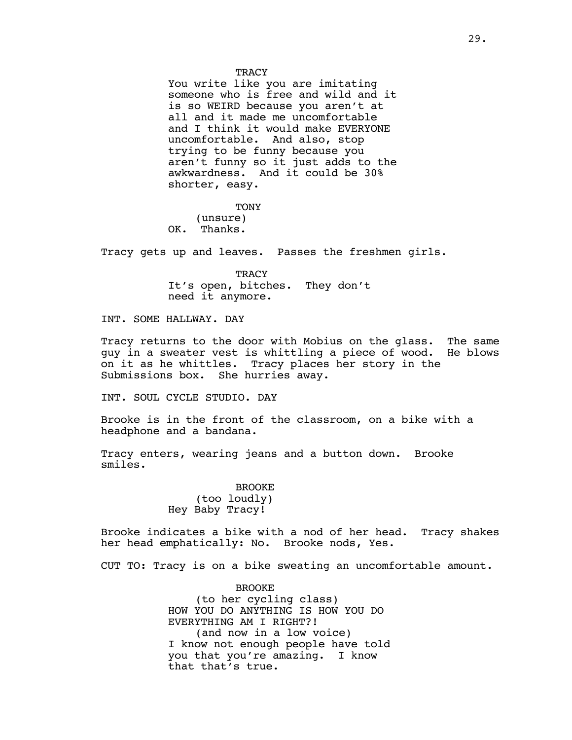You write like you are imitating someone who is free and wild and it is so WEIRD because you aren't at all and it made me uncomfortable and I think it would make EVERYONE uncomfortable. And also, stop trying to be funny because you aren't funny so it just adds to the awkwardness. And it could be 30% shorter, easy.

**TONY** (unsure) OK. Thanks.

Tracy gets up and leaves. Passes the freshmen girls.

TRACY It's open, bitches. They don't need it anymore.

INT. SOME HALLWAY. DAY

Tracy returns to the door with Mobius on the glass. The same guy in a sweater vest is whittling a piece of wood. He blows on it as he whittles. Tracy places her story in the Submissions box. She hurries away.

INT. SOUL CYCLE STUDIO. DAY

Brooke is in the front of the classroom, on a bike with a headphone and a bandana.

Tracy enters, wearing jeans and a button down. Brooke smiles.

> BROOKE (too loudly) Hey Baby Tracy!

Brooke indicates a bike with a nod of her head. Tracy shakes her head emphatically: No. Brooke nods, Yes.

CUT TO: Tracy is on a bike sweating an uncomfortable amount.

BROOKE (to her cycling class) HOW YOU DO ANYTHING IS HOW YOU DO EVERYTHING AM I RIGHT?! (and now in a low voice) I know not enough people have told you that you're amazing. I know that that's true.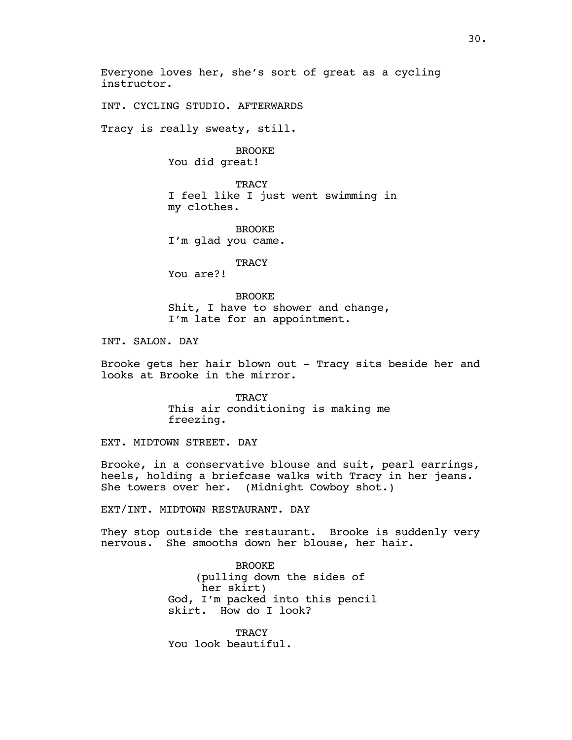Everyone loves her, she's sort of great as a cycling instructor.

INT. CYCLING STUDIO. AFTERWARDS

Tracy is really sweaty, still.

BROOKE

You did great!

**TRACY** I feel like I just went swimming in my clothes.

BROOKE I'm glad you came.

**TRACY** 

You are?!

BROOKE Shit, I have to shower and change, I'm late for an appointment.

INT. SALON. DAY

Brooke gets her hair blown out - Tracy sits beside her and looks at Brooke in the mirror.

> **TRACY** This air conditioning is making me freezing.

EXT. MIDTOWN STREET. DAY

Brooke, in a conservative blouse and suit, pearl earrings, heels, holding a briefcase walks with Tracy in her jeans. She towers over her. (Midnight Cowboy shot.)

EXT/INT. MIDTOWN RESTAURANT. DAY

They stop outside the restaurant. Brooke is suddenly very nervous. She smooths down her blouse, her hair.

> BROOKE (pulling down the sides of her skirt) God, I'm packed into this pencil skirt. How do I look?

**TRACY** You look beautiful.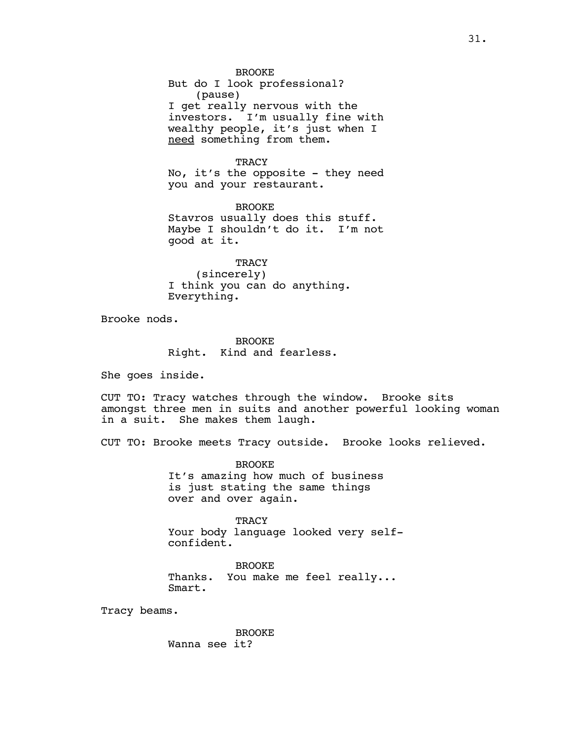No, it's the opposite - they need you and your restaurant.

BROOKE Stavros usually does this stuff. Maybe I shouldn't do it. I'm not good at it.

**TRACY** (sincerely) I think you can do anything. Everything.

Brooke nods.

BROOKE Right. Kind and fearless.

She goes inside.

CUT TO: Tracy watches through the window. Brooke sits amongst three men in suits and another powerful looking woman in a suit. She makes them laugh.

CUT TO: Brooke meets Tracy outside. Brooke looks relieved.

BROOKE It's amazing how much of business is just stating the same things over and over again.

**TRACY** Your body language looked very selfconfident.

BROOKE Thanks. You make me feel really... Smart.

Tracy beams.

BROOKE Wanna see it?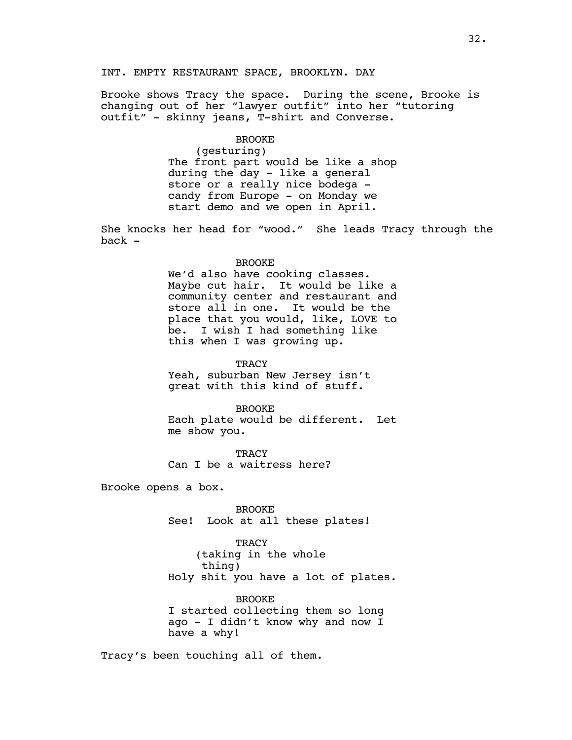# INT. EMPTY RESTAURANT SPACE, BROOKLYN. DAY

Brooke shows Tracy the space. During the scene, Brooke is changing out of her "lawyer outfit" into her "tutoring outfit" - skinny jeans, T-shirt and Converse.

# BROOKE

(gesturing) The front part would be like a shop during the day - like a general store or a really nice bodega candy from Europe - on Monday we start demo and we open in April.

She knocks her head for "wood." She leads Tracy through the back -

#### BROOKE

We'd also have cooking classes. Maybe cut hair. It would be like a community center and restaurant and store all in one. It would be the place that you would, like, LOVE to be. I wish I had something like this when I was growing up.

**TRACY** 

Yeah, suburban New Jersey isn't great with this kind of stuff.

BROOKE

Each plate would be different. Let me show you.

**TRACY** Can I be a waitress here?

Brooke opens a box.

BROOKE See! Look at all these plates!

**TRACY** (taking in the whole thing) Holy shit you have a lot of plates.

BROOKE

I started collecting them so long ago - I didn't know why and now I have a why!

Tracy's been touching all of them.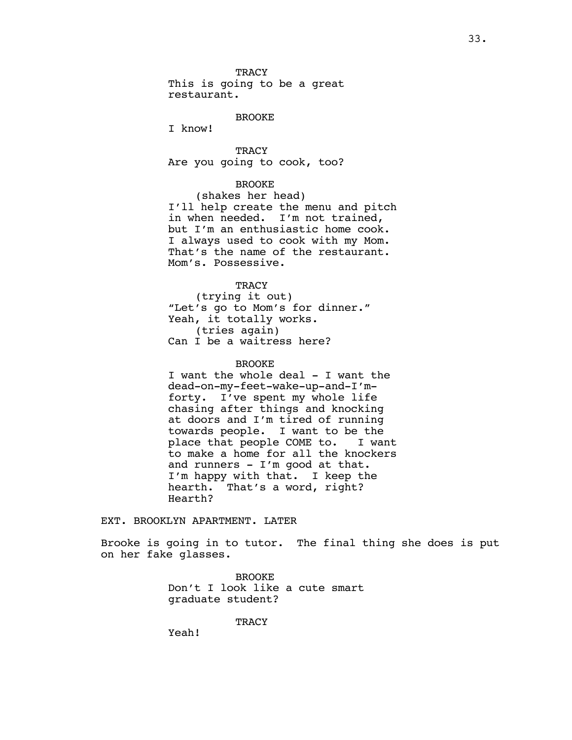This is going to be a great restaurant.

BROOKE

I know!

**TRACY** Are you going to cook, too?

### BROOKE

(shakes her head) I'll help create the menu and pitch in when needed. I'm not trained, but I'm an enthusiastic home cook. I always used to cook with my Mom. That's the name of the restaurant. Mom's. Possessive.

# **TRACY**

(trying it out) "Let's go to Mom's for dinner." Yeah, it totally works. (tries again) Can I be a waitress here?

### BROOKE

I want the whole deal - I want the dead-on-my-feet-wake-up-and-I'mforty. I've spent my whole life chasing after things and knocking at doors and I'm tired of running towards people. I want to be the place that people COME to. I want to make a home for all the knockers and runners - I'm good at that. I'm happy with that. I keep the hearth. That's a word, right? Hearth?

#### EXT. BROOKLYN APARTMENT. LATER

Brooke is going in to tutor. The final thing she does is put on her fake glasses.

> BROOKE Don't I look like a cute smart graduate student?

> > **TRACY**

Yeah!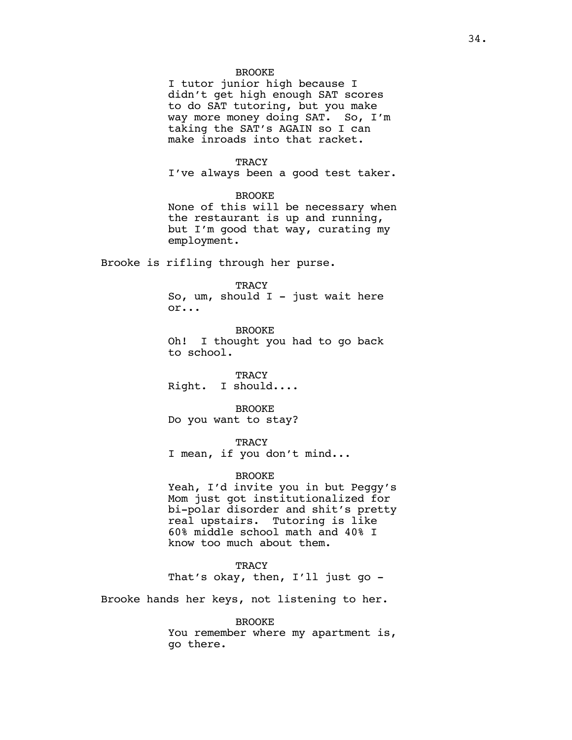### BROOKE

I tutor junior high because I didn't get high enough SAT scores to do SAT tutoring, but you make way more money doing SAT. So, I'm taking the SAT's AGAIN so I can make inroads into that racket.

### **TRACY**

I've always been a good test taker.

### BROOKE

None of this will be necessary when the restaurant is up and running, but I'm good that way, curating my employment.

Brooke is rifling through her purse.

#### **TRACY**

So,  $um$ , should I - just wait here or...

BROOKE Oh! I thought you had to go back to school.

**TRACY** Right. I should....

BROOKE Do you want to stay?

**TRACY** 

I mean, if you don't mind...

### BROOKE

Yeah, I'd invite you in but Peggy's Mom just got institutionalized for bi-polar disorder and shit's pretty real upstairs. Tutoring is like 60% middle school math and 40% I know too much about them.

### **TRACY**

That's okay, then, I'll just go -

Brooke hands her keys, not listening to her.

### BROOKE

You remember where my apartment is, go there.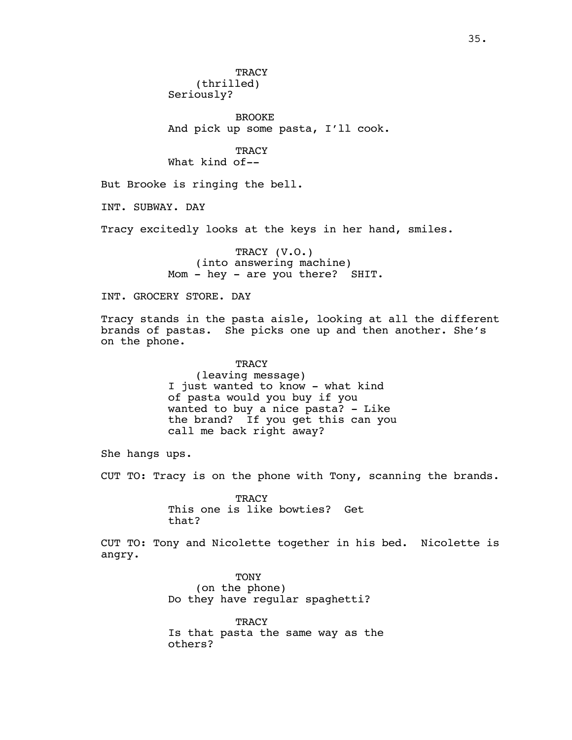**TRACY** (thrilled) Seriously?

BROOKE And pick up some pasta, I'll cook.

**TRACY** What kind of--

But Brooke is ringing the bell.

INT. SUBWAY. DAY

Tracy excitedly looks at the keys in her hand, smiles.

TRACY (V.O.) (into answering machine) Mom - hey - are you there? SHIT.

INT. GROCERY STORE. DAY

Tracy stands in the pasta aisle, looking at all the different brands of pastas. She picks one up and then another. She's on the phone.

> **TRACY** (leaving message) I just wanted to know - what kind of pasta would you buy if you wanted to buy a nice pasta? - Like the brand? If you get this can you call me back right away?

She hangs ups.

CUT TO: Tracy is on the phone with Tony, scanning the brands.

**TRACY** This one is like bowties? Get that?

CUT TO: Tony and Nicolette together in his bed. Nicolette is angry.

> TONY (on the phone) Do they have regular spaghetti?

**TRACY** Is that pasta the same way as the others?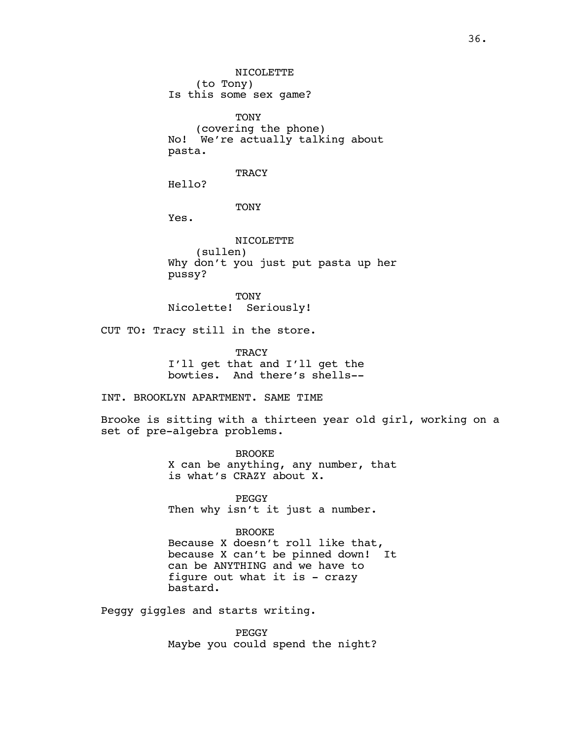(to Tony) Is this some sex game? TONY (covering the phone) No! We're actually talking about pasta. **TRACY** Hello?

NICOLETTE

TONY

Yes.

NICOLETTE (sullen) Why don't you just put pasta up her pussy?

**TONY** Nicolette! Seriously!

CUT TO: Tracy still in the store.

TRACY I'll get that and I'll get the bowties. And there's shells--

INT. BROOKLYN APARTMENT. SAME TIME

Brooke is sitting with a thirteen year old girl, working on a set of pre-algebra problems.

> BROOKE X can be anything, any number, that is what's CRAZY about X.

PEGGY Then why isn't it just a number.

BROOKE

Because X doesn't roll like that, because X can't be pinned down! It can be ANYTHING and we have to figure out what it is - crazy bastard.

Peggy giggles and starts writing.

PEGGY Maybe you could spend the night?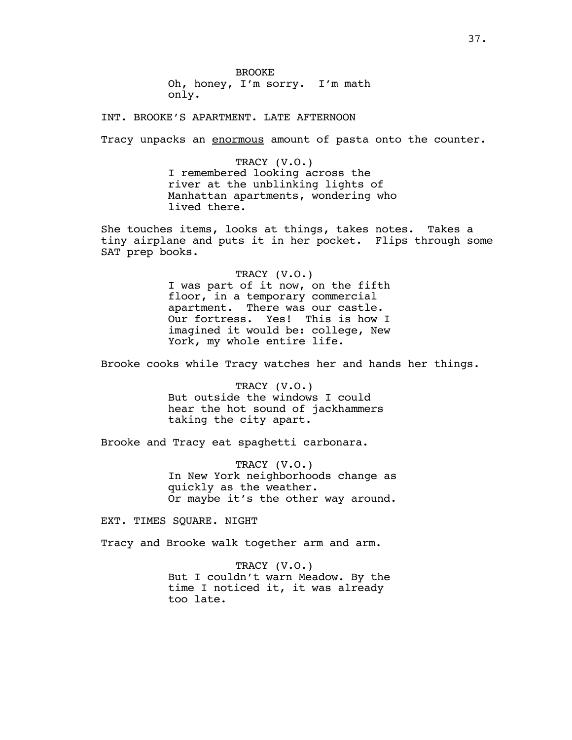BROOKE Oh, honey, I'm sorry. I'm math only.

INT. BROOKE'S APARTMENT. LATE AFTERNOON

Tracy unpacks an enormous amount of pasta onto the counter.

TRACY (V.O.) I remembered looking across the river at the unblinking lights of Manhattan apartments, wondering who lived there.

She touches items, looks at things, takes notes. Takes a tiny airplane and puts it in her pocket. Flips through some SAT prep books.

TRACY (V.O.)

I was part of it now, on the fifth floor, in a temporary commercial apartment. There was our castle. Our fortress. Yes! This is how I imagined it would be: college, New York, my whole entire life.

Brooke cooks while Tracy watches her and hands her things.

TRACY (V.O.) But outside the windows I could hear the hot sound of jackhammers taking the city apart.

Brooke and Tracy eat spaghetti carbonara.

TRACY (V.O.) In New York neighborhoods change as quickly as the weather. Or maybe it's the other way around.

EXT. TIMES SOUARE. NIGHT

Tracy and Brooke walk together arm and arm.

TRACY (V.O.) But I couldn't warn Meadow. By the time I noticed it, it was already too late.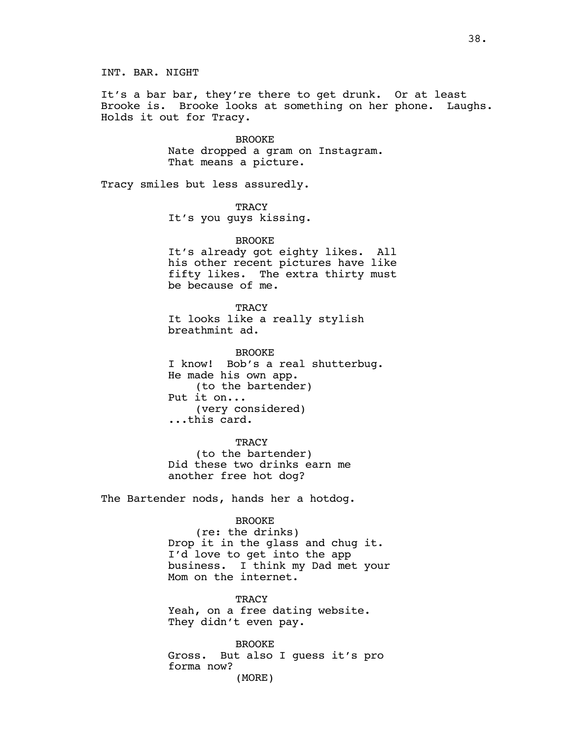INT. BAR. NIGHT

It's a bar bar, they're there to get drunk. Or at least Brooke is. Brooke looks at something on her phone. Laughs. Holds it out for Tracy.

> BROOKE Nate dropped a gram on Instagram. That means a picture.

Tracy smiles but less assuredly.

**TRACY** It's you guys kissing.

BROOKE It's already got eighty likes. All his other recent pictures have like fifty likes. The extra thirty must be because of me.

**TRACY** It looks like a really stylish breathmint ad.

BROOKE I know! Bob's a real shutterbug. He made his own app. (to the bartender) Put it on... (very considered) ...this card.

**TRACY** (to the bartender) Did these two drinks earn me another free hot dog?

The Bartender nods, hands her a hotdog.

BROOKE

(re: the drinks) Drop it in the glass and chug it. I'd love to get into the app business. I think my Dad met your Mom on the internet.

TRACY Yeah, on a free dating website. They didn't even pay.

BROOKE Gross. But also I guess it's pro forma now? (MORE)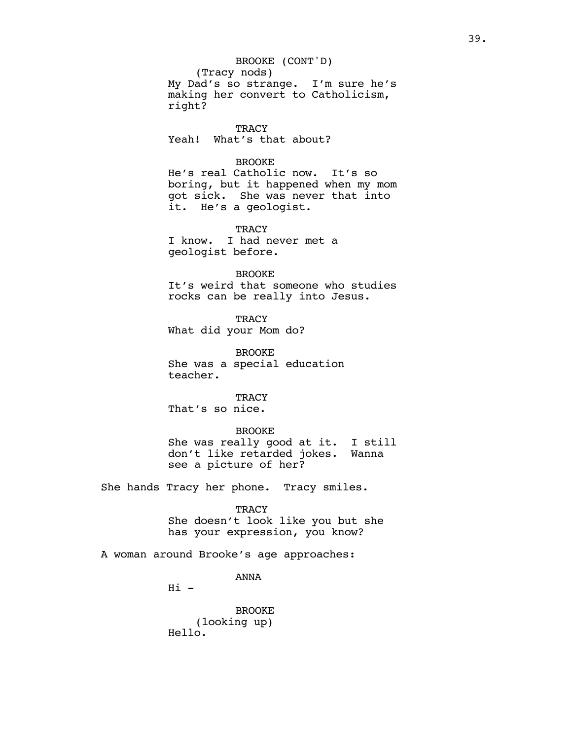(Tracy nods) My Dad's so strange. I'm sure he's making her convert to Catholicism, right? BROOKE (CONT'D)

**TRACY** Yeah! What's that about?

# BROOKE

He's real Catholic now. It's so boring, but it happened when my mom got sick. She was never that into it. He's a geologist.

# **TRACY**

I know. I had never met a geologist before.

#### BROOKE

It's weird that someone who studies rocks can be really into Jesus.

**TRACY** What did your Mom do?

BROOKE She was a special education teacher.

**TRACY** That's so nice.

## BROOKE

She was really good at it. I still don't like retarded jokes. Wanna see a picture of her?

She hands Tracy her phone. Tracy smiles.

# **TRACY**

She doesn't look like you but she has your expression, you know?

A woman around Brooke's age approaches:

ANNA

 $Hi -$ 

BROOKE (looking up) Hello.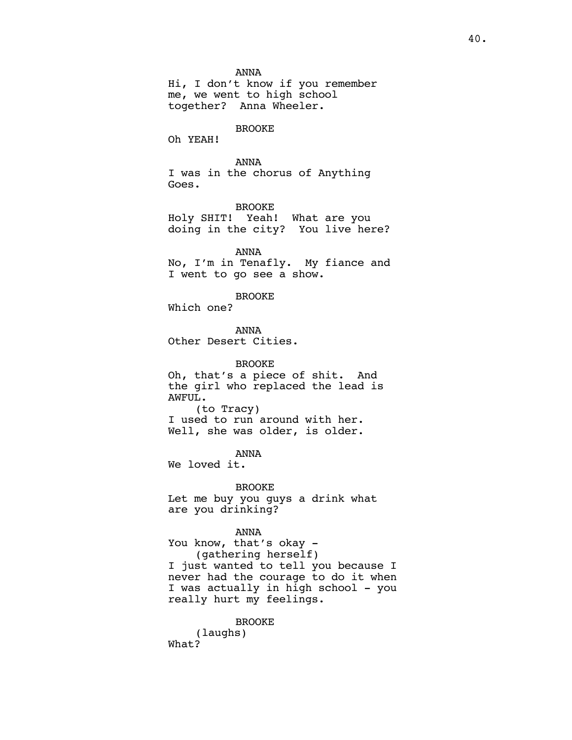ANNA

Hi, I don't know if you remember me, we went to high school together? Anna Wheeler.

# BROOKE

Oh YEAH!

# ANNA

I was in the chorus of Anything Goes.

BROOKE Holy SHIT! Yeah! What are you doing in the city? You live here?

ANNA No, I'm in Tenafly. My fiance and I went to go see a show.

## BROOKE

Which one?

ANNA Other Desert Cities.

BROOKE Oh, that's a piece of shit. And the girl who replaced the lead is AWFUL. (to Tracy) I used to run around with her. Well, she was older, is older.

ANNA

We loved it.

BROOKE Let me buy you guys a drink what are you drinking?

#### ANNA

You know, that's okay -(gathering herself) I just wanted to tell you because I never had the courage to do it when I was actually in high school - you really hurt my feelings.

BROOKE (laughs) What?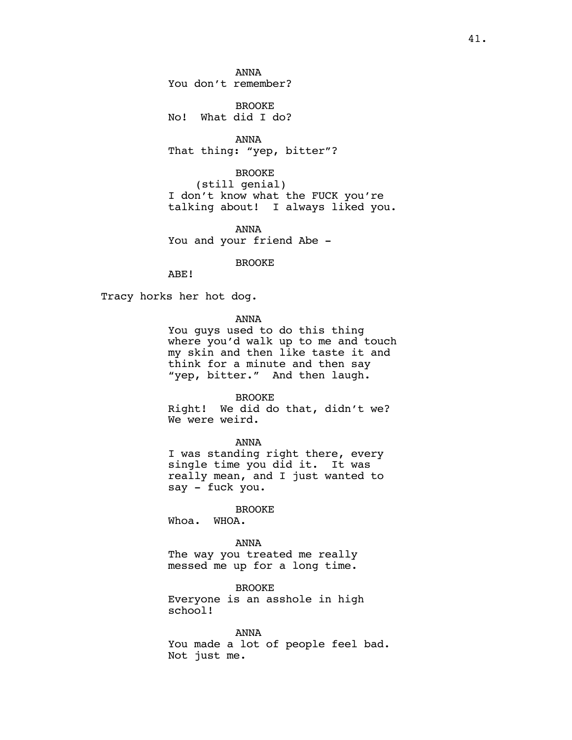ANNA You don't remember?

BROOKE No! What did I do?

ANNA That thing: "yep, bitter"?

BROOKE (still genial) I don't know what the FUCK you're talking about! I always liked you.

ANNA You and your friend Abe -

BROOKE

ABE!

Tracy horks her hot dog.

ANNA

You guys used to do this thing where you'd walk up to me and touch my skin and then like taste it and think for a minute and then say "yep, bitter." And then laugh.

BROOKE

Right! We did do that, didn't we? We were weird.

ANNA

I was standing right there, every single time you did it. It was really mean, and I just wanted to say - fuck you.

BROOKE

Whoa. WHOA.

ANNA The way you treated me really messed me up for a long time.

BROOKE Everyone is an asshole in high school!

ANNA You made a lot of people feel bad. Not just me.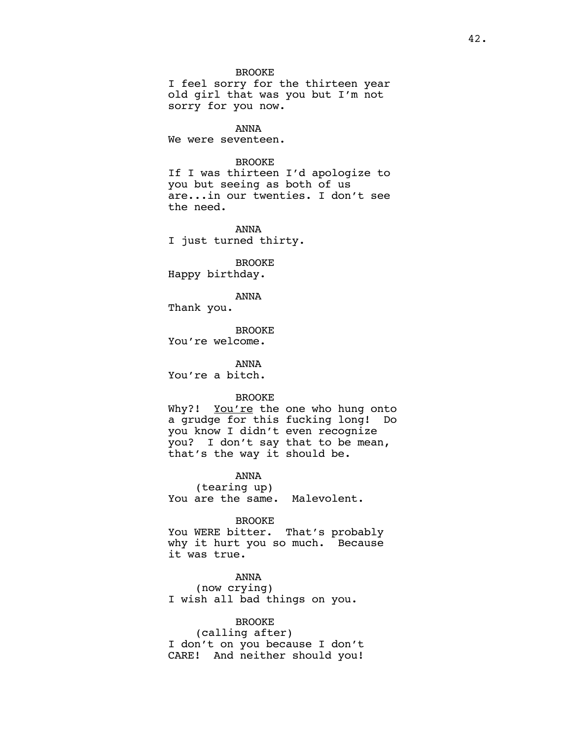BROOKE

I feel sorry for the thirteen year old girl that was you but I'm not sorry for you now.

ANNA We were seventeen.

## BROOKE

If I was thirteen I'd apologize to you but seeing as both of us are...in our twenties. I don't see the need.

ANNA I just turned thirty.

BROOKE Happy birthday.

ANNA

Thank you.

BROOKE You're welcome.

ANNA You're a bitch.

#### BROOKE

Why?! You're the one who hung onto a grudge for this fucking long! Do you know I didn't even recognize you? I don't say that to be mean, that's the way it should be.

ANNA (tearing up) You are the same. Malevolent.

#### BROOKE

You WERE bitter. That's probably why it hurt you so much. Because it was true.

ANNA (now crying) I wish all bad things on you.

# BROOKE

(calling after) I don't on you because I don't CARE! And neither should you!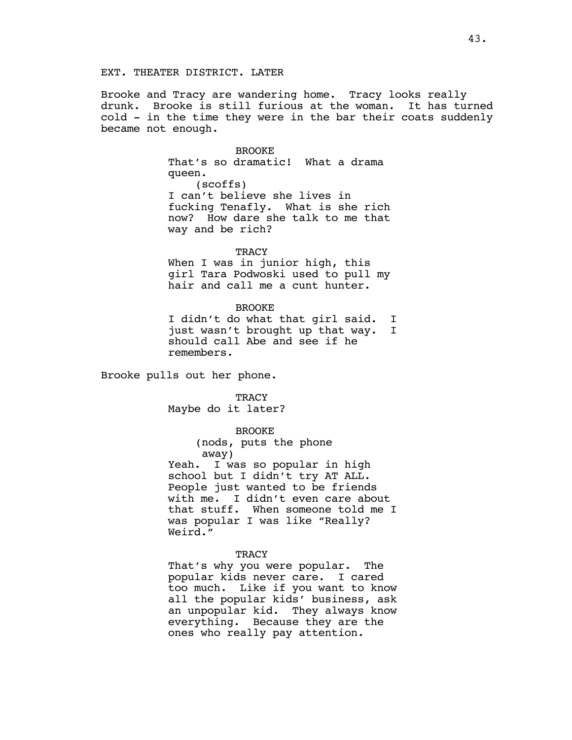Brooke and Tracy are wandering home. Tracy looks really drunk. Brooke is still furious at the woman. It has turned cold - in the time they were in the bar their coats suddenly became not enough.

> BROOKE That's so dramatic! What a drama queen. (scoffs) I can't believe she lives in fucking Tenafly. What is she rich now? How dare she talk to me that way and be rich?

#### **TRACY**

When I was in junior high, this girl Tara Podwoski used to pull my hair and call me a cunt hunter.

#### BROOKE

I didn't do what that girl said. I just wasn't brought up that way. I should call Abe and see if he remembers.

Brooke pulls out her phone.

**TRACY** 

Maybe do it later?

#### BROOKE

(nods, puts the phone away)

Yeah. I was so popular in high school but I didn't try AT ALL. People just wanted to be friends with me. I didn't even care about that stuff. When someone told me I was popular I was like "Really? Weird."

#### **TRACY**

That's why you were popular. The popular kids never care. I cared too much. Like if you want to know all the popular kids' business, ask an unpopular kid. They always know everything. Because they are the ones who really pay attention.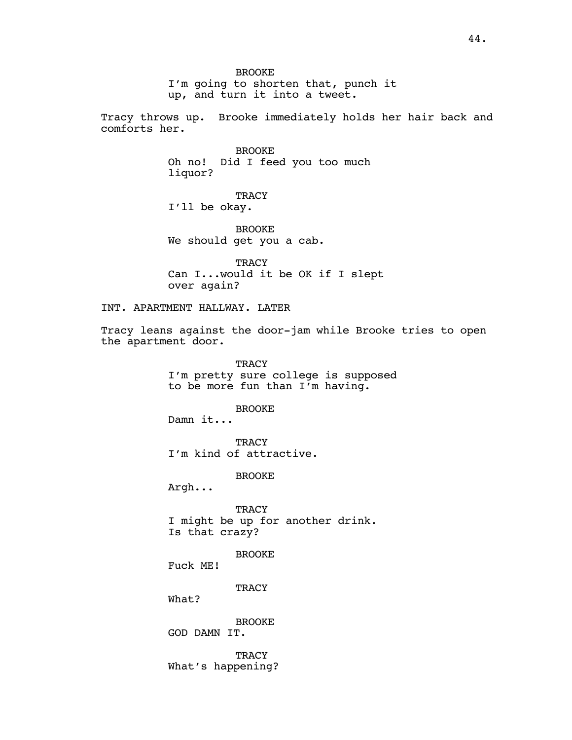BROOKE I'm going to shorten that, punch it up, and turn it into a tweet.

Tracy throws up. Brooke immediately holds her hair back and comforts her.

> BROOKE Oh no! Did I feed you too much liquor?

**TRACY** I'll be okay.

BROOKE We should get you a cab.

**TRACY** Can I...would it be OK if I slept over again?

INT. APARTMENT HALLWAY. LATER

Tracy leans against the door-jam while Brooke tries to open the apartment door.

> **TRACY** I'm pretty sure college is supposed to be more fun than I'm having.

> > BROOKE

Damn it...

**TRACY** I'm kind of attractive.

BROOKE

Argh...

**TRACY** I might be up for another drink. Is that crazy?

BROOKE Fuck ME!

**TRACY** 

What?

BROOKE GOD DAMN IT.

**TRACY** What's happening?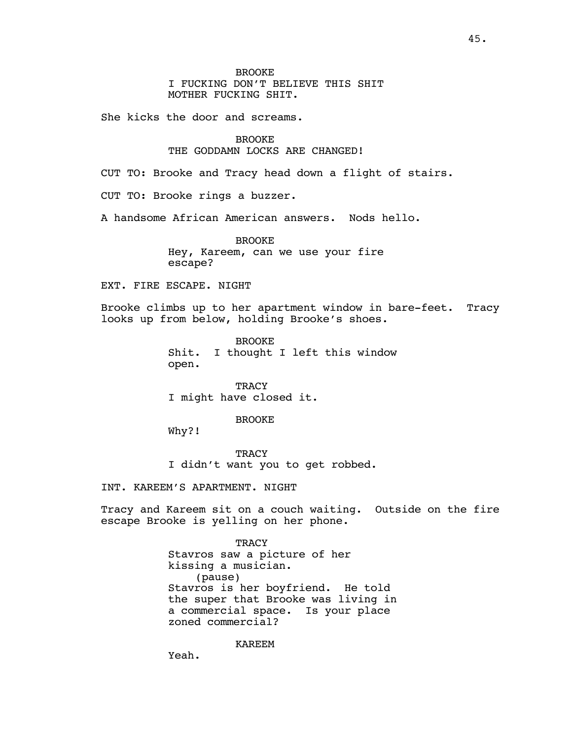She kicks the door and screams.

# BROOKE

# THE GODDAMN LOCKS ARE CHANGED!

CUT TO: Brooke and Tracy head down a flight of stairs.

CUT TO: Brooke rings a buzzer.

A handsome African American answers. Nods hello.

BROOKE Hey, Kareem, can we use your fire escape?

# EXT. FIRE ESCAPE. NIGHT

Brooke climbs up to her apartment window in bare-feet. Tracy looks up from below, holding Brooke's shoes.

> BROOKE Shit. I thought I left this window open.

**TRACY** I might have closed it.

#### BROOKE

Why?!

**TRACY** I didn't want you to get robbed.

INT. KAREEM'S APARTMENT. NIGHT

Tracy and Kareem sit on a couch waiting. Outside on the fire escape Brooke is yelling on her phone.

> **TRACY** Stavros saw a picture of her kissing a musician. (pause) Stavros is her boyfriend. He told the super that Brooke was living in a commercial space. Is your place zoned commercial?

> > KAREEM

Yeah.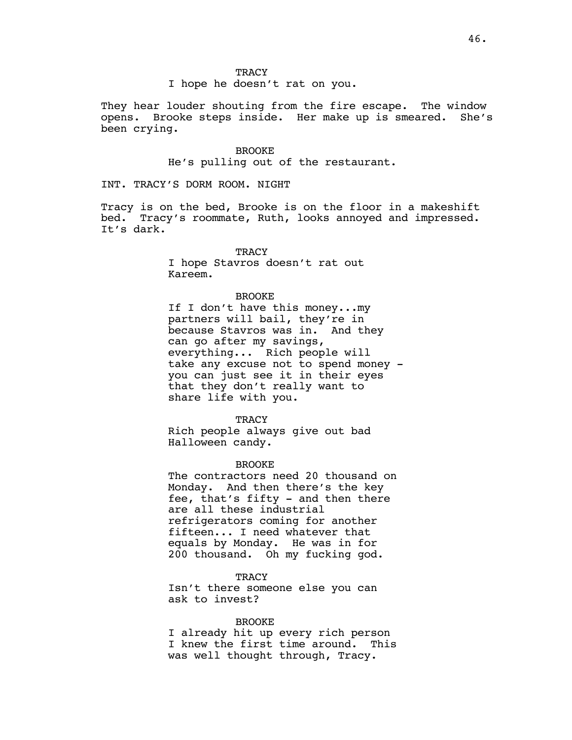# **TRACY**

I hope he doesn't rat on you.

They hear louder shouting from the fire escape. The window opens. Brooke steps inside. Her make up is smeared. She's been crying.

> BROOKE He's pulling out of the restaurant.

INT. TRACY'S DORM ROOM. NIGHT

Tracy is on the bed, Brooke is on the floor in a makeshift bed. Tracy's roommate, Ruth, looks annoyed and impressed. It's dark.

## **TRACY**

I hope Stavros doesn't rat out Kareem.

# BROOKE

If I don't have this money...my partners will bail, they're in because Stavros was in. And they can go after my savings, everything... Rich people will take any excuse not to spend money you can just see it in their eyes that they don't really want to share life with you.

**TRACY** Rich people always give out bad Halloween candy.

BROOKE

The contractors need 20 thousand on Monday. And then there's the key fee, that's fifty - and then there are all these industrial refrigerators coming for another fifteen... I need whatever that equals by Monday. He was in for 200 thousand. Oh my fucking god.

**TRACY** 

Isn't there someone else you can ask to invest?

## BROOKE

I already hit up every rich person I knew the first time around. This was well thought through, Tracy.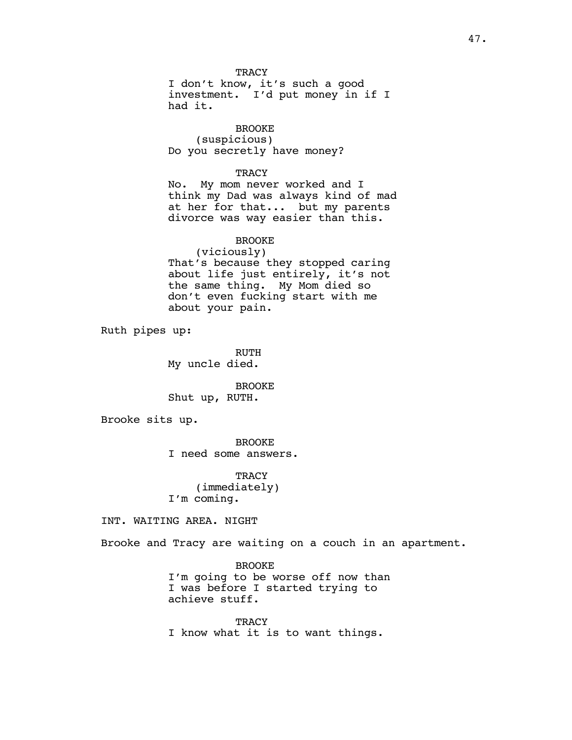**TRACY** I don't know, it's such a good investment. I'd put money in if I had it.

BROOKE (suspicious) Do you secretly have money?

**TRACY** 

No. My mom never worked and I think my Dad was always kind of mad at her for that... but my parents divorce was way easier than this.

BROOKE

(viciously) That's because they stopped caring about life just entirely, it's not the same thing. My Mom died so don't even fucking start with me about your pain.

Ruth pipes up:

RUTH My uncle died.

BROOKE Shut up, RUTH.

Brooke sits up.

BROOKE I need some answers.

TRACY (immediately) I'm coming.

INT. WAITING AREA. NIGHT

Brooke and Tracy are waiting on a couch in an apartment.

BROOKE I'm going to be worse off now than I was before I started trying to achieve stuff.

**TRACY** I know what it is to want things.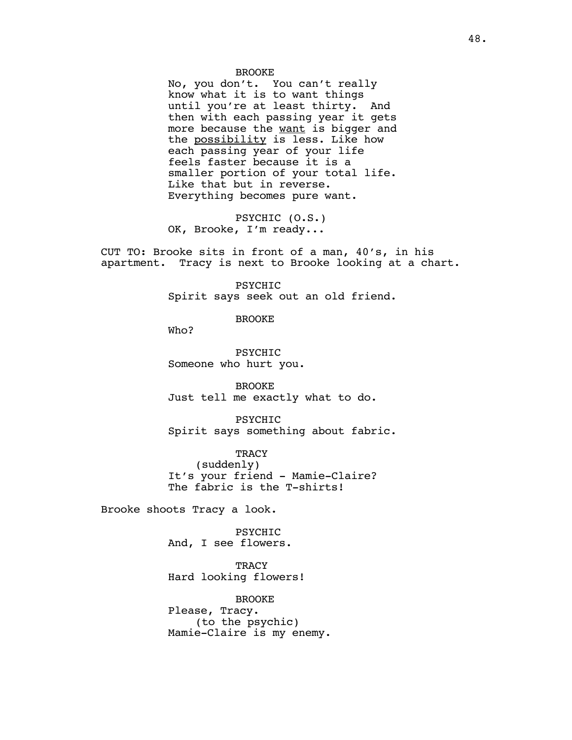#### BROOKE

No, you don't. You can't really know what it is to want things until you're at least thirty. And then with each passing year it gets more because the want is bigger and the possibility is less. Like how each passing year of your life feels faster because it is a smaller portion of your total life. Like that but in reverse. Everything becomes pure want.

PSYCHIC (O.S.) OK, Brooke, I'm ready...

CUT TO: Brooke sits in front of a man, 40's, in his apartment. Tracy is next to Brooke looking at a chart.

> PSYCHIC Spirit says seek out an old friend.

> > BROOKE

Who?

PSYCHIC Someone who hurt you.

BROOKE Just tell me exactly what to do.

PSYCHIC Spirit says something about fabric.

**TRACY** (suddenly) It's your friend - Mamie-Claire? The fabric is the T-shirts!

Brooke shoots Tracy a look.

PSYCHIC And, I see flowers.

**TRACY** Hard looking flowers!

BROOKE Please, Tracy. (to the psychic) Mamie-Claire is my enemy.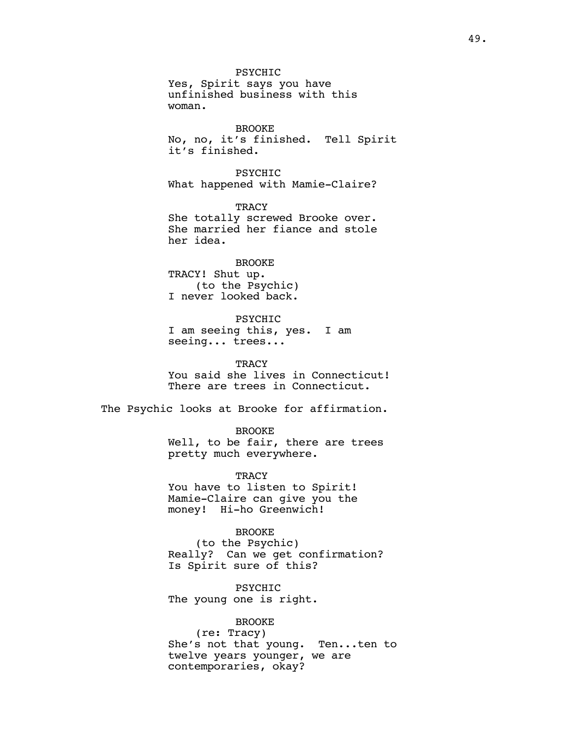PSYCHIC Yes, Spirit says you have unfinished business with this woman.

BROOKE No, no, it's finished. Tell Spirit it's finished.

PSYCHIC What happened with Mamie-Claire?

**TRACY** She totally screwed Brooke over. She married her fiance and stole her idea.

# BROOKE

TRACY! Shut up. (to the Psychic) I never looked back.

PSYCHIC

I am seeing this, yes. I am seeing... trees...

**TRACY** You said she lives in Connecticut! There are trees in Connecticut.

The Psychic looks at Brooke for affirmation.

BROOKE

Well, to be fair, there are trees pretty much everywhere.

TRACY You have to listen to Spirit! Mamie-Claire can give you the money! Hi-ho Greenwich!

BROOKE

(to the Psychic) Really? Can we get confirmation? Is Spirit sure of this?

PSYCHIC The young one is right.

# BROOKE

(re: Tracy) She's not that young. Ten...ten to twelve years younger, we are contemporaries, okay?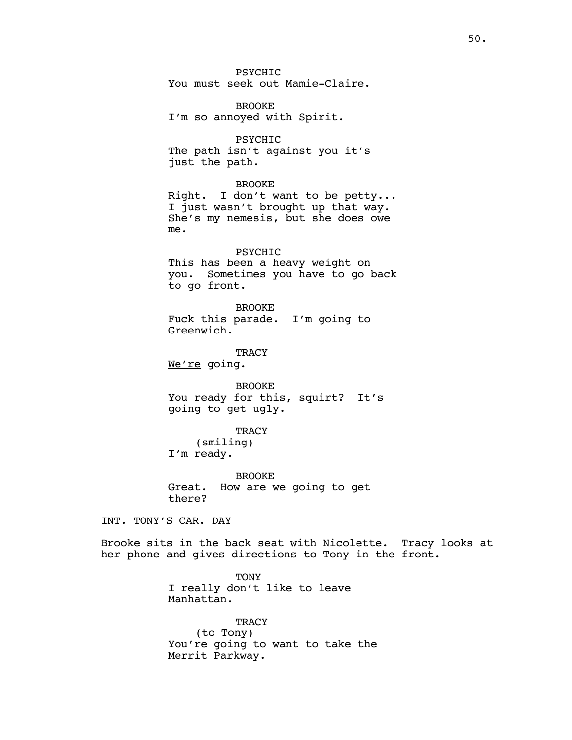PSYCHIC You must seek out Mamie-Claire.

BROOKE I'm so annoyed with Spirit.

PSYCHIC The path isn't against you it's just the path.

## BROOKE

Right. I don't want to be petty... I just wasn't brought up that way. She's my nemesis, but she does owe me.

# PSYCHIC

This has been a heavy weight on you. Sometimes you have to go back to go front.

BROOKE Fuck this parade. I'm going to Greenwich.

TRACY We're going.

BROOKE You ready for this, squirt? It's going to get ugly.

**TRACY** (smiling) I'm ready.

BROOKE Great. How are we going to get there?

INT. TONY'S CAR. DAY

Brooke sits in the back seat with Nicolette. Tracy looks at her phone and gives directions to Tony in the front.

> **TONY** I really don't like to leave Manhattan.

**TRACY** (to Tony) You're going to want to take the Merrit Parkway.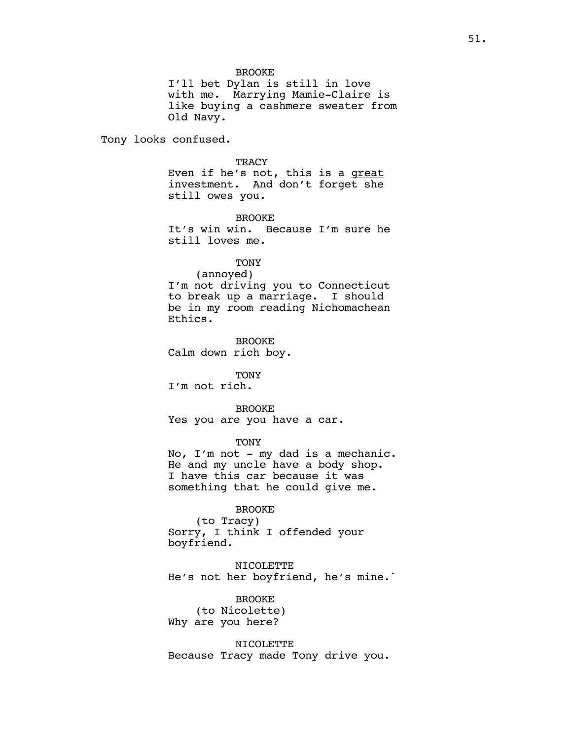BROOKE

I'll bet Dylan is still in love with me. Marrying Mamie-Claire is like buying a cashmere sweater from Old Navy.

Tony looks confused.

#### **TRACY**

Even if he's not, this is a great investment. And don't forget she still owes you.

## BROOKE

It's win win. Because I'm sure he still loves me.

# **TONY**

(annoyed) I'm not driving you to Connecticut to break up a marriage. I should be in my room reading Nichomachean Ethics.

BROOKE Calm down rich boy.

TONY

I'm not rich.

## BROOKE

Yes you are you have a car.

TONY

No, I'm not - my dad is a mechanic. He and my uncle have a body shop. I have this car because it was something that he could give me.

# BROOKE

(to Tracy) Sorry, I think I offended your boyfriend.

NICOLETTE He's not her boyfriend, he's mine.`

BROOKE (to Nicolette) Why are you here?

NICOLETTE Because Tracy made Tony drive you.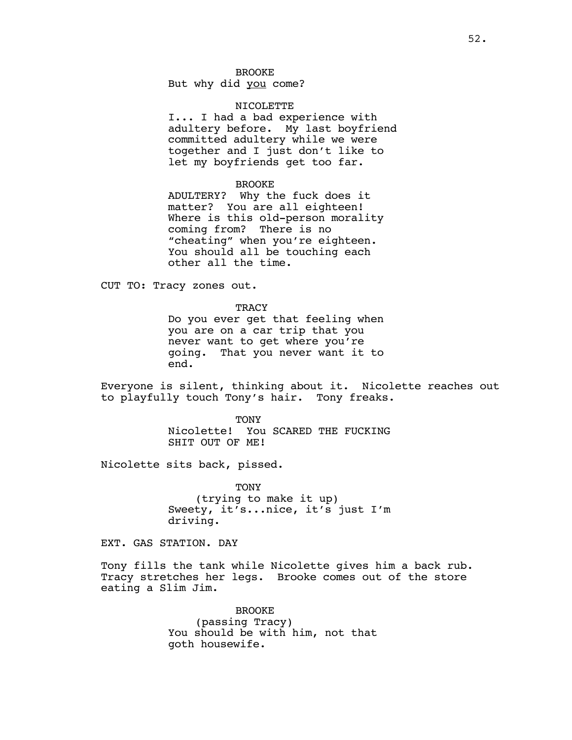But why did you come?

#### NICOLETTE

I... I had a bad experience with adultery before. My last boyfriend committed adultery while we were together and I just don't like to let my boyfriends get too far.

#### BROOKE

ADULTERY? Why the fuck does it matter? You are all eighteen! Where is this old-person morality coming from? There is no "cheating" when you're eighteen. You should all be touching each other all the time.

CUT TO: Tracy zones out.

**TRACY** Do you ever get that feeling when you are on a car trip that you never want to get where you're going. That you never want it to end.

Everyone is silent, thinking about it. Nicolette reaches out to playfully touch Tony's hair. Tony freaks.

> **TONY** Nicolette! You SCARED THE FUCKING SHIT OUT OF ME!

Nicolette sits back, pissed.

**TONY** (trying to make it up) Sweety, it's...nice, it's just I'm driving.

EXT. GAS STATION. DAY

Tony fills the tank while Nicolette gives him a back rub. Tracy stretches her legs. Brooke comes out of the store eating a Slim Jim.

> BROOKE (passing Tracy) You should be with him, not that goth housewife.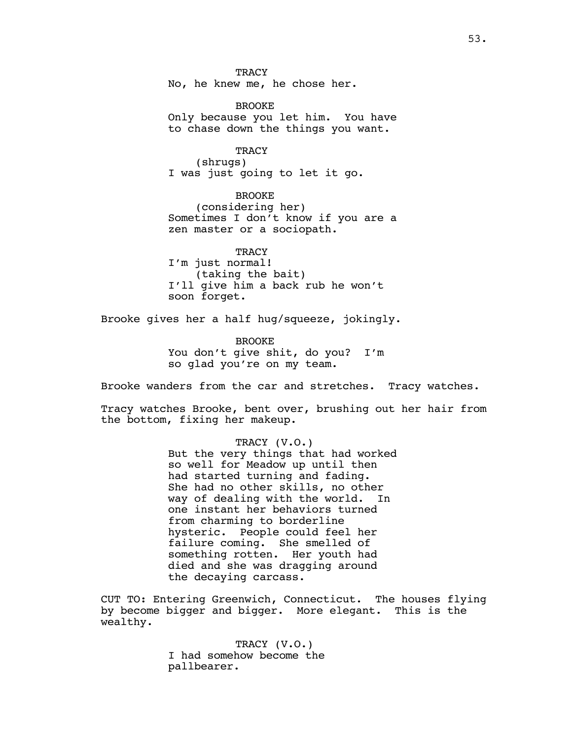**TRACY** No, he knew me, he chose her.

**BROOKE** Only because you let him. You have to chase down the things you want.

**TRACY** (shrugs) I was just going to let it go.

BROOKE (considering her) Sometimes I don't know if you are a zen master or a sociopath.

**TRACY** I'm just normal! (taking the bait) I'll give him a back rub he won't soon forget.

Brooke gives her a half hug/squeeze, jokingly.

**BROOKE** You don't give shit, do you? I'm so glad you're on my team.

Brooke wanders from the car and stretches. Tracy watches.

Tracy watches Brooke, bent over, brushing out her hair from the bottom, fixing her makeup.

> TRACY (V.O.) But the very things that had worked so well for Meadow up until then had started turning and fading. She had no other skills, no other way of dealing with the world. In one instant her behaviors turned from charming to borderline hysteric. People could feel her failure coming. She smelled of something rotten. Her youth had died and she was dragging around the decaying carcass.

CUT TO: Entering Greenwich, Connecticut. The houses flying by become bigger and bigger. More elegant. This is the wealthy.

> TRACY (V.O.) I had somehow become the pallbearer.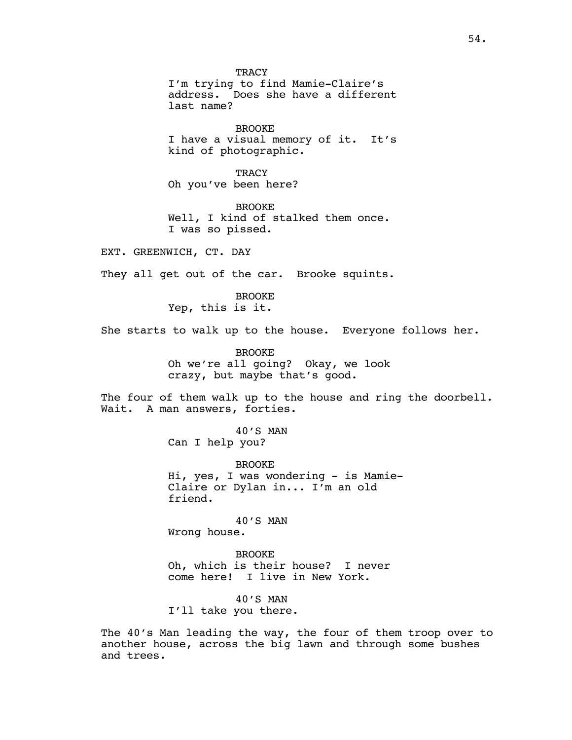TRACY I'm trying to find Mamie-Claire's address. Does she have a different last name?

BROOKE I have a visual memory of it. It's kind of photographic.

**TRACY** Oh you've been here?

BROOKE Well, I kind of stalked them once. I was so pissed.

EXT. GREENWICH, CT. DAY

They all get out of the car. Brooke squints.

BROOKE Yep, this is it.

She starts to walk up to the house. Everyone follows her.

BROOKE Oh we're all going? Okay, we look crazy, but maybe that's good.

The four of them walk up to the house and ring the doorbell. Wait. A man answers, forties.

> 40'S MAN Can I help you?

BROOKE Hi, yes, I was wondering - is Mamie-Claire or Dylan in... I'm an old friend.

40'S MAN Wrong house.

BROOKE Oh, which is their house? I never come here! I live in New York.

40'S MAN I'll take you there.

The 40's Man leading the way, the four of them troop over to another house, across the big lawn and through some bushes and trees.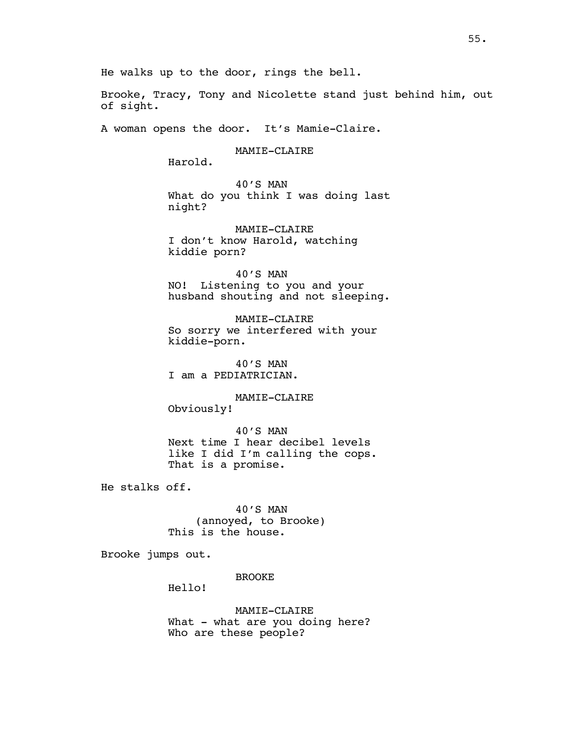He walks up to the door, rings the bell.

Brooke, Tracy, Tony and Nicolette stand just behind him, out of sight.

A woman opens the door. It's Mamie-Claire.

MAMIE-CLAIRE

Harold.

40'S MAN What do you think I was doing last night?

MAMIE-CLAIRE I don't know Harold, watching kiddie porn?

40'S MAN NO! Listening to you and your husband shouting and not sleeping.

MAMIE-CLAIRE So sorry we interfered with your kiddie-porn.

40'S MAN I am a PEDIATRICIAN.

MAMIE-CLAIRE Obviously!

40'S MAN Next time I hear decibel levels like I did I'm calling the cops. That is a promise.

He stalks off.

40'S MAN (annoyed, to Brooke) This is the house.

Brooke jumps out.

BROOKE

Hello!

MAMIE-CLAIRE What - what are you doing here? Who are these people?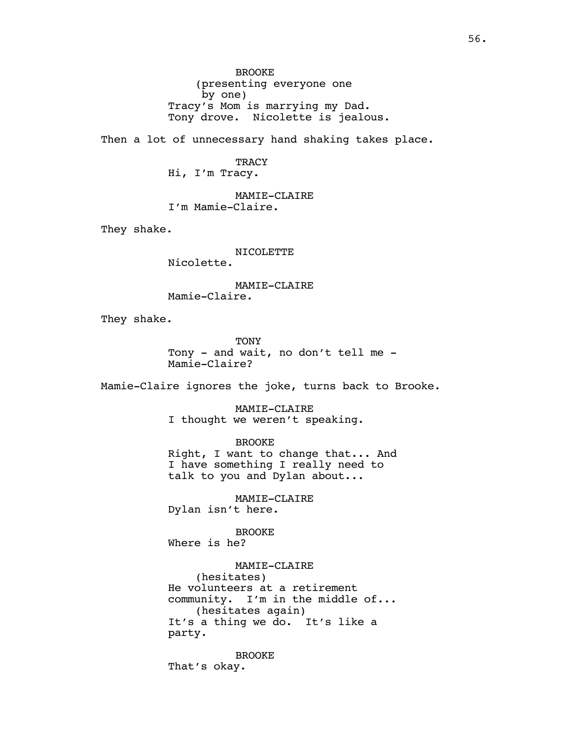BROOKE (presenting everyone one by one) Tracy's Mom is marrying my Dad. Tony drove. Nicolette is jealous.

Then a lot of unnecessary hand shaking takes place.

# **TRACY**

Hi, I'm Tracy.

MAMIE-CLAIRE I'm Mamie-Claire.

They shake.

NICOLETTE Nicolette.

MAMIE-CLAIRE Mamie-Claire.

They shake.

**TONY** Tony - and wait, no don't tell me - Mamie-Claire?

Mamie-Claire ignores the joke, turns back to Brooke.

MAMIE-CLAIRE I thought we weren't speaking.

BROOKE

Right, I want to change that... And I have something I really need to talk to you and Dylan about...

MAMIE-CLAIRE Dylan isn't here.

BROOKE Where is he?

MAMIE-CLAIRE (hesitates) He volunteers at a retirement community. I'm in the middle of... (hesitates again) It's a thing we do. It's like a party.

BROOKE That's okay.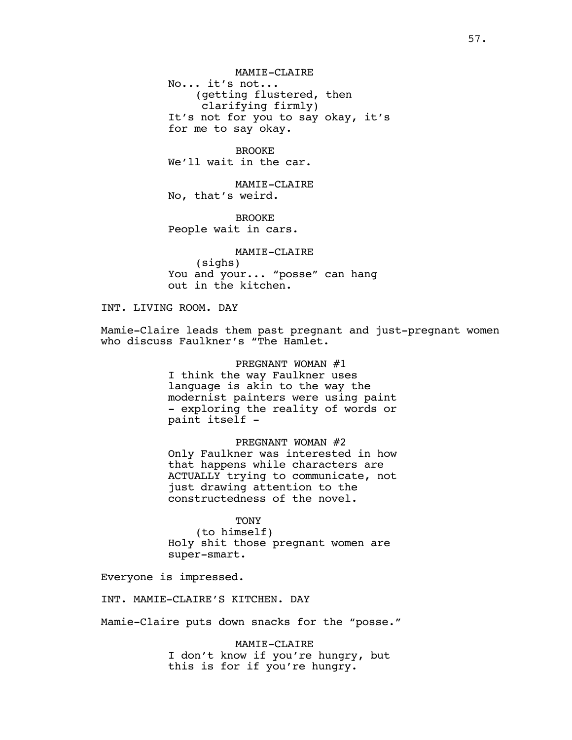MAMIE-CLAIRE No... it's not... (getting flustered, then clarifying firmly) It's not for you to say okay, it's for me to say okay.

BROOKE We'll wait in the car.

MAMIE-CLAIRE No, that's weird.

BROOKE People wait in cars.

MAMIE-CLAIRE (sighs) You and your... "posse" can hang out in the kitchen.

INT. LIVING ROOM. DAY

Mamie-Claire leads them past pregnant and just-pregnant women who discuss Faulkner's "The Hamlet.

> PREGNANT WOMAN #1 I think the way Faulkner uses language is akin to the way the modernist painters were using paint - exploring the reality of words or paint itself -

> PREGNANT WOMAN #2 Only Faulkner was interested in how that happens while characters are ACTUALLY trying to communicate, not just drawing attention to the constructedness of the novel.

> > TONY

(to himself) Holy shit those pregnant women are super-smart.

Everyone is impressed.

INT. MAMIE-CLAIRE'S KITCHEN. DAY

Mamie-Claire puts down snacks for the "posse."

MAMIE-CLAIRE I don't know if you're hungry, but this is for if you're hungry.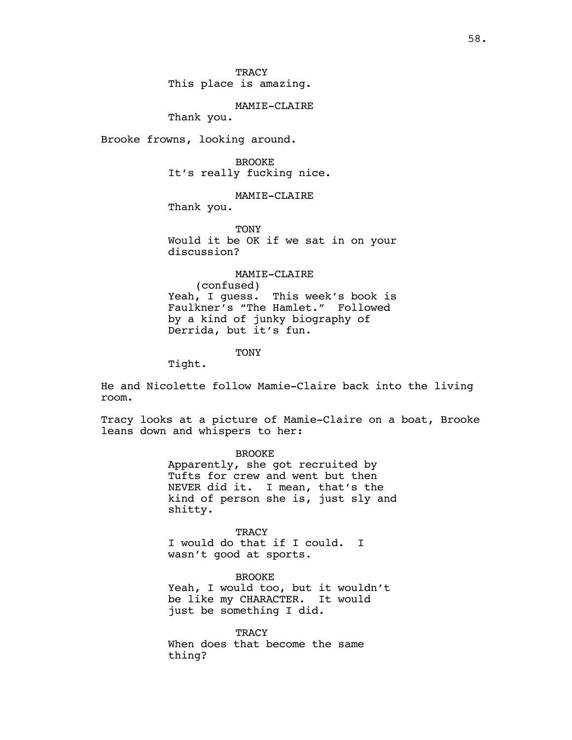This place is amazing.

MAMIE-CLAIRE

Thank you.

Brooke frowns, looking around.

BROOKE It's really fucking nice.

MAMIE-CLAIRE

Thank you.

TONY Would it be OK if we sat in on your discussion?

#### MAMIE-CLAIRE

(confused) Yeah, I guess. This week's book is Faulkner's "The Hamlet." Followed by a kind of junky biography of Derrida, but it's fun.

TONY

Tight.

He and Nicolette follow Mamie-Claire back into the living room.

Tracy looks at a picture of Mamie-Claire on a boat, Brooke leans down and whispers to her:

> BROOKE Apparently, she got recruited by Tufts for crew and went but then NEVER did it. I mean, that's the kind of person she is, just sly and shitty.

**TRACY** I would do that if I could. I wasn't good at sports.

BROOKE Yeah, I would too, but it wouldn't be like my CHARACTER. It would just be something I did.

**TRACY** When does that become the same thing?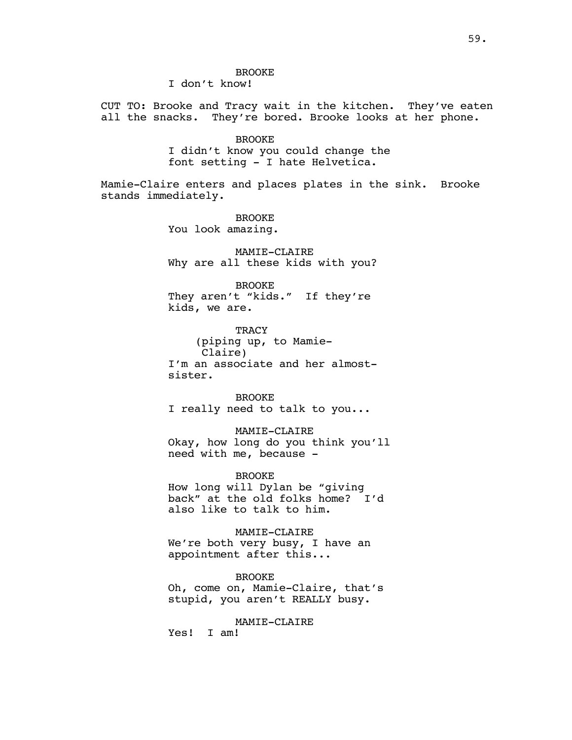# BROOKE

I don't know!

CUT TO: Brooke and Tracy wait in the kitchen. They've eaten all the snacks. They're bored. Brooke looks at her phone.

#### BROOKE

I didn't know you could change the font setting - I hate Helvetica.

Mamie-Claire enters and places plates in the sink. Brooke stands immediately.

> BROOKE You look amazing.

MAMIE-CLAIRE Why are all these kids with you?

#### BROOKE

They aren't "kids." If they're kids, we are.

**TRACY** (piping up, to Mamie-Claire) I'm an associate and her almostsister.

BROOKE I really need to talk to you...

#### MAMIE-CLAIRE

Okay, how long do you think you'll need with me, because -

#### BROOKE

How long will Dylan be "giving back" at the old folks home? I'd also like to talk to him.

#### MAMIE-CLAIRE

We're both very busy, I have an appointment after this...

## BROOKE

Oh, come on, Mamie-Claire, that's stupid, you aren't REALLY busy.

## MAMIE-CLAIRE

Yes! I am!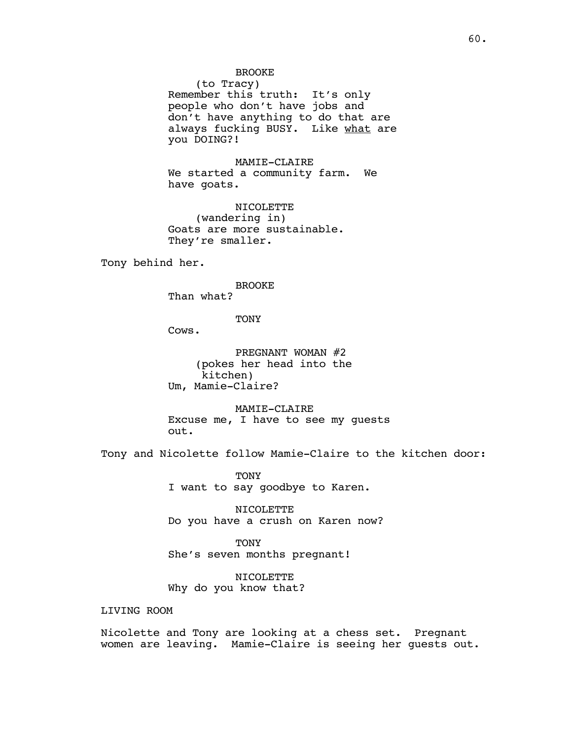# BROOKE

(to Tracy) Remember this truth: It's only people who don't have jobs and don't have anything to do that are always fucking BUSY. Like what are you DOING?!

MAMIE-CLAIRE We started a community farm. We have goats.

NICOLETTE (wandering in) Goats are more sustainable. They're smaller.

Tony behind her.

### BROOKE

Than what?

**TONY** 

Cows.

PREGNANT WOMAN #2 (pokes her head into the kitchen) Um, Mamie-Claire?

MAMIE-CLAIRE Excuse me, I have to see my guests out.

Tony and Nicolette follow Mamie-Claire to the kitchen door:

TONY I want to say goodbye to Karen.

NICOLETTE Do you have a crush on Karen now?

**TONY** She's seven months pregnant!

NICOLETTE Why do you know that?

# LIVING ROOM

Nicolette and Tony are looking at a chess set. Pregnant women are leaving. Mamie-Claire is seeing her guests out.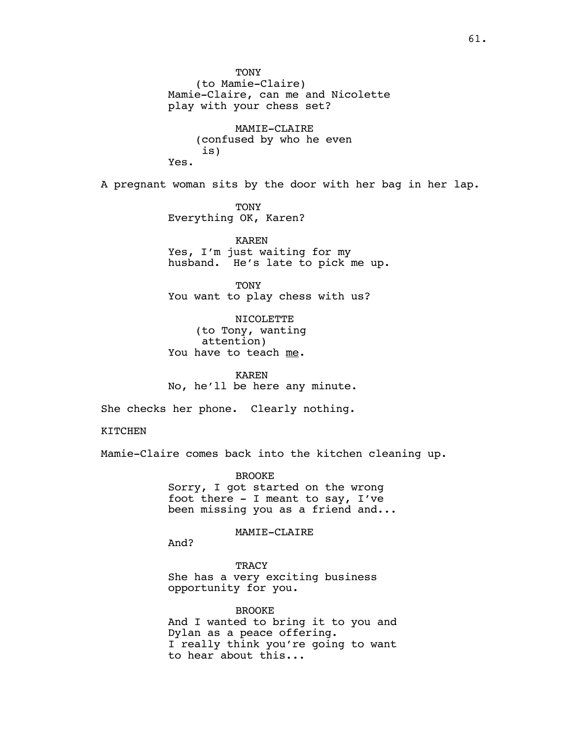**TONY** (to Mamie-Claire) Mamie-Claire, can me and Nicolette play with your chess set?

MAMIE-CLAIRE (confused by who he even is) Yes.

A pregnant woman sits by the door with her bag in her lap.

**TONY** Everything OK, Karen?

KAREN Yes, I'm just waiting for my husband. He's late to pick me up.

TONY You want to play chess with us?

NICOLETTE (to Tony, wanting attention) You have to teach me.

KAREN No, he'll be here any minute.

She checks her phone. Clearly nothing.

KITCHEN

Mamie-Claire comes back into the kitchen cleaning up.

BROOKE Sorry, I got started on the wrong foot there - I meant to say, I've been missing you as a friend and...

MAMIE-CLAIRE

And?

**TRACY** She has a very exciting business opportunity for you.

BROOKE And I wanted to bring it to you and Dylan as a peace offering. I really think you're going to want to hear about this...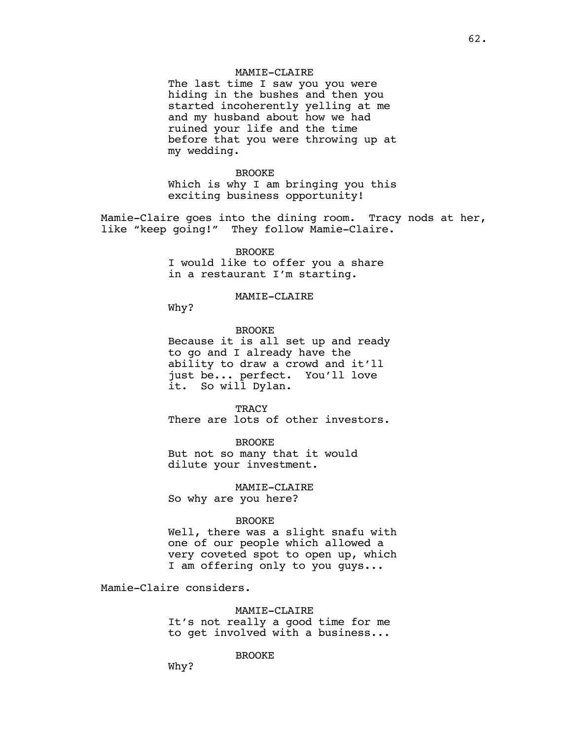# MAMIE-CLAIRE

The last time I saw you you were hiding in the bushes and then you started incoherently yelling at me and my husband about how we had ruined your life and the time before that you were throwing up at my wedding.

#### BROOKE

Which is why I am bringing you this exciting business opportunity!

Mamie-Claire goes into the dining room. Tracy nods at her, like "keep going!" They follow Mamie-Claire.

# BROOKE

I would like to offer you a share in a restaurant I'm starting.

## MAMIE-CLAIRE

Why?

# BROOKE

Because it is all set up and ready to go and I already have the ability to draw a crowd and it'll just be... perfect. You'll love it. So will Dylan.

**TRACY** There are lots of other investors.

# BROOKE

But not so many that it would dilute your investment.

#### MAMIE-CLAIRE

So why are you here?

#### BROOKE

Well, there was a slight snafu with one of our people which allowed a very coveted spot to open up, which I am offering only to you guys...

Mamie-Claire considers.

## MAMIE-CLAIRE

It's not really a good time for me to get involved with a business...

#### BROOKE

Why?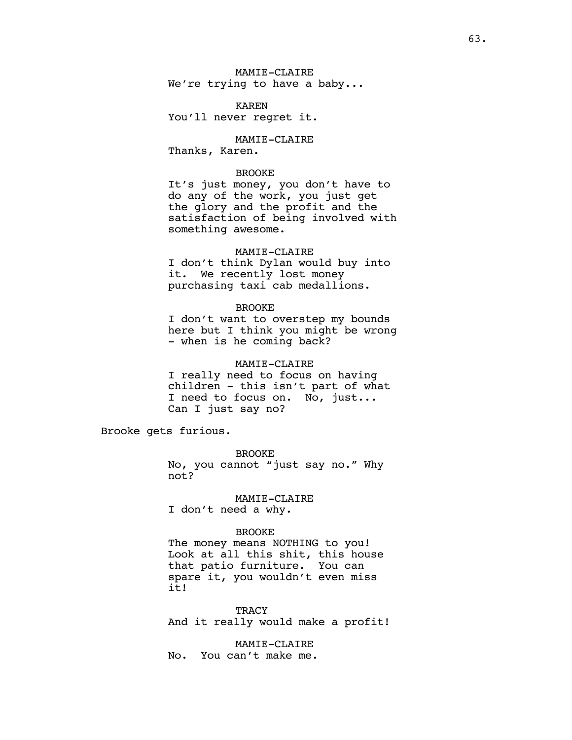MAMIE-CLAIRE We're trying to have a baby...

KAREN You'll never regret it.

MAMIE-CLAIRE Thanks, Karen.

## BROOKE

It's just money, you don't have to do any of the work, you just get the glory and the profit and the satisfaction of being involved with something awesome.

## MAMIE-CLAIRE

I don't think Dylan would buy into it. We recently lost money purchasing taxi cab medallions.

#### BROOKE

I don't want to overstep my bounds here but I think you might be wrong - when is he coming back?

#### MAMIE-CLAIRE

I really need to focus on having children - this isn't part of what I need to focus on. No, just... Can I just say no?

Brooke gets furious.

BROOKE No, you cannot "just say no." Why not?

# MAMIE-CLAIRE

I don't need a why.

## BROOKE

The money means NOTHING to you! Look at all this shit, this house that patio furniture. You can spare it, you wouldn't even miss it!

# **TRACY**

And it really would make a profit!

MAMIE-CLAIRE

No. You can't make me.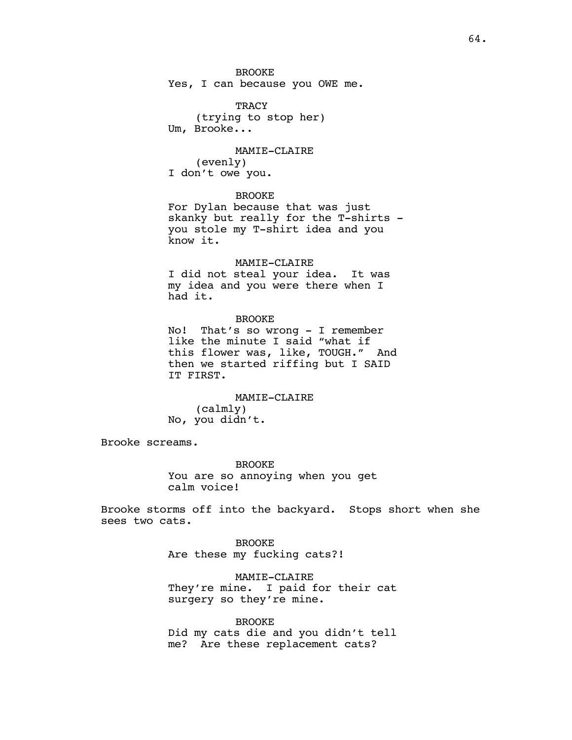TRACY (trying to stop her) Um, Brooke...

MAMIE-CLAIRE (evenly) I don't owe you.

## BROOKE

For Dylan because that was just skanky but really for the T-shirts you stole my T-shirt idea and you know it.

# MAMIE-CLAIRE

I did not steal your idea. It was my idea and you were there when I had it.

# BROOKE

No! That's so wrong - I remember like the minute I said "what if this flower was, like, TOUGH." And then we started riffing but I SAID IT FIRST.

MAMIE-CLAIRE (calmly) No, you didn't.

Brooke screams.

BROOKE You are so annoying when you get calm voice!

Brooke storms off into the backyard. Stops short when she sees two cats.

> BROOKE Are these my fucking cats?!

MAMIE-CLAIRE They're mine. I paid for their cat surgery so they're mine.

BROOKE Did my cats die and you didn't tell me? Are these replacement cats?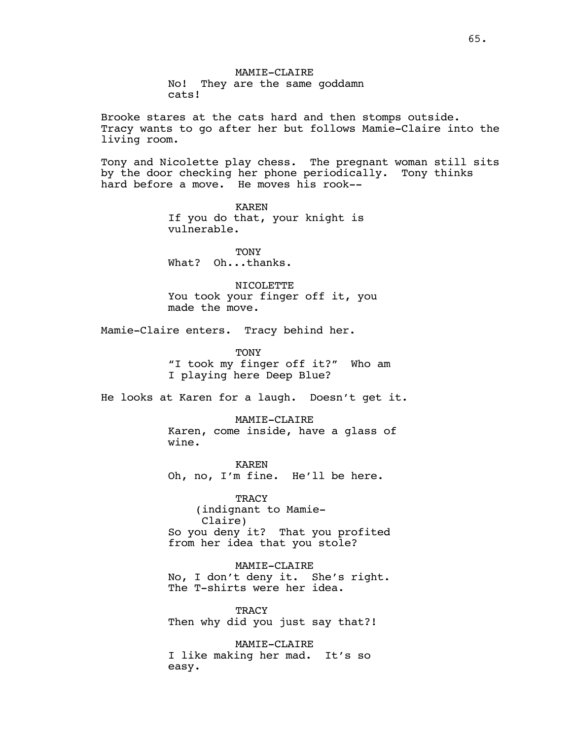MAMIE-CLAIRE No! They are the same goddamn cats!

Brooke stares at the cats hard and then stomps outside. Tracy wants to go after her but follows Mamie-Claire into the living room.

Tony and Nicolette play chess. The pregnant woman still sits by the door checking her phone periodically. Tony thinks hard before a move. He moves his rook--

> KAREN If you do that, your knight is vulnerable.

**TONY** What? Oh...thanks.

NICOLETTE You took your finger off it, you made the move.

Mamie-Claire enters. Tracy behind her.

TONY "I took my finger off it?" Who am I playing here Deep Blue?

He looks at Karen for a laugh. Doesn't get it.

MAMIE-CLAIRE Karen, come inside, have a glass of wine.

KAREN Oh, no, I'm fine. He'll be here.

**TRACY** (indignant to Mamie-Claire) So you deny it? That you profited from her idea that you stole?

MAMIE-CLAIRE No, I don't deny it. She's right. The T-shirts were her idea.

**TRACY** Then why did you just say that?!

MAMIE-CLAIRE I like making her mad. It's so easy.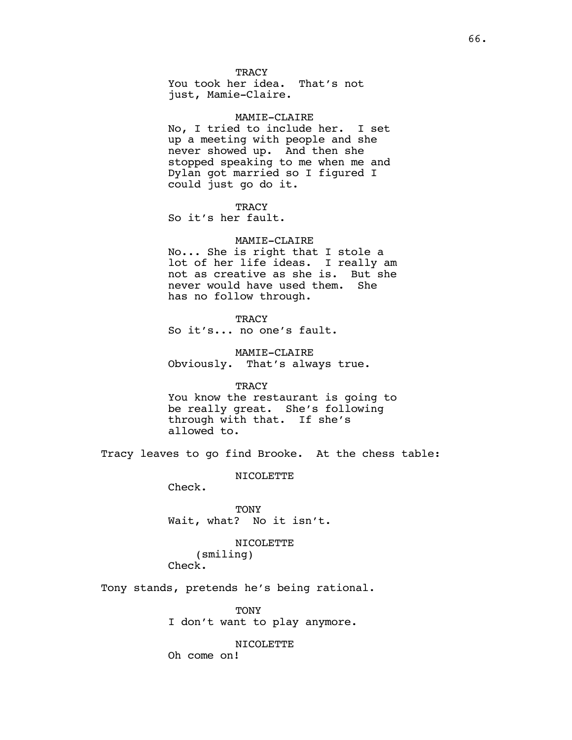**TRACY** 

You took her idea. That's not just, Mamie-Claire.

#### MAMIE-CLAIRE

No, I tried to include her. I set up a meeting with people and she never showed up. And then she stopped speaking to me when me and Dylan got married so I figured I could just go do it.

#### **TRACY**

So it's her fault.

# MAMIE-CLAIRE

No... She is right that I stole a lot of her life ideas. I really am not as creative as she is. But she never would have used them. She has no follow through.

**TRACY** 

So it's... no one's fault.

MAMIE-CLAIRE Obviously. That's always true.

#### **TRACY**

You know the restaurant is going to be really great. She's following through with that. If she's allowed to.

Tracy leaves to go find Brooke. At the chess table:

NICOLETTE

Check.

TONY Wait, what? No it isn't.

# NICOLETTE (smiling) Check.

Tony stands, pretends he's being rational.

TONY I don't want to play anymore.

NICOLETTE

Oh come on!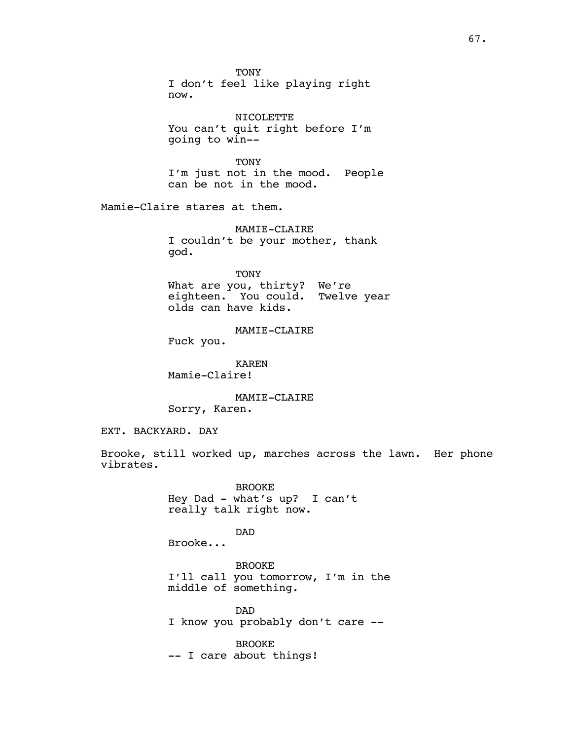**TONY** I don't feel like playing right now.

NICOLETTE You can't quit right before I'm going to win--

TONY I'm just not in the mood. People can be not in the mood.

Mamie-Claire stares at them.

MAMIE-CLAIRE I couldn't be your mother, thank god.

TONY What are you, thirty? We're eighteen. You could. Twelve year olds can have kids.

MAMIE-CLAIRE

Fuck you.

KAREN Mamie-Claire!

MAMIE-CLAIRE Sorry, Karen.

EXT. BACKYARD. DAY

Brooke, still worked up, marches across the lawn. Her phone vibrates.

> BROOKE Hey Dad - what's up? I can't really talk right now.

DAD Brooke...

BROOKE I'll call you tomorrow, I'm in the middle of something.

DAD I know you probably don't care --

BROOKE -- I care about things!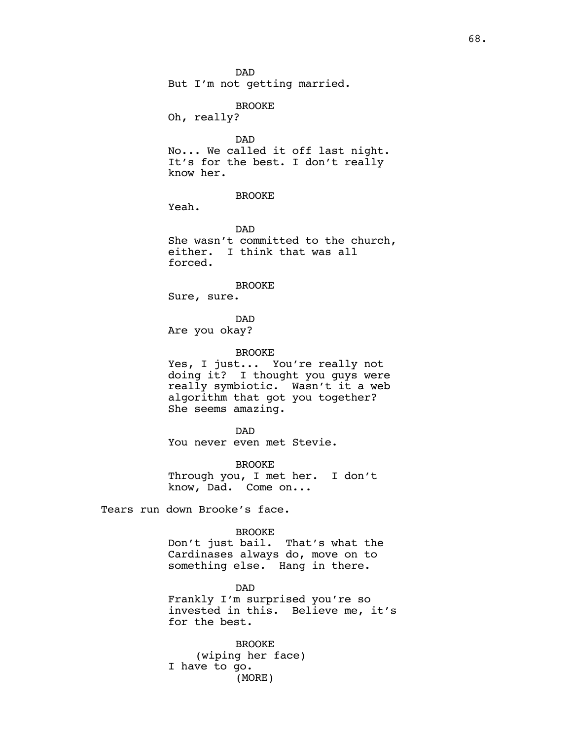# BROOKE

Oh, really?

DAD No... We called it off last night. It's for the best. I don't really know her.

# BROOKE

Yeah.

DAD She wasn't committed to the church, either. I think that was all forced.

#### BROOKE

Sure, sure.

DAD

Are you okay?

#### BROOKE

Yes, I just... You're really not doing it? I thought you guys were really symbiotic. Wasn't it a web algorithm that got you together? She seems amazing.

#### DAD

You never even met Stevie.

#### BROOKE

Through you, I met her. I don't know, Dad. Come on...

Tears run down Brooke's face.

#### BROOKE

Don't just bail. That's what the Cardinases always do, move on to something else. Hang in there.

DAD Frankly I'm surprised you're so invested in this. Believe me, it's for the best.

BROOKE (wiping her face) I have to go. (MORE)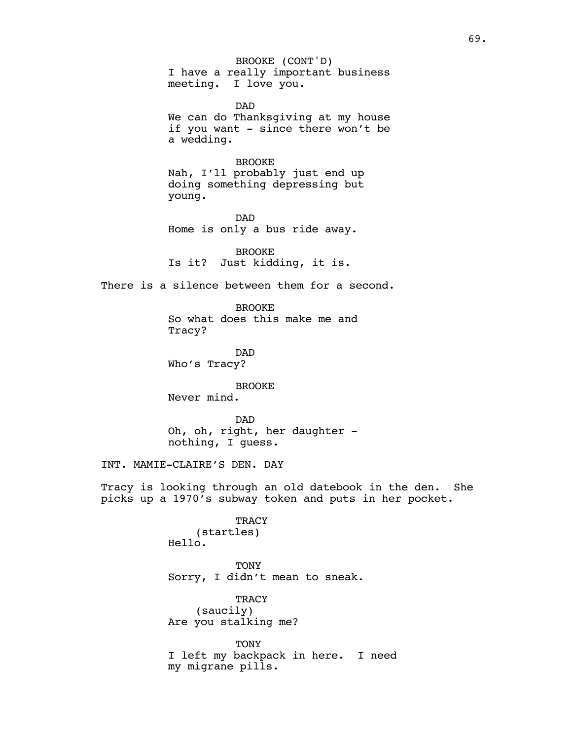I have a really important business meeting. I love you. BROOKE (CONT'D)

DAD We can do Thanksgiving at my house if you want - since there won't be a wedding.

# BROOKE

Nah, I'll probably just end up doing something depressing but young.

DAD Home is only a bus ride away.

BROOKE Is it? Just kidding, it is.

There is a silence between them for a second.

BROOKE So what does this make me and Tracy?

DAD Who's Tracy?

BROOKE Never mind.

DAD Oh, oh, right, her daughter nothing, I guess.

INT. MAMIE-CLAIRE'S DEN. DAY

Tracy is looking through an old datebook in the den. She picks up a 1970's subway token and puts in her pocket.

> **TRACY** (startles) Hello.

TONY Sorry, I didn't mean to sneak.

**TRACY** (saucily) Are you stalking me?

**TONY** I left my backpack in here. I need my migrane pills.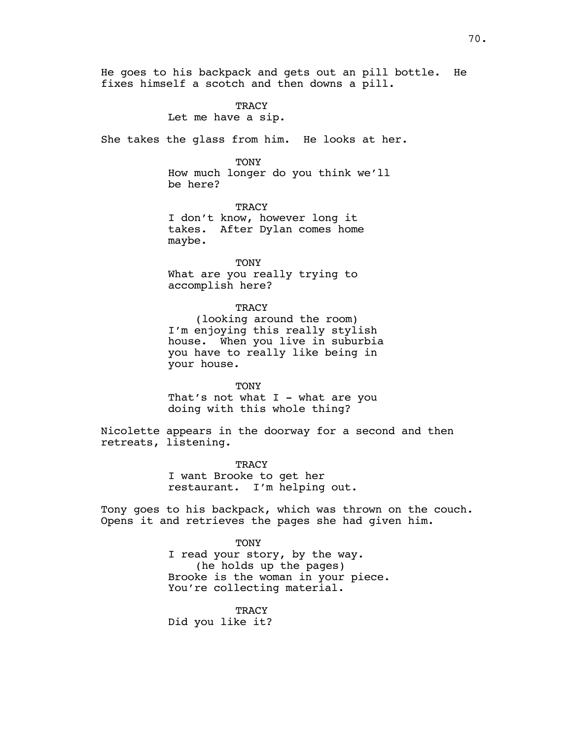He goes to his backpack and gets out an pill bottle. He fixes himself a scotch and then downs a pill.

TRACY

Let me have a sip.

She takes the glass from him. He looks at her.

TONY

How much longer do you think we'll be here?

**TRACY** I don't know, however long it takes. After Dylan comes home maybe.

TONY

What are you really trying to accomplish here?

### **TRACY**

(looking around the room) I'm enjoying this really stylish house. When you live in suburbia you have to really like being in your house.

TONY

That's not what  $I$  - what are you doing with this whole thing?

Nicolette appears in the doorway for a second and then retreats, listening.

> TRACY I want Brooke to get her restaurant. I'm helping out.

Tony goes to his backpack, which was thrown on the couch. Opens it and retrieves the pages she had given him.

> **TONY** I read your story, by the way. (he holds up the pages) Brooke is the woman in your piece. You're collecting material.

> > **TRACY**

Did you like it?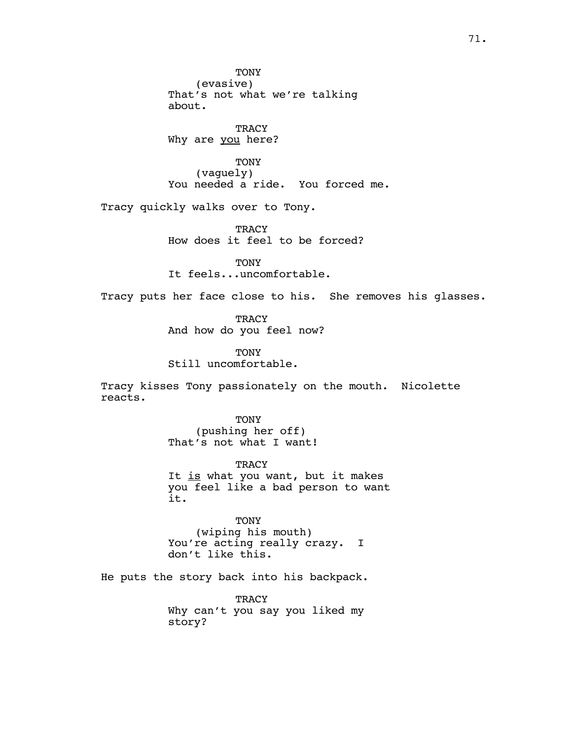**TONY** (evasive) That's not what we're talking about.

**TRACY** Why are you here?

TONY (vaguely) You needed a ride. You forced me.

Tracy quickly walks over to Tony.

TRACY How does it feel to be forced?

TONY It feels...uncomfortable.

Tracy puts her face close to his. She removes his glasses.

**TRACY** And how do you feel now?

TONY Still uncomfortable.

Tracy kisses Tony passionately on the mouth. Nicolette reacts.

> TONY (pushing her off) That's not what I want!

**TRACY** It is what you want, but it makes you feel like a bad person to want it.

TONY (wiping his mouth) You're acting really crazy. I don't like this.

He puts the story back into his backpack.

TRACY Why can't you say you liked my story?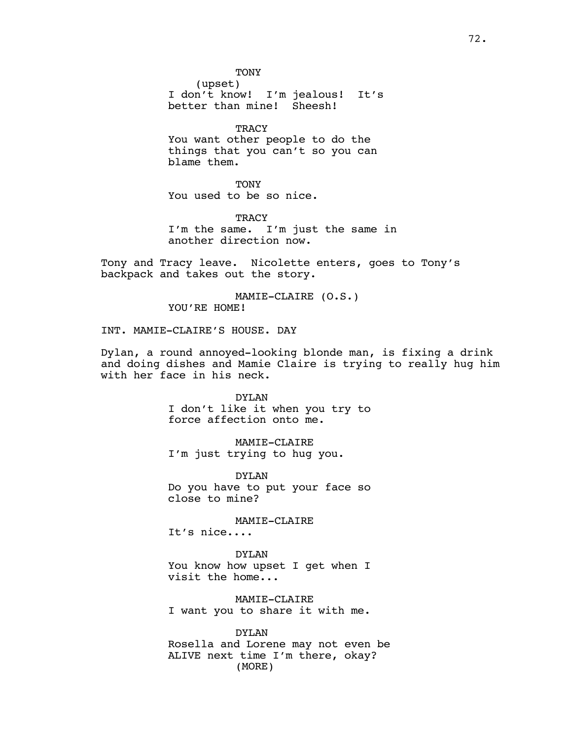**TONY** 

(upset) I don't know! I'm jealous! It's better than mine! Sheesh!

**TRACY** You want other people to do the things that you can't so you can blame them.

**TONY** You used to be so nice.

**TRACY** I'm the same. I'm just the same in another direction now.

Tony and Tracy leave. Nicolette enters, goes to Tony's backpack and takes out the story.

> MAMIE-CLAIRE (O.S.) YOU'RE HOME!

INT. MAMIE-CLAIRE'S HOUSE. DAY

Dylan, a round annoyed-looking blonde man, is fixing a drink and doing dishes and Mamie Claire is trying to really hug him with her face in his neck.

> DYLAN I don't like it when you try to force affection onto me.

MAMIE-CLAIRE I'm just trying to hug you.

DYLAN Do you have to put your face so close to mine?

MAMIE-CLAIRE

It's nice....

DYLAN You know how upset I get when I visit the home...

MAMIE-CLAIRE I want you to share it with me.

DYLAN Rosella and Lorene may not even be ALIVE next time I'm there, okay? (MORE)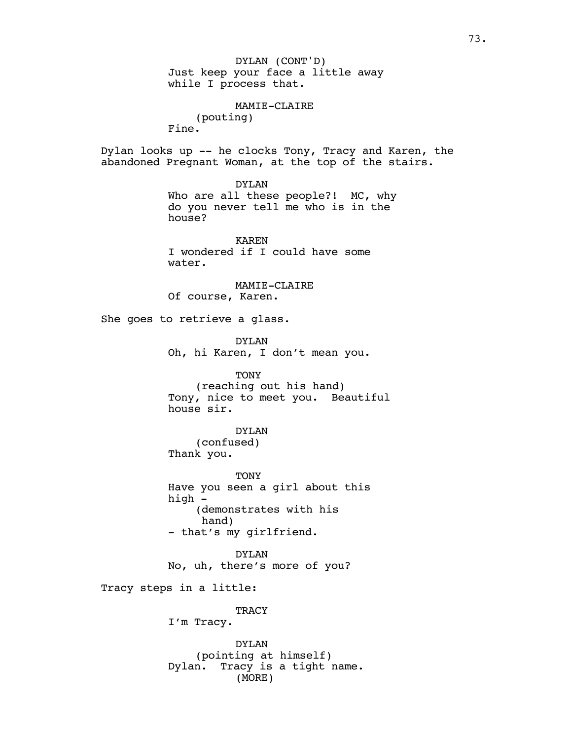Just keep your face a little away while I process that. DYLAN (CONT'D)

MAMIE-CLAIRE (pouting) Fine.

Dylan looks up -- he clocks Tony, Tracy and Karen, the abandoned Pregnant Woman, at the top of the stairs.

> DYLAN Who are all these people?! MC, why do you never tell me who is in the house?

KAREN I wondered if I could have some water.

MAMIE-CLAIRE Of course, Karen.

She goes to retrieve a glass.

DYLAN Oh, hi Karen, I don't mean you.

TONY (reaching out his hand) Tony, nice to meet you. Beautiful house sir.

DYLAN (confused) Thank you.

TONY Have you seen a girl about this high - (demonstrates with his hand) - that's my girlfriend.

DYLAN No, uh, there's more of you?

Tracy steps in a little:

**TRACY** 

I'm Tracy.

DYLAN (pointing at himself) Dylan. Tracy is a tight name. (MORE)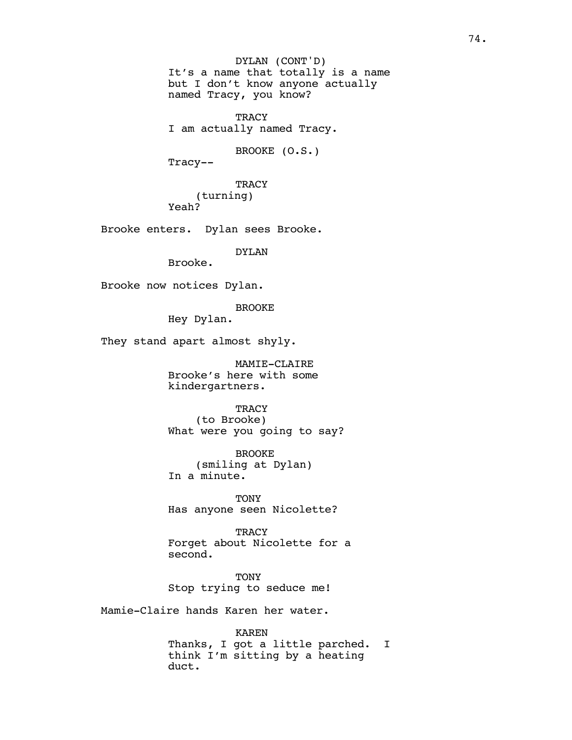It's a name that totally is a name but I don't know anyone actually named Tracy, you know? **TRACY** I am actually named Tracy. BROOKE (O.S.) Tracy-- **TRACY** (turning) Yeah? Brooke enters. Dylan sees Brooke. DYLAN Brooke. Brooke now notices Dylan. BROOKE Hey Dylan. They stand apart almost shyly. MAMIE-CLAIRE Brooke's here with some kindergartners. **TRACY** (to Brooke) What were you going to say? BROOKE (smiling at Dylan) In a minute. TONY Has anyone seen Nicolette? **TRACY** Forget about Nicolette for a second. **TONY** Stop trying to seduce me! Mamie-Claire hands Karen her water. DYLAN (CONT'D)

> KAREN Thanks, I got a little parched. I think I'm sitting by a heating duct.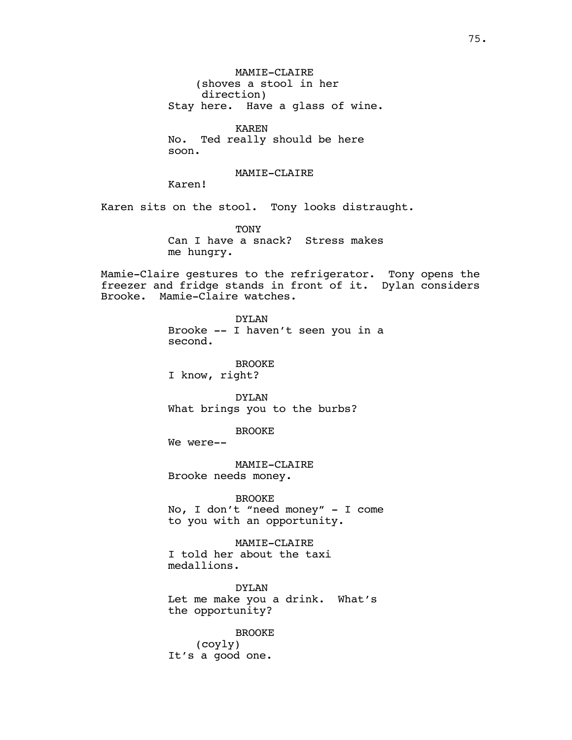MAMIE-CLAIRE (shoves a stool in her direction) Stay here. Have a glass of wine.

KAREN No. Ted really should be here soon.

## MAMIE-CLAIRE

Karen!

Karen sits on the stool. Tony looks distraught.

TONY Can I have a snack? Stress makes me hungry.

Mamie-Claire gestures to the refrigerator. Tony opens the freezer and fridge stands in front of it. Dylan considers Brooke. Mamie-Claire watches.

> DYLAN Brooke -- I haven't seen you in a second.

BROOKE I know, right?

DYLAN What brings you to the burbs?

BROOKE

We were--

MAMIE-CLAIRE Brooke needs money.

BROOKE No, I don't "need money" - I come to you with an opportunity.

MAMIE-CLAIRE I told her about the taxi medallions.

DYLAN Let me make you a drink. What's the opportunity?

BROOKE (coyly) It's a good one.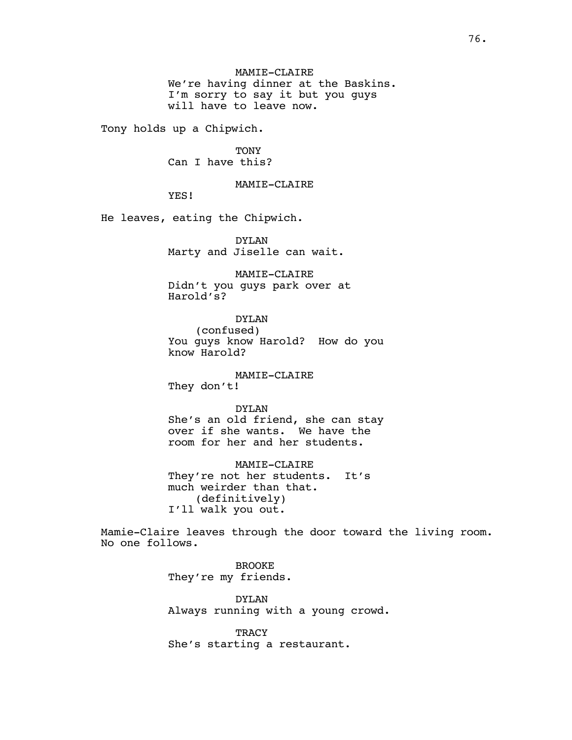MAMIE-CLAIRE We're having dinner at the Baskins. I'm sorry to say it but you guys will have to leave now.

Tony holds up a Chipwich.

TONY Can I have this?

MAMIE-CLAIRE

YES!

He leaves, eating the Chipwich.

DYLAN Marty and Jiselle can wait.

MAMIE-CLAIRE Didn't you guys park over at Harold's?

DYLAN (confused) You guys know Harold? How do you know Harold?

## MAMIE-CLAIRE

They don't!

DYLAN

She's an old friend, she can stay over if she wants. We have the room for her and her students.

MAMIE-CLAIRE They're not her students. It's much weirder than that. (definitively) I'll walk you out.

Mamie-Claire leaves through the door toward the living room. No one follows.

> BROOKE They're my friends.

DYLAN Always running with a young crowd.

TRACY She's starting a restaurant.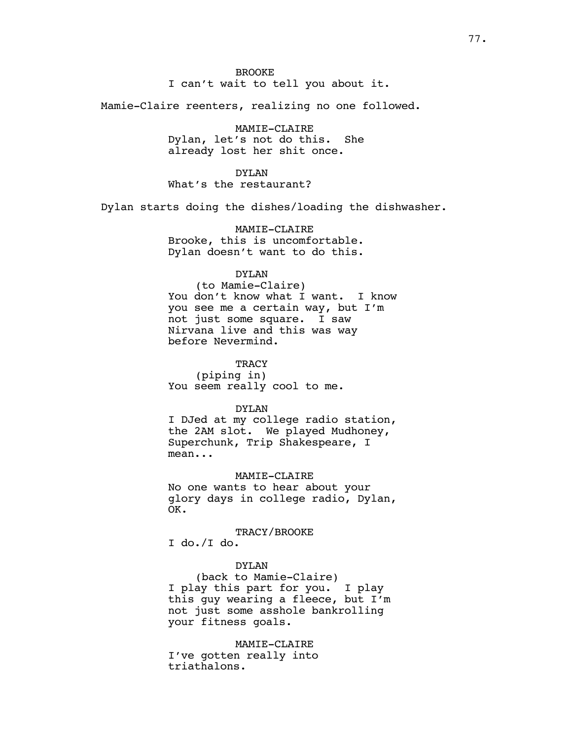Mamie-Claire reenters, realizing no one followed.

MAMIE-CLAIRE Dylan, let's not do this. She already lost her shit once.

DYLAN What's the restaurant?

Dylan starts doing the dishes/loading the dishwasher.

MAMIE-CLAIRE Brooke, this is uncomfortable. Dylan doesn't want to do this.

## DYLAN

(to Mamie-Claire) You don't know what I want. I know you see me a certain way, but I'm not just some square. I saw Nirvana live and this was way before Nevermind.

**TRACY** (piping in) You seem really cool to me.

#### DYLAN

I DJed at my college radio station, the 2AM slot. We played Mudhoney, Superchunk, Trip Shakespeare, I mean...

MAMIE-CLAIRE

No one wants to hear about your glory days in college radio, Dylan, OK.

TRACY/BROOKE

I do./I do.

## DYLAN

(back to Mamie-Claire) I play this part for you. I play this guy wearing a fleece, but I'm not just some asshole bankrolling your fitness goals.

MAMIE-CLAIRE I've gotten really into triathalons.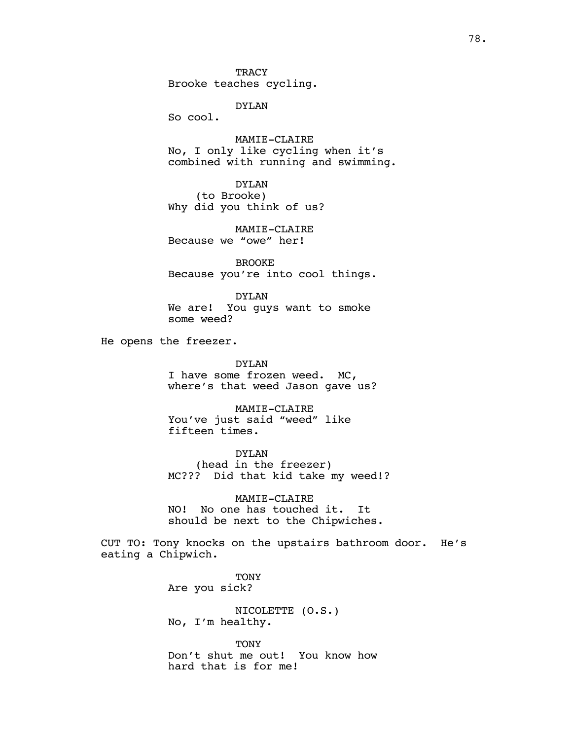**TRACY** Brooke teaches cycling.

DYLAN

So cool.

MAMIE-CLAIRE No, I only like cycling when it's combined with running and swimming.

DYLAN (to Brooke) Why did you think of us?

MAMIE-CLAIRE Because we "owe" her!

BROOKE Because you're into cool things.

DYLAN We are! You guys want to smoke some weed?

He opens the freezer.

DYLAN I have some frozen weed. MC, where's that weed Jason gave us?

MAMIE-CLAIRE You've just said "weed" like fifteen times.

DYLAN (head in the freezer) MC??? Did that kid take my weed!?

MAMIE-CLAIRE NO! No one has touched it. It should be next to the Chipwiches.

CUT TO: Tony knocks on the upstairs bathroom door. He's eating a Chipwich.

> **TONY** Are you sick?

NICOLETTE (O.S.) No, I'm healthy.

TONY Don't shut me out! You know how hard that is for me!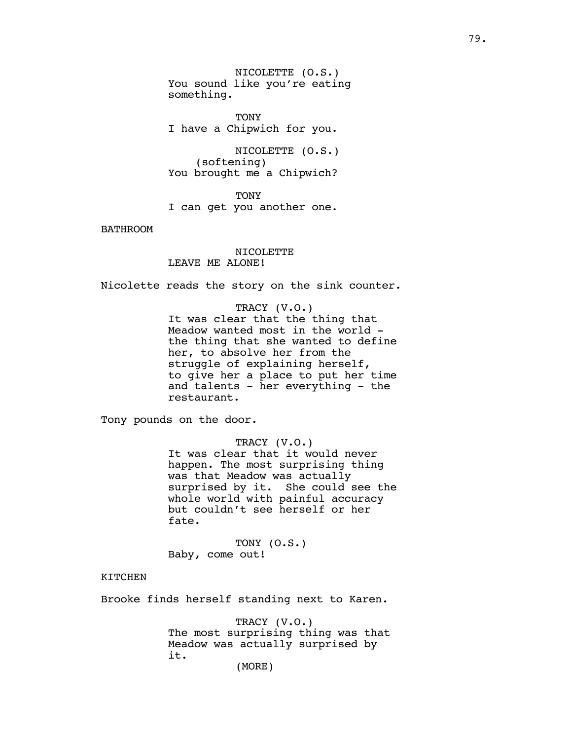NICOLETTE (O.S.) You sound like you're eating something.

**TONY** I have a Chipwich for you.

NICOLETTE (O.S.) (softening) You brought me a Chipwich?

TONY I can get you another one.

BATHROOM

NICOLETTE LEAVE ME ALONE!

Nicolette reads the story on the sink counter.

TRACY (V.O.) It was clear that the thing that Meadow wanted most in the world the thing that she wanted to define her, to absolve her from the struggle of explaining herself, to give her a place to put her time and talents - her everything - the restaurant.

Tony pounds on the door.

TRACY (V.O.) It was clear that it would never happen. The most surprising thing was that Meadow was actually surprised by it. She could see the whole world with painful accuracy but couldn't see herself or her fate.

TONY (O.S.) Baby, come out!

KITCHEN

Brooke finds herself standing next to Karen.

TRACY (V.O.) The most surprising thing was that Meadow was actually surprised by it.

(MORE)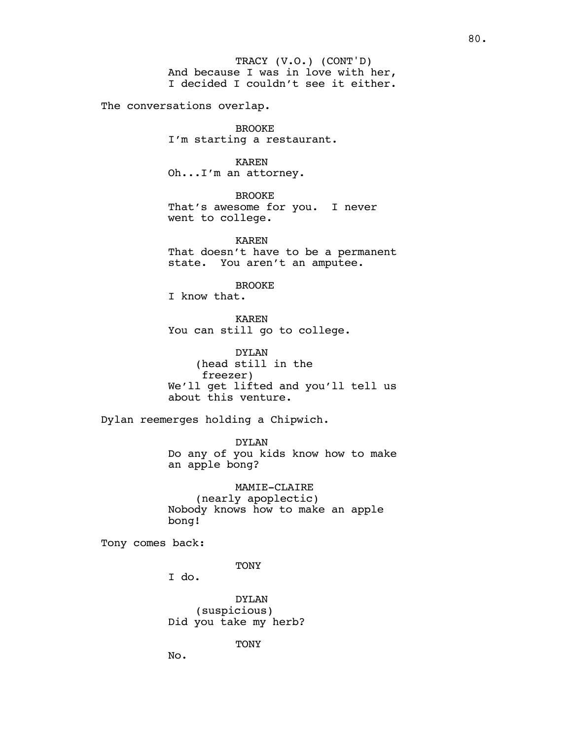And because I was in love with her, I decided I couldn't see it either. TRACY (V.O.) (CONT'D)

The conversations overlap.

BROOKE I'm starting a restaurant.

KAREN Oh...I'm an attorney.

BROOKE That's awesome for you. I never went to college.

KAREN That doesn't have to be a permanent state. You aren't an amputee.

BROOKE

I know that.

KAREN You can still go to college.

DYLAN (head still in the freezer) We'll get lifted and you'll tell us about this venture.

Dylan reemerges holding a Chipwich.

DYLAN Do any of you kids know how to make an apple bong?

MAMIE-CLAIRE (nearly apoplectic) Nobody knows how to make an apple bong!

Tony comes back:

**TONY** 

I do.

DYLAN (suspicious) Did you take my herb?

TONY

No.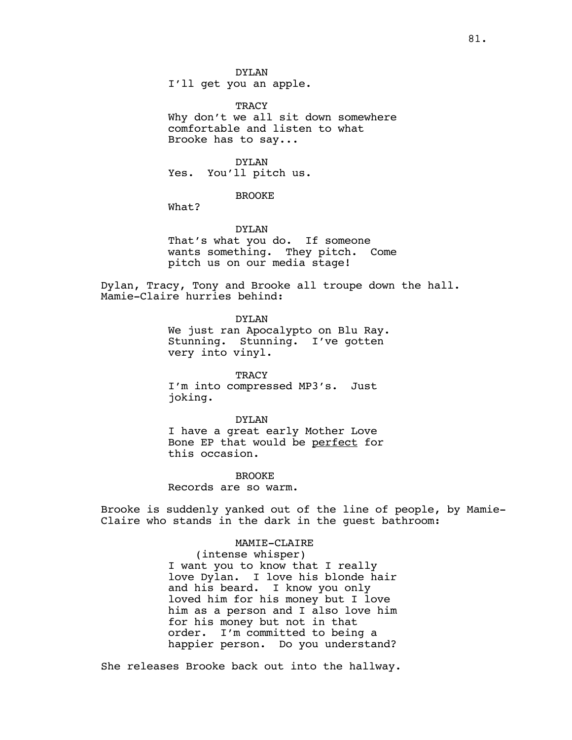TRACY Why don't we all sit down somewhere comfortable and listen to what Brooke has to say...

DYLAN Yes. You'll pitch us.

## BROOKE

What?

# DYLAN

That's what you do. If someone wants something. They pitch. Come pitch us on our media stage!

Dylan, Tracy, Tony and Brooke all troupe down the hall. Mamie-Claire hurries behind:

DYLAN

We just ran Apocalypto on Blu Ray. Stunning. Stunning. I've gotten very into vinyl.

**TRACY** I'm into compressed MP3's. Just joking.

DYLAN I have a great early Mother Love Bone EP that would be perfect for this occasion.

**BROOKE** Records are so warm.

Brooke is suddenly yanked out of the line of people, by Mamie-Claire who stands in the dark in the guest bathroom:

> MAMIE-CLAIRE (intense whisper) I want you to know that I really love Dylan. I love his blonde hair and his beard. I know you only loved him for his money but I love him as a person and I also love him for his money but not in that order. I'm committed to being a happier person. Do you understand?

She releases Brooke back out into the hallway.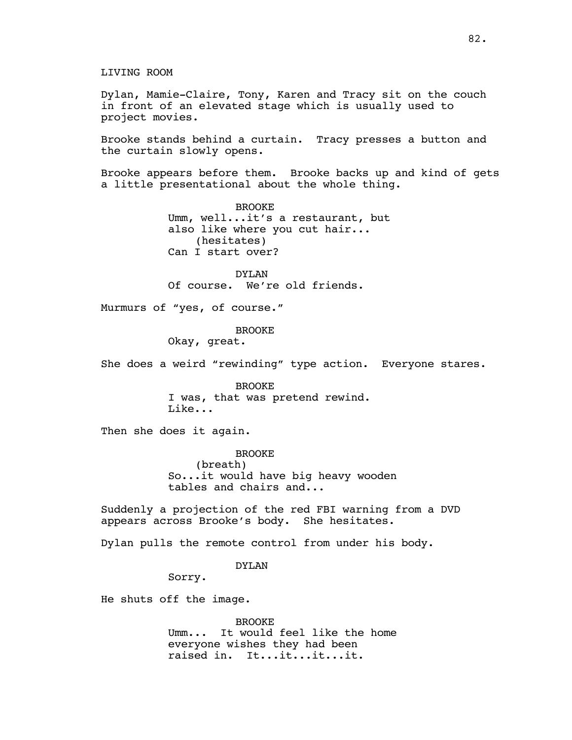LIVING ROOM

Dylan, Mamie-Claire, Tony, Karen and Tracy sit on the couch in front of an elevated stage which is usually used to project movies.

Brooke stands behind a curtain. Tracy presses a button and the curtain slowly opens.

Brooke appears before them. Brooke backs up and kind of gets a little presentational about the whole thing.

> BROOKE Umm, well...it's a restaurant, but also like where you cut hair... (hesitates) Can I start over?

DYLAN Of course. We're old friends.

Murmurs of "yes, of course."

BROOKE

Okay, great.

She does a weird "rewinding" type action. Everyone stares.

BROOKE I was, that was pretend rewind. Like...

Then she does it again.

BROOKE (breath) So...it would have big heavy wooden tables and chairs and...

Suddenly a projection of the red FBI warning from a DVD appears across Brooke's body. She hesitates.

Dylan pulls the remote control from under his body.

DYLAN

Sorry.

He shuts off the image.

BROOKE Umm... It would feel like the home everyone wishes they had been raised in. It...it...it...it.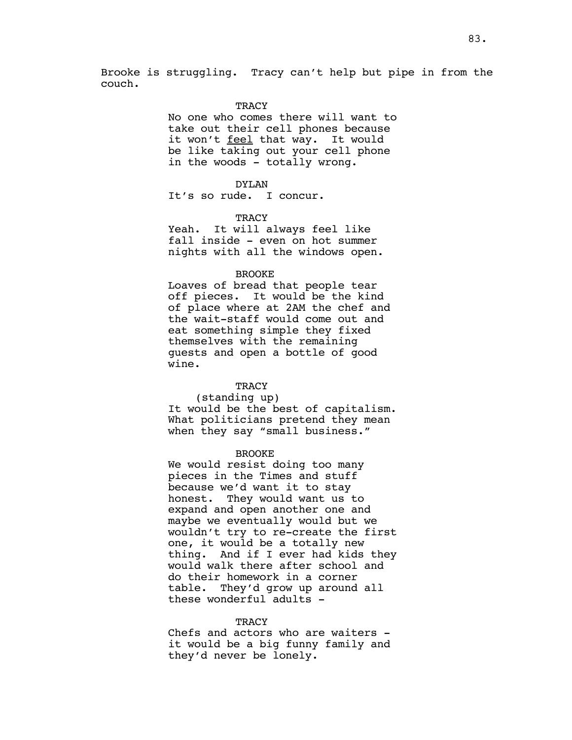Brooke is struggling. Tracy can't help but pipe in from the couch.

#### **TRACY**

No one who comes there will want to take out their cell phones because it won't feel that way. It would be like taking out your cell phone in the woods - totally wrong.

#### DYLAN

It's so rude. I concur.

## TRACY

Yeah. It will always feel like fall inside - even on hot summer nights with all the windows open.

#### BROOKE

Loaves of bread that people tear off pieces. It would be the kind of place where at 2AM the chef and the wait-staff would come out and eat something simple they fixed themselves with the remaining guests and open a bottle of good wine.

## **TRACY**

#### (standing up)

It would be the best of capitalism. What politicians pretend they mean when they say "small business."

#### BROOKE

We would resist doing too many pieces in the Times and stuff because we'd want it to stay honest. They would want us to expand and open another one and maybe we eventually would but we wouldn't try to re-create the first one, it would be a totally new thing. And if I ever had kids they would walk there after school and do their homework in a corner table. They'd grow up around all these wonderful adults -

#### **TRACY**

Chefs and actors who are waiters it would be a big funny family and they'd never be lonely.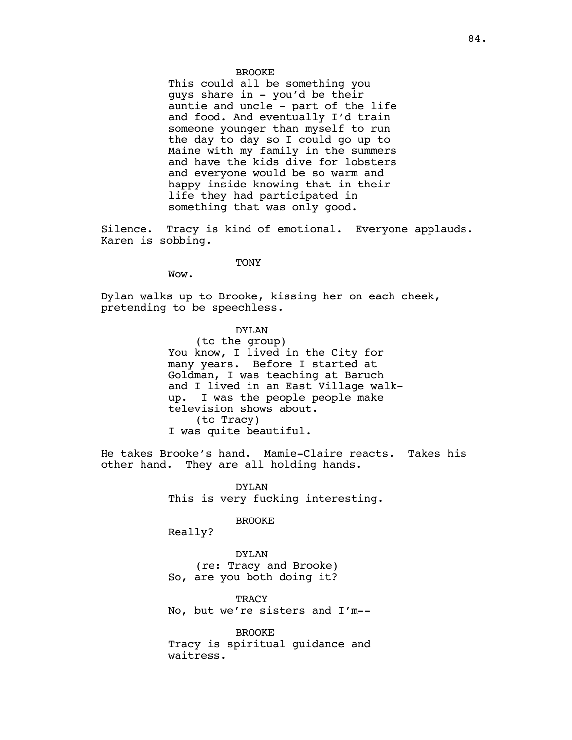## BROOKE

This could all be something you guys share in - you'd be their auntie and uncle - part of the life and food. And eventually I'd train someone younger than myself to run the day to day so I could go up to Maine with my family in the summers and have the kids dive for lobsters and everyone would be so warm and happy inside knowing that in their life they had participated in something that was only good.

Silence. Tracy is kind of emotional. Everyone applauds. Karen is sobbing.

**TONY** 

Wow.

Dylan walks up to Brooke, kissing her on each cheek, pretending to be speechless.

DYLAN

(to the group) You know, I lived in the City for many years. Before I started at Goldman, I was teaching at Baruch and I lived in an East Village walkup. I was the people people make television shows about. (to Tracy) I was quite beautiful.

He takes Brooke's hand. Mamie-Claire reacts. Takes his other hand. They are all holding hands.

> DYLAN This is very fucking interesting.

#### BROOKE

Really?

DYLAN (re: Tracy and Brooke) So, are you both doing it?

**TRACY** No, but we're sisters and I'm--

BROOKE Tracy is spiritual guidance and waitress.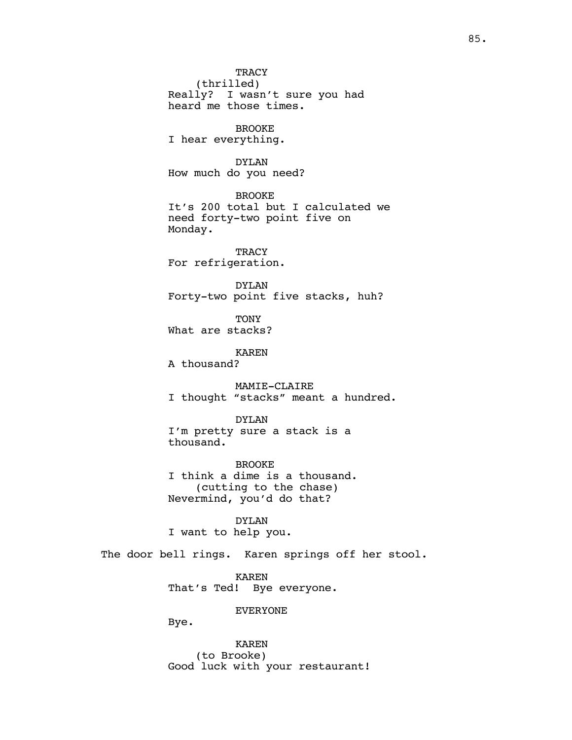**TRACY** (thrilled) Really? I wasn't sure you had heard me those times. BROOKE I hear everything. DYLAN How much do you need? BROOKE It's 200 total but I calculated we need forty-two point five on Monday. **TRACY** For refrigeration. DYLAN Forty-two point five stacks, huh? **TONY** What are stacks? KAREN A thousand? MAMIE-CLAIRE I thought "stacks" meant a hundred. DYLAN I'm pretty sure a stack is a thousand. BROOKE I think a dime is a thousand. (cutting to the chase) Nevermind, you'd do that? DYLAN I want to help you. The door bell rings. Karen springs off her stool. KAREN That's Ted! Bye everyone. EVERYONE Bye. KAREN (to Brooke)

Good luck with your restaurant!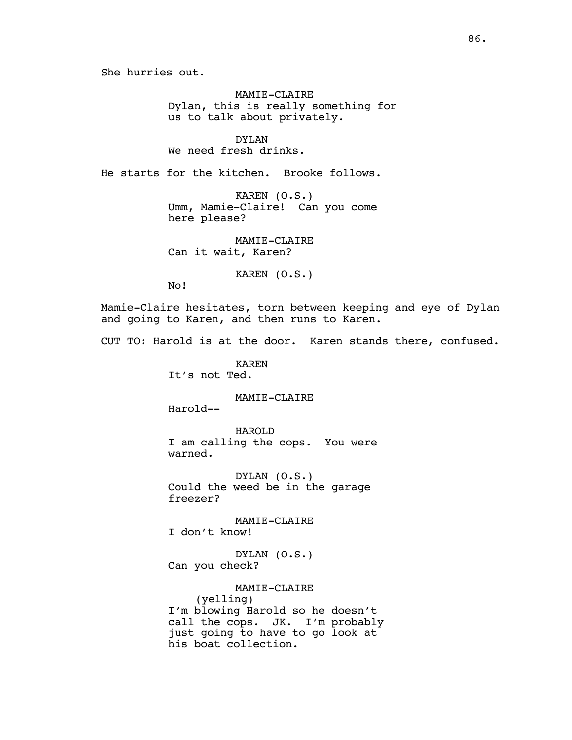She hurries out.

MAMIE-CLAIRE Dylan, this is really something for us to talk about privately.

DYLAN We need fresh drinks.

He starts for the kitchen. Brooke follows.

KAREN (O.S.) Umm, Mamie-Claire! Can you come here please?

MAMIE-CLAIRE Can it wait, Karen?

KAREN (O.S.)

No!

Mamie-Claire hesitates, torn between keeping and eye of Dylan and going to Karen, and then runs to Karen.

CUT TO: Harold is at the door. Karen stands there, confused.

KAREN It's not Ted.

MAMIE-CLAIRE

Harold--

HAROLD I am calling the cops. You were warned.

DYLAN (O.S.) Could the weed be in the garage freezer?

MAMIE-CLAIRE

I don't know!

DYLAN (O.S.) Can you check?

MAMIE-CLAIRE

(yelling) I'm blowing Harold so he doesn't call the cops. JK. I'm probably just going to have to go look at his boat collection.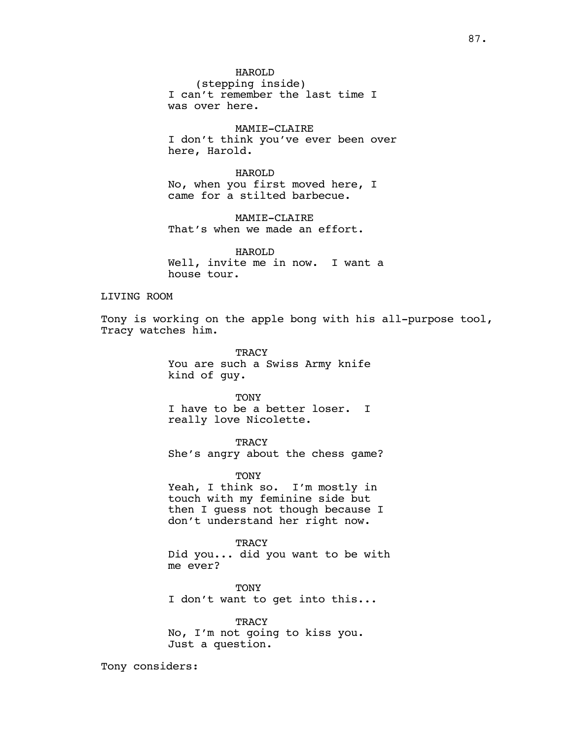(stepping inside) I can't remember the last time I was over here.

MAMIE-CLAIRE I don't think you've ever been over here, Harold.

HAROLD No, when you first moved here, I came for a stilted barbecue.

MAMIE-CLAIRE That's when we made an effort.

HAROLD Well, invite me in now. I want a house tour.

## LIVING ROOM

Tony is working on the apple bong with his all-purpose tool, Tracy watches him.

> TRACY You are such a Swiss Army knife kind of guy.

> **TONY** I have to be a better loser. I really love Nicolette.

**TRACY** She's angry about the chess game?

TONY

Yeah, I think so. I'm mostly in touch with my feminine side but then I guess not though because I don't understand her right now.

**TRACY** Did you... did you want to be with me ever?

TONY I don't want to get into this...

**TRACY** No, I'm not going to kiss you. Just a question.

Tony considers: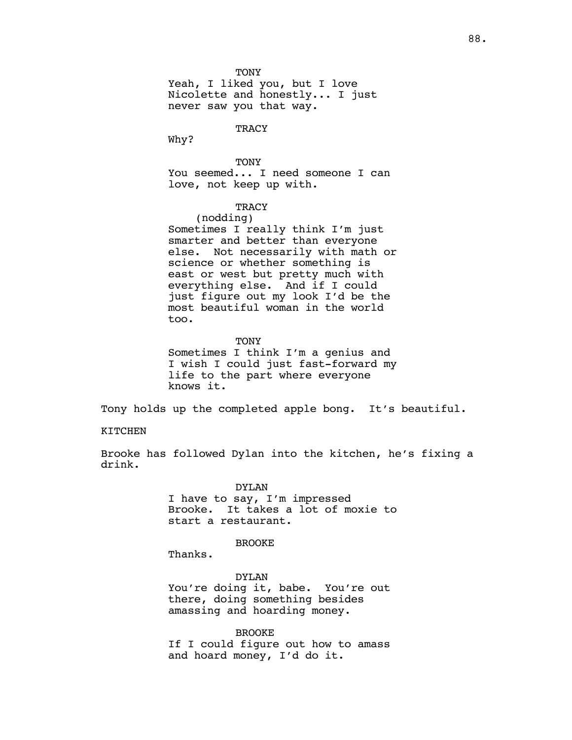**TONY** 

Yeah, I liked you, but I love Nicolette and honestly... I just never saw you that way.

**TRACY** 

Why?

**TONY** You seemed... I need someone I can love, not keep up with.

## **TRACY**

(nodding) Sometimes I really think I'm just smarter and better than everyone else. Not necessarily with math or science or whether something is east or west but pretty much with everything else. And if I could just figure out my look I'd be the most beautiful woman in the world too.

**TONY** Sometimes I think I'm a genius and I wish I could just fast-forward my life to the part where everyone knows it.

Tony holds up the completed apple bong. It's beautiful.

#### KITCHEN

Brooke has followed Dylan into the kitchen, he's fixing a drink.

> DYLAN I have to say, I'm impressed Brooke. It takes a lot of moxie to start a restaurant.

### **BROOKE**

Thanks.

DYLAN You're doing it, babe. You're out there, doing something besides amassing and hoarding money.

#### BROOKE

If I could figure out how to amass and hoard money, I'd do it.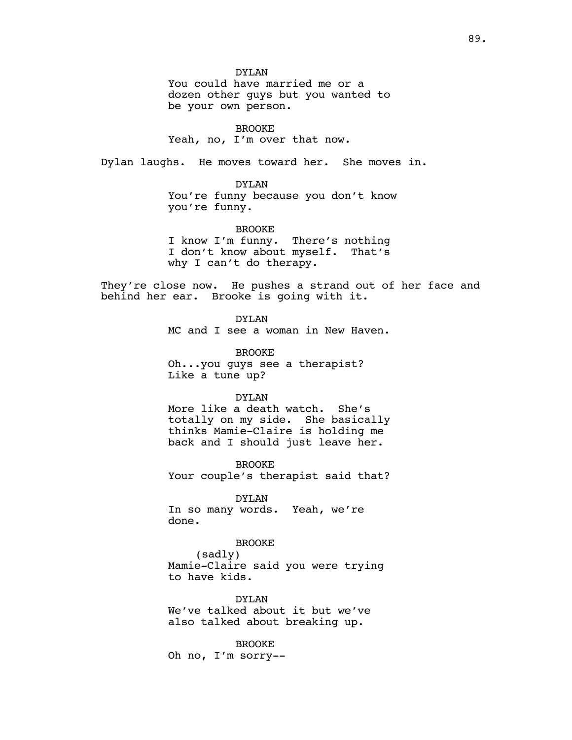DYLAN

You could have married me or a dozen other guys but you wanted to be your own person.

BROOKE Yeah, no, I'm over that now.

Dylan laughs. He moves toward her. She moves in.

#### DYLAN

You're funny because you don't know you're funny.

## BROOKE

I know I'm funny. There's nothing I don't know about myself. That's why I can't do therapy.

They're close now. He pushes a strand out of her face and behind her ear. Brooke is going with it.

DYLAN

MC and I see a woman in New Haven.

BROOKE Oh...you guys see a therapist? Like a tune up?

## DYLAN

More like a death watch. She's totally on my side. She basically thinks Mamie-Claire is holding me back and I should just leave her.

BROOKE Your couple's therapist said that?

DYLAN In so many words. Yeah, we're done.

## BROOKE

(sadly) Mamie-Claire said you were trying to have kids.

DYLAN We've talked about it but we've also talked about breaking up.

BROOKE Oh no, I'm sorry--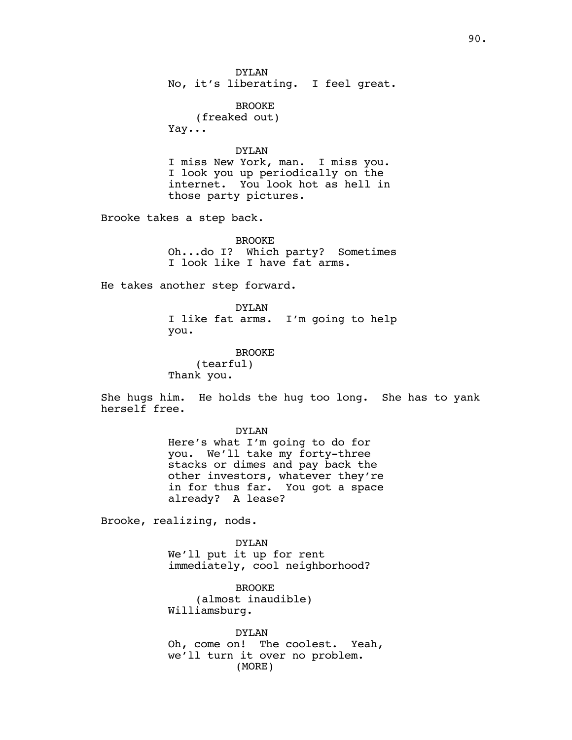DYLAN No, it's liberating. I feel great.

BROOKE (freaked out) Yay...

## DYLAN

I miss New York, man. I miss you. I look you up periodically on the internet. You look hot as hell in those party pictures.

Brooke takes a step back.

BROOKE Oh...do I? Which party? Sometimes I look like I have fat arms.

He takes another step forward.

DYLAN I like fat arms. I'm going to help you.

BROOKE (tearful) Thank you.

She hugs him. He holds the hug too long. She has to yank herself free.

> DYLAN Here's what I'm going to do for you. We'll take my forty-three stacks or dimes and pay back the other investors, whatever they're in for thus far. You got a space already? A lease?

Brooke, realizing, nods.

DYLAN We'll put it up for rent immediately, cool neighborhood?

BROOKE (almost inaudible) Williamsburg.

DYLAN Oh, come on! The coolest. Yeah, we'll turn it over no problem. (MORE)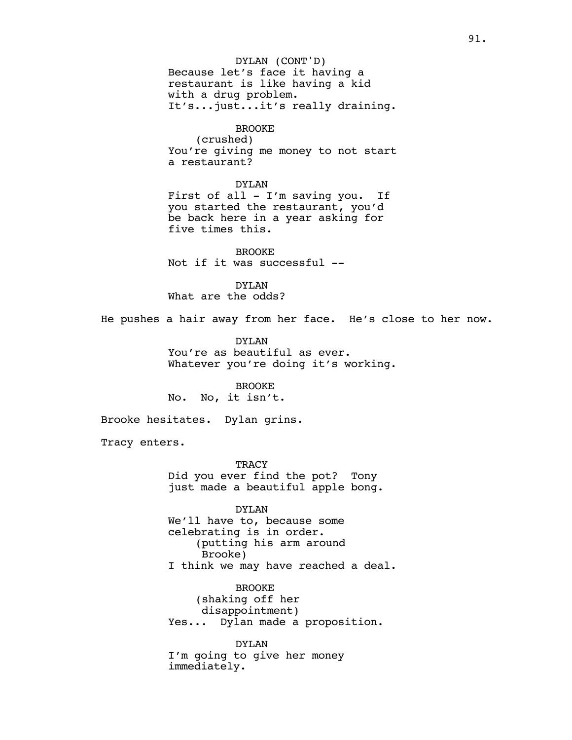Because let's face it having a restaurant is like having a kid with a drug problem. It's...just...it's really draining. DYLAN (CONT'D)

BROOKE (crushed) You're giving me money to not start a restaurant?

DYLAN First of all - I'm saving you. If you started the restaurant, you'd be back here in a year asking for five times this.

BROOKE Not if it was successful --

DYLAN What are the odds?

He pushes a hair away from her face. He's close to her now.

DYLAN You're as beautiful as ever. Whatever you're doing it's working.

BROOKE No. No, it isn't.

Brooke hesitates. Dylan grins.

Tracy enters.

**TRACY** Did you ever find the pot? Tony just made a beautiful apple bong.

DYLAN We'll have to, because some celebrating is in order. (putting his arm around Brooke) I think we may have reached a deal.

BROOKE (shaking off her disappointment) Yes... Dylan made a proposition.

DYLAN I'm going to give her money immediately.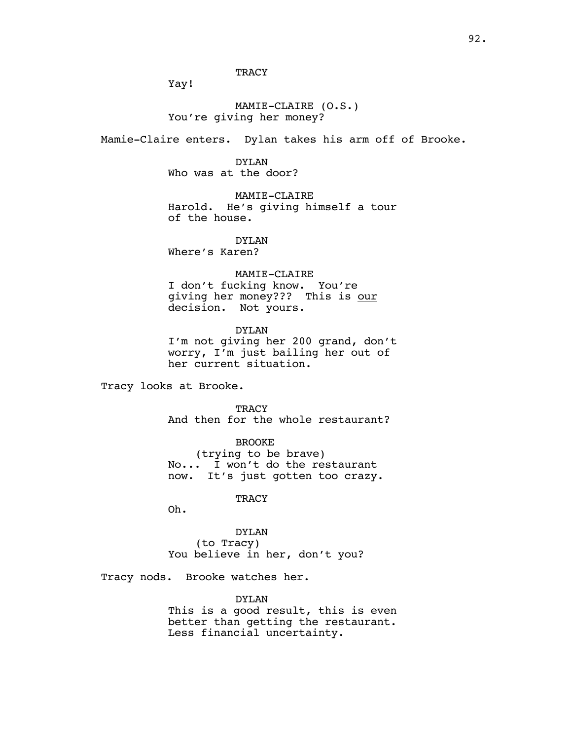## **TRACY**

Yay!

## MAMIE-CLAIRE (O.S.) You're giving her money?

Mamie-Claire enters. Dylan takes his arm off of Brooke.

DYLAN Who was at the door?

MAMIE-CLAIRE Harold. He's giving himself a tour of the house.

DYLAN

Where's Karen?

#### MAMIE-CLAIRE

I don't fucking know. You're giving her money??? This is our decision. Not yours.

DYLAN I'm not giving her 200 grand, don't worry, I'm just bailing her out of her current situation.

Tracy looks at Brooke.

**TRACY** And then for the whole restaurant?

BROOKE (trying to be brave) No... I won't do the restaurant now. It's just gotten too crazy.

**TRACY** 

Oh.

DYLAN (to Tracy) You believe in her, don't you?

Tracy nods. Brooke watches her.

## DYLAN

This is a good result, this is even better than getting the restaurant. Less financial uncertainty.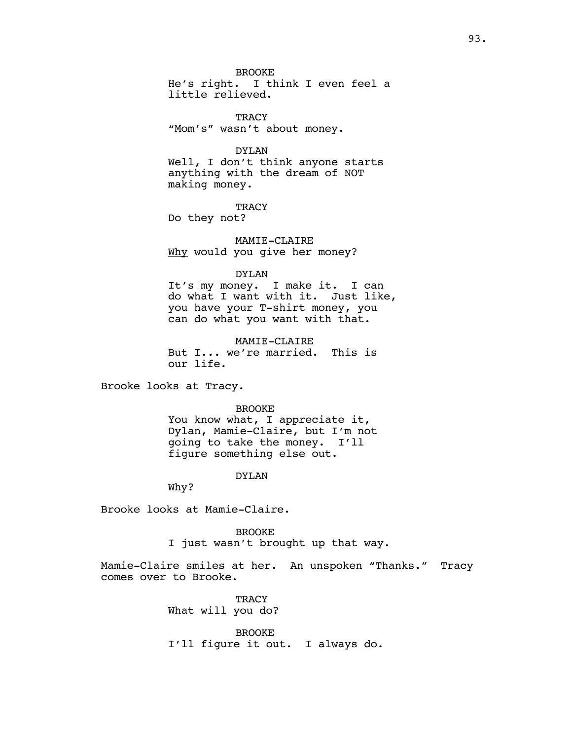BROOKE

He's right. I think I even feel a little relieved.

TRACY "Mom's" wasn't about money.

DYLAN

Well, I don't think anyone starts anything with the dream of NOT making money.

**TRACY** 

Do they not?

MAMIE-CLAIRE Why would you give her money?

#### DYLAN

It's my money. I make it. I can do what I want with it. Just like, you have your T-shirt money, you can do what you want with that.

MAMIE-CLAIRE But I... we're married. This is our life.

Brooke looks at Tracy.

#### BROOKE

You know what, I appreciate it, Dylan, Mamie-Claire, but I'm not going to take the money. I'll figure something else out.

#### DYLAN

Why?

Brooke looks at Mamie-Claire.

BROOKE

I just wasn't brought up that way.

Mamie-Claire smiles at her. An unspoken "Thanks." Tracy comes over to Brooke.

> TRACY What will you do?

BROOKE I'll figure it out. I always do.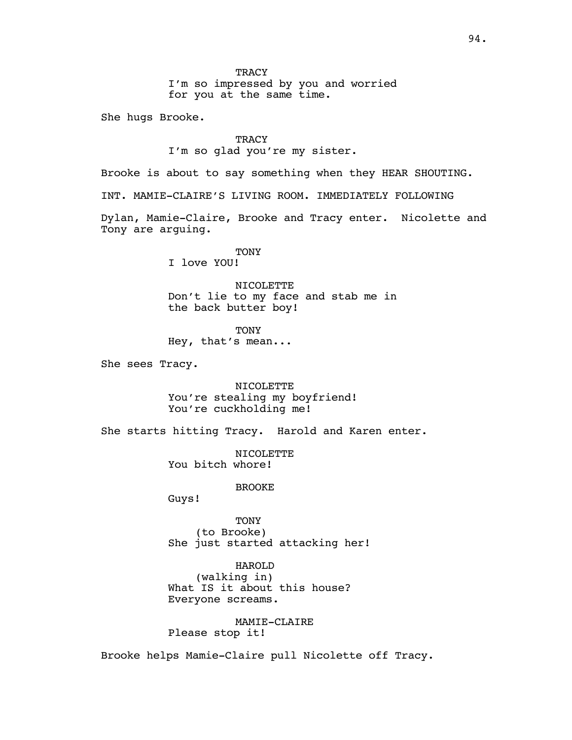I'm so impressed by you and worried for you at the same time.

She hugs Brooke.

## **TRACY** I'm so glad you're my sister.

Brooke is about to say something when they HEAR SHOUTING.

INT. MAMIE-CLAIRE'S LIVING ROOM. IMMEDIATELY FOLLOWING

Dylan, Mamie-Claire, Brooke and Tracy enter. Nicolette and Tony are arguing.

# **TONY**

I love YOU!

NICOLETTE Don't lie to my face and stab me in the back butter boy!

TONY Hey, that's mean...

She sees Tracy.

NICOLETTE You're stealing my boyfriend! You're cuckholding me!

She starts hitting Tracy. Harold and Karen enter.

NICOLETTE You bitch whore!

BROOKE

Guys!

TONY (to Brooke) She just started attacking her!

HAROLD (walking in) What IS it about this house? Everyone screams.

MAMIE-CLAIRE Please stop it!

Brooke helps Mamie-Claire pull Nicolette off Tracy.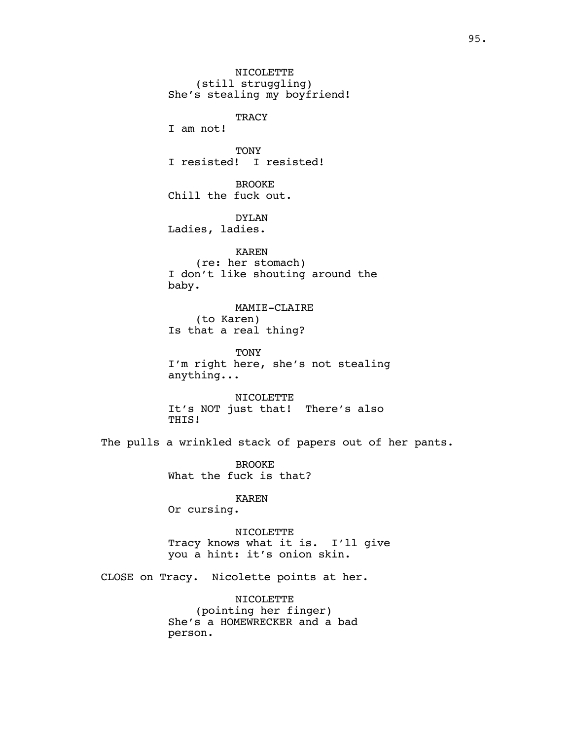NICOLETTE (still struggling) She's stealing my boyfriend! TRACY I am not! TONY I resisted! I resisted! BROOKE Chill the fuck out. DYLAN Ladies, ladies. KAREN (re: her stomach) I don't like shouting around the baby. MAMIE-CLAIRE (to Karen) Is that a real thing? TONY I'm right here, she's not stealing anything... NICOLETTE It's NOT just that! There's also THIS!

The pulls a wrinkled stack of papers out of her pants.

BROOKE What the fuck is that?

KAREN

Or cursing.

NICOLETTE Tracy knows what it is. I'll give you a hint: it's onion skin.

CLOSE on Tracy. Nicolette points at her.

NICOLETTE (pointing her finger) She's a HOMEWRECKER and a bad person.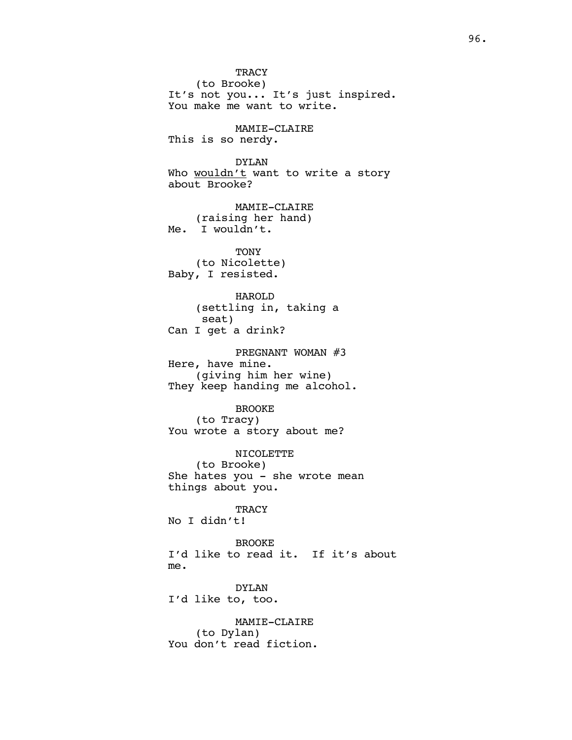**TRACY** (to Brooke) It's not you... It's just inspired. You make me want to write. MAMIE-CLAIRE This is so nerdy. DYLAN Who wouldn't want to write a story about Brooke? MAMIE-CLAIRE (raising her hand) Me. I wouldn't. **TONY** (to Nicolette) Baby, I resisted. HAROLD (settling in, taking a seat) Can I get a drink? PREGNANT WOMAN #3 Here, have mine. (giving him her wine) They keep handing me alcohol. BROOKE (to Tracy) You wrote a story about me? NICOLETTE (to Brooke) She hates you - she wrote mean things about you. **TRACY** No I didn't! BROOKE I'd like to read it. If it's about me. DYLAN I'd like to, too. MAMIE-CLAIRE (to Dylan) You don't read fiction.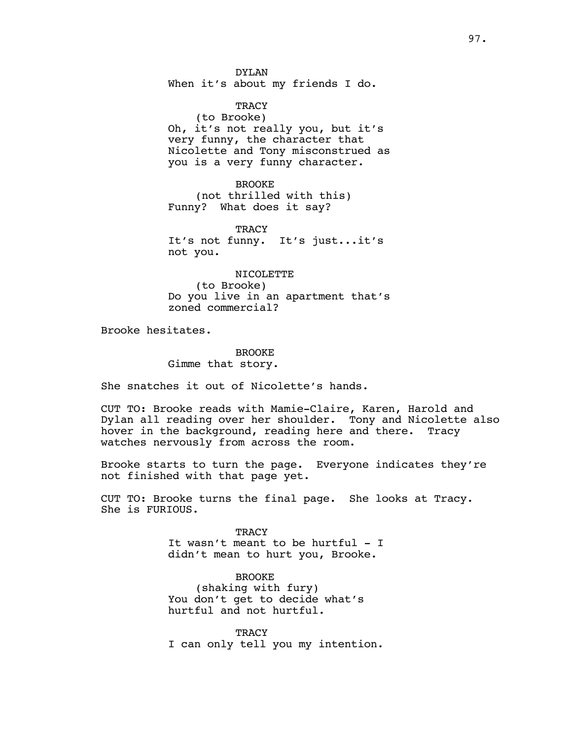DYLAN When it's about my friends I do.

TRACY (to Brooke) Oh, it's not really you, but it's very funny, the character that Nicolette and Tony misconstrued as you is a very funny character.

BROOKE (not thrilled with this) Funny? What does it say?

TRACY It's not funny. It's just...it's not you.

NICOLETTE

(to Brooke) Do you live in an apartment that's zoned commercial?

Brooke hesitates.

BROOKE Gimme that story.

She snatches it out of Nicolette's hands.

CUT TO: Brooke reads with Mamie-Claire, Karen, Harold and Dylan all reading over her shoulder. Tony and Nicolette also hover in the background, reading here and there. Tracy watches nervously from across the room.

Brooke starts to turn the page. Everyone indicates they're not finished with that page yet.

CUT TO: Brooke turns the final page. She looks at Tracy. She is FURIOUS.

> TRACY It wasn't meant to be hurtful - I didn't mean to hurt you, Brooke.

BROOKE (shaking with fury) You don't get to decide what's hurtful and not hurtful.

**TRACY** I can only tell you my intention.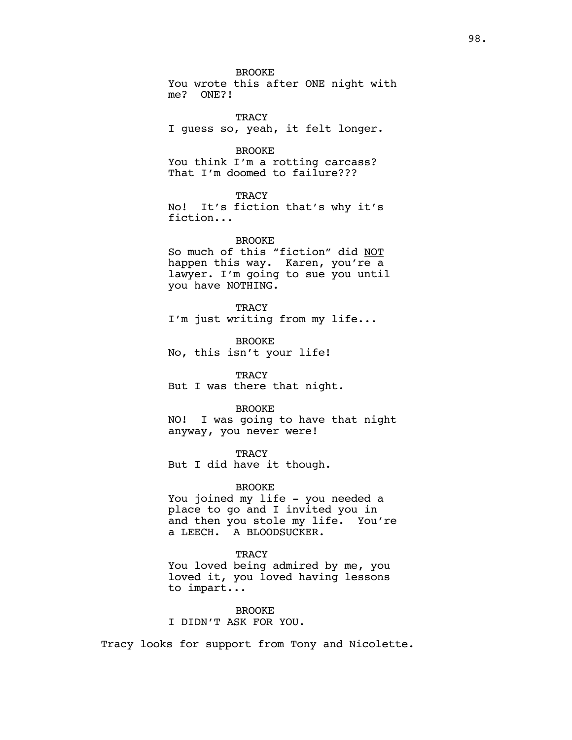BROOKE You wrote this after ONE night with me? ONE?!

**TRACY** I guess so, yeah, it felt longer.

BROOKE You think I'm a rotting carcass? That I'm doomed to failure???

**TRACY** No! It's fiction that's why it's fiction...

BROOKE So much of this "fiction" did NOT happen this way. Karen, you're a lawyer. I'm going to sue you until you have NOTHING.

**TRACY** I'm just writing from my life...

BROOKE No, this isn't your life!

**TRACY** But I was there that night.

BROOKE NO! I was going to have that night

**TRACY** 

But I did have it though.

anyway, you never were!

BROOKE

You joined my life - you needed a place to go and I invited you in and then you stole my life. You're a LEECH. A BLOODSUCKER.

**TRACY** 

You loved being admired by me, you loved it, you loved having lessons to impart...

BROOKE I DIDN'T ASK FOR YOU.

Tracy looks for support from Tony and Nicolette.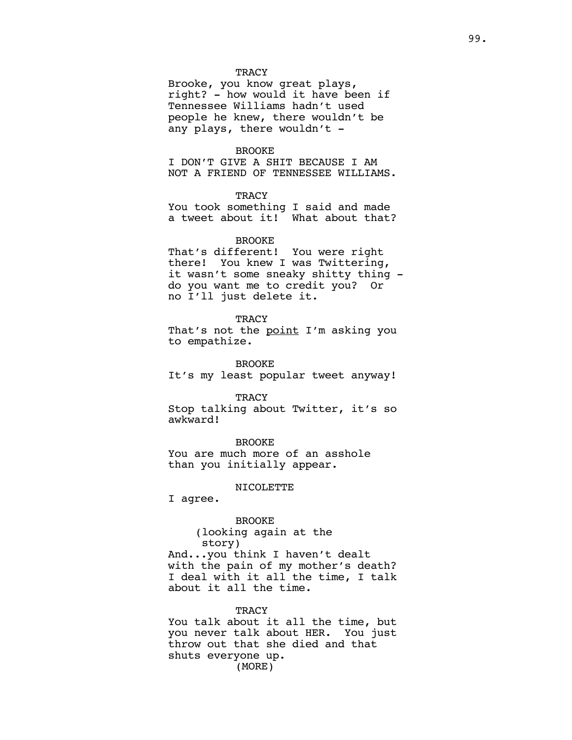## **TRACY**

Brooke, you know great plays, right? - how would it have been if Tennessee Williams hadn't used people he knew, there wouldn't be any plays, there wouldn't -

## BROOKE

I DON'T GIVE A SHIT BECAUSE I AM NOT A FRIEND OF TENNESSEE WILLIAMS.

## **TRACY**

You took something I said and made a tweet about it! What about that?

## BROOKE

That's different! You were right there! You knew I was Twittering, it wasn't some sneaky shitty thing do you want me to credit you? Or no I'll just delete it.

## **TRACY**

That's not the point I'm asking you to empathize.

BROOKE It's my least popular tweet anyway!

#### **TRACY**

Stop talking about Twitter, it's so awkward!

BROOKE

You are much more of an asshole than you initially appear.

## NICOLETTE

I agree.

BROOKE (looking again at the story) And...you think I haven't dealt with the pain of my mother's death? I deal with it all the time, I talk about it all the time.

# **TRACY**

You talk about it all the time, but you never talk about HER. You just throw out that she died and that shuts everyone up. (MORE)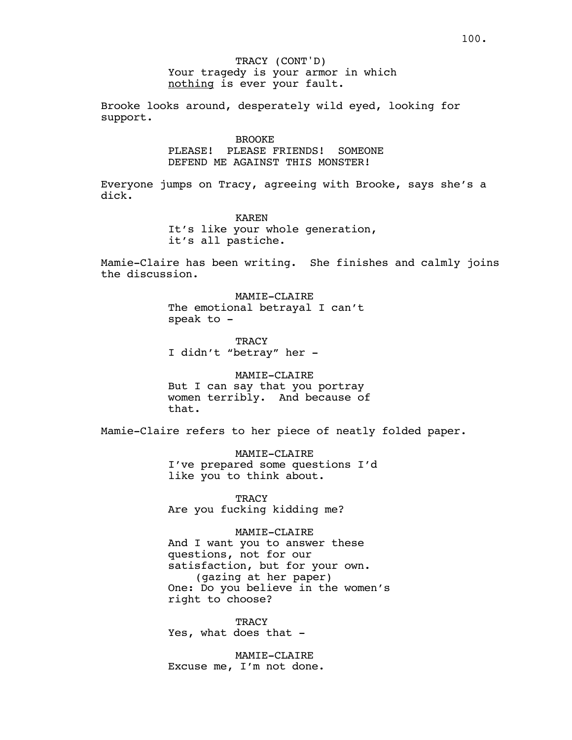Your tragedy is your armor in which nothing is ever your fault. TRACY (CONT'D)

Brooke looks around, desperately wild eyed, looking for support.

BROOKE

PLEASE! PLEASE FRIENDS! SOMEONE DEFEND ME AGAINST THIS MONSTER!

Everyone jumps on Tracy, agreeing with Brooke, says she's a dick.

> KAREN It's like your whole generation, it's all pastiche.

Mamie-Claire has been writing. She finishes and calmly joins the discussion.

> MAMIE-CLAIRE The emotional betrayal I can't speak to -

TRACY I didn't "betray" her -

MAMIE-CLAIRE But I can say that you portray women terribly. And because of that.

Mamie-Claire refers to her piece of neatly folded paper.

MAMIE-CLAIRE I've prepared some questions I'd like you to think about.

**TRACY** Are you fucking kidding me?

MAMIE-CLAIRE

And I want you to answer these questions, not for our satisfaction, but for your own. (gazing at her paper) One: Do you believe in the women's right to choose?

**TRACY** Yes, what does that -

MAMIE-CLAIRE Excuse me, I'm not done.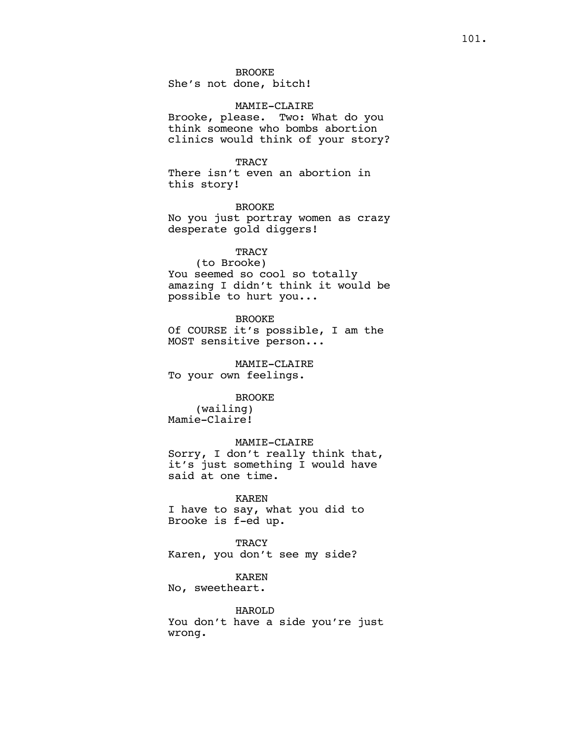BROOKE

She's not done, bitch!

## MAMIE-CLAIRE

Brooke, please. Two: What do you think someone who bombs abortion clinics would think of your story?

## **TRACY**

There isn't even an abortion in this story!

BROOKE No you just portray women as crazy desperate gold diggers!

## **TRACY**

(to Brooke) You seemed so cool so totally amazing I didn't think it would be possible to hurt you...

BROOKE

Of COURSE it's possible, I am the MOST sensitive person...

MAMIE-CLAIRE To your own feelings.

## BROOKE

(wailing) Mamie-Claire!

## MAMIE-CLAIRE

Sorry, I don't really think that, it's just something I would have said at one time.

## KAREN

I have to say, what you did to Brooke is f-ed up.

**TRACY** Karen, you don't see my side?

#### KAREN

No, sweetheart.

HAROLD You don't have a side you're just wrong.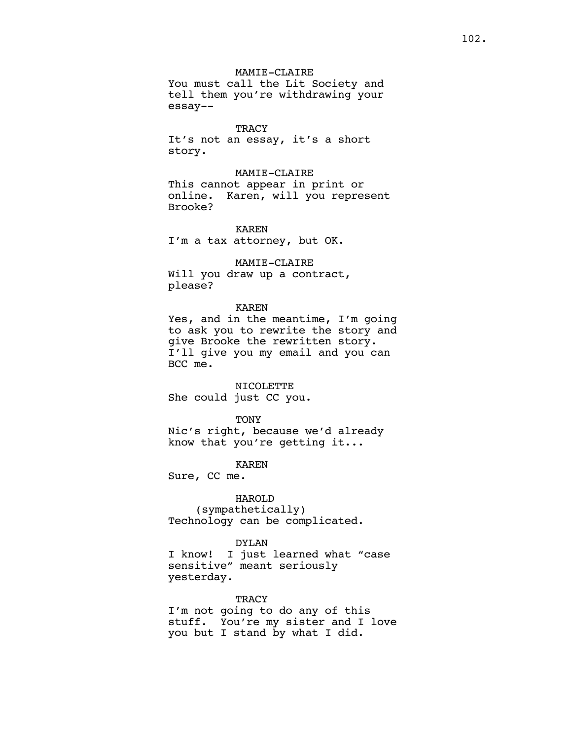**TRACY** It's not an essay, it's a short story.

MAMIE-CLAIRE This cannot appear in print or online. Karen, will you represent Brooke?

KAREN I'm a tax attorney, but OK.

MAMIE-CLAIRE Will you draw up a contract, please?

## KAREN

Yes, and in the meantime, I'm going to ask you to rewrite the story and give Brooke the rewritten story. I'll give you my email and you can BCC me.

NICOLETTE

She could just CC you.

**TONY** 

Nic's right, because we'd already know that you're getting it...

KAREN

Sure, CC me.

## HAROLD

(sympathetically) Technology can be complicated.

## DYLAN

I know! I just learned what "case sensitive" meant seriously yesterday.

#### TRACY

I'm not going to do any of this stuff. You're my sister and I love you but I stand by what I did.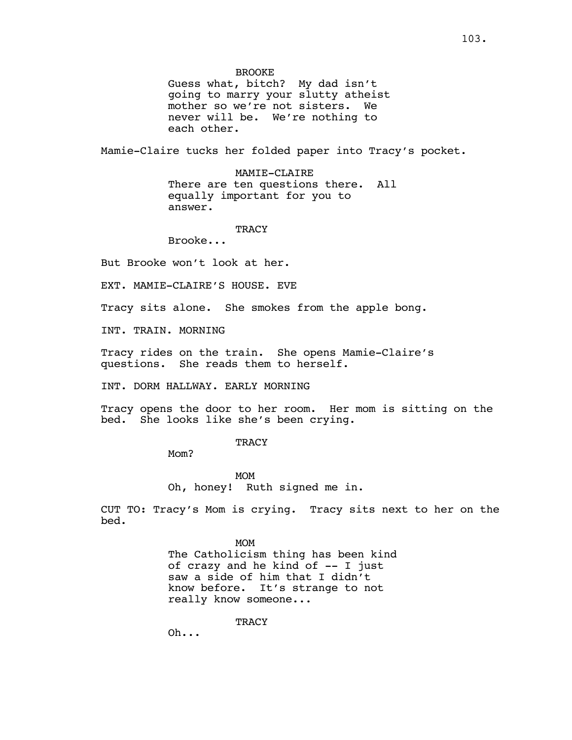BROOKE

Guess what, bitch? My dad isn't going to marry your slutty atheist mother so we're not sisters. We never will be. We're nothing to each other.

Mamie-Claire tucks her folded paper into Tracy's pocket.

MAMIE-CLAIRE There are ten questions there. All equally important for you to answer.

TRACY

Brooke...

But Brooke won't look at her.

EXT. MAMIE-CLAIRE'S HOUSE. EVE

Tracy sits alone. She smokes from the apple bong.

INT. TRAIN. MORNING

Tracy rides on the train. She opens Mamie-Claire's questions. She reads them to herself.

INT. DORM HALLWAY. EARLY MORNING

Tracy opens the door to her room. Her mom is sitting on the bed. She looks like she's been crying.

**TRACY** 

Mom?

MOM Oh, honey! Ruth signed me in.

CUT TO: Tracy's Mom is crying. Tracy sits next to her on the bed.

> MOM The Catholicism thing has been kind of crazy and he kind of  $-$ - I just saw a side of him that I didn't know before. It's strange to not really know someone...

> > **TRACY**

Oh...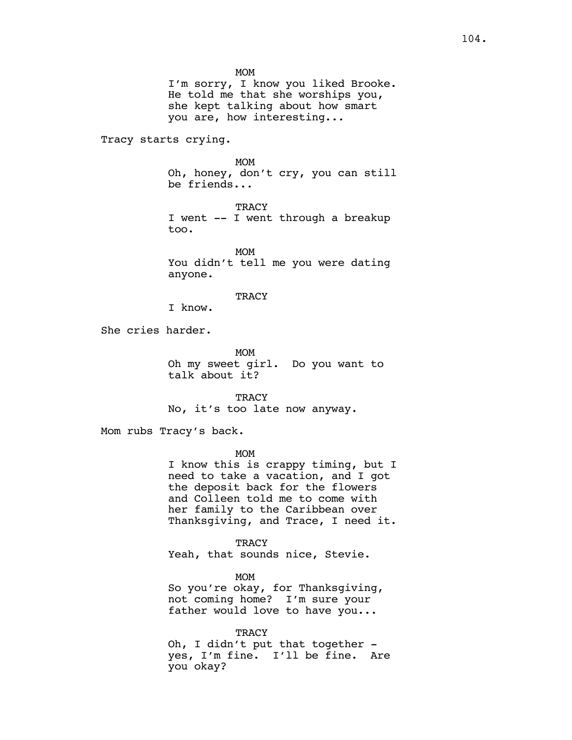MOM

I'm sorry, I know you liked Brooke. He told me that she worships you, she kept talking about how smart you are, how interesting...

Tracy starts crying.

MOM Oh, honey, don't cry, you can still be friends...

**TRACY** I went -- I went through a breakup too.

MOM You didn't tell me you were dating anyone.

**TRACY** 

I know.

She cries harder.

MOM Oh my sweet girl. Do you want to talk about it?

TRACY No, it's too late now anyway.

Mom rubs Tracy's back.

MOM

I know this is crappy timing, but I need to take a vacation, and I got the deposit back for the flowers and Colleen told me to come with her family to the Caribbean over Thanksgiving, and Trace, I need it.

**TRACY** Yeah, that sounds nice, Stevie.

MOM So you're okay, for Thanksgiving, not coming home? I'm sure your father would love to have you...

TRACY Oh, I didn't put that together yes, I'm fine. I'll be fine. Are you okay?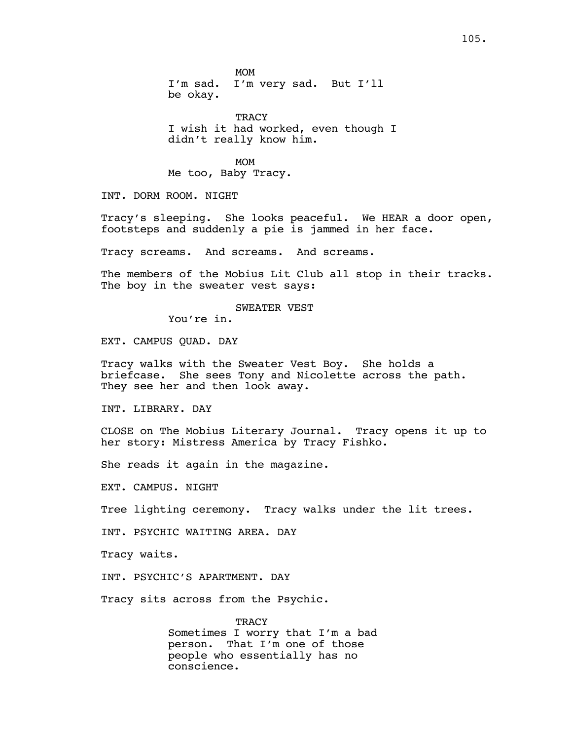**TRACY** I wish it had worked, even though I didn't really know him.

MOM Me too, Baby Tracy.

INT. DORM ROOM. NIGHT

Tracy's sleeping. She looks peaceful. We HEAR a door open, footsteps and suddenly a pie is jammed in her face.

Tracy screams. And screams. And screams.

The members of the Mobius Lit Club all stop in their tracks. The boy in the sweater vest says:

SWEATER VEST

You're in.

EXT. CAMPUS QUAD. DAY

Tracy walks with the Sweater Vest Boy. She holds a briefcase. She sees Tony and Nicolette across the path. They see her and then look away.

INT. LIBRARY. DAY

CLOSE on The Mobius Literary Journal. Tracy opens it up to her story: Mistress America by Tracy Fishko.

She reads it again in the magazine.

EXT. CAMPUS. NIGHT

Tree lighting ceremony. Tracy walks under the lit trees.

INT. PSYCHIC WAITING AREA. DAY

Tracy waits.

INT. PSYCHIC'S APARTMENT. DAY

Tracy sits across from the Psychic.

**TRACY** Sometimes I worry that I'm a bad person. That I'm one of those people who essentially has no conscience.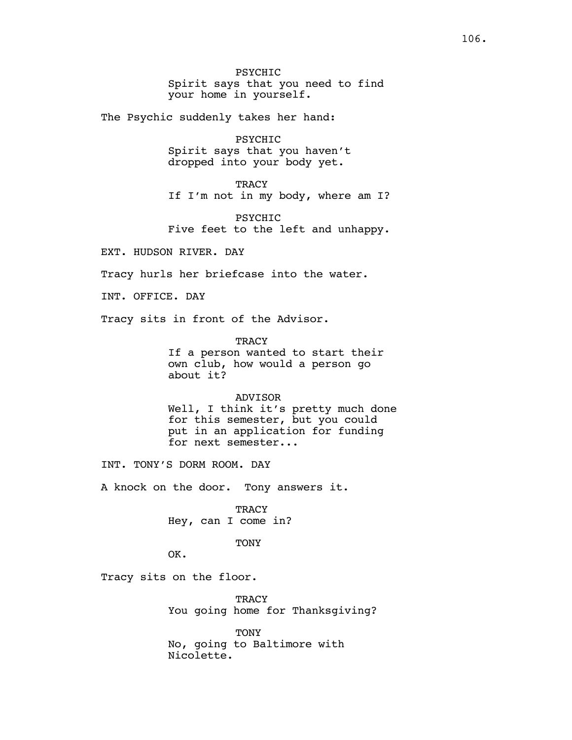The Psychic suddenly takes her hand:

PSYCHIC Spirit says that you haven't dropped into your body yet.

**TRACY** If I'm not in my body, where am I?

**PSYCHTC** Five feet to the left and unhappy.

EXT. HUDSON RIVER. DAY

Tracy hurls her briefcase into the water.

INT. OFFICE. DAY

Tracy sits in front of the Advisor.

**TRACY** 

If a person wanted to start their own club, how would a person go about it?

ADVISOR

Well, I think it's pretty much done for this semester, but you could put in an application for funding for next semester...

INT. TONY'S DORM ROOM. DAY

A knock on the door. Tony answers it.

TRACY Hey, can I come in?

**TONY** 

OK.

Tracy sits on the floor.

TRACY You going home for Thanksgiving?

TONY No, going to Baltimore with Nicolette.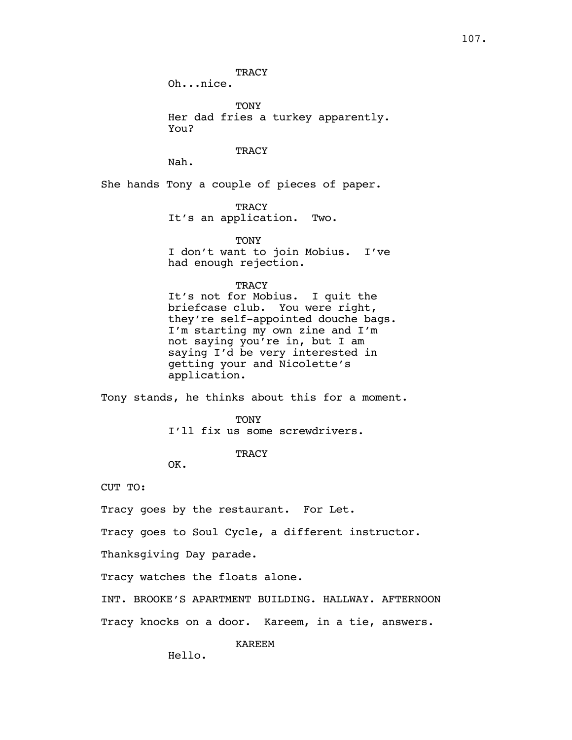**TRACY** 

Oh...nice.

TONY Her dad fries a turkey apparently. You?

**TRACY** 

Nah.

She hands Tony a couple of pieces of paper.

**TRACY** It's an application. Two.

**TONY** I don't want to join Mobius. I've had enough rejection.

**TRACY** 

It's not for Mobius. I quit the briefcase club. You were right, they're self-appointed douche bags. I'm starting my own zine and I'm not saying you're in, but I am saying I'd be very interested in getting your and Nicolette's application.

Tony stands, he thinks about this for a moment.

**TONY** I'll fix us some screwdrivers.

**TRACY** 

OK.

CUT TO:

Tracy goes by the restaurant. For Let.

Tracy goes to Soul Cycle, a different instructor.

Thanksgiving Day parade.

Tracy watches the floats alone.

INT. BROOKE'S APARTMENT BUILDING. HALLWAY. AFTERNOON

Tracy knocks on a door. Kareem, in a tie, answers.

KAREEM

Hello.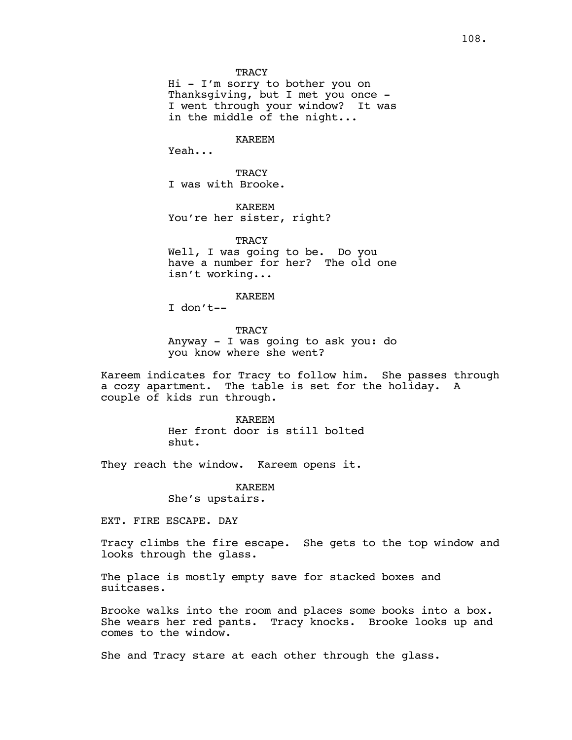Hi - I'm sorry to bother you on Thanksgiving, but I met you once - I went through your window? It was in the middle of the night...

KAREEM

Yeah...

**TRACY** I was with Brooke.

KAREEM You're her sister, right?

**TRACY** Well, I was going to be. Do you have a number for her? The old one isn't working...

KAREEM

I don't--

**TRACY** Anyway - I was going to ask you: do you know where she went?

Kareem indicates for Tracy to follow him. She passes through a cozy apartment. The table is set for the holiday. A couple of kids run through.

> KAREEM Her front door is still bolted shut.

They reach the window. Kareem opens it.

KAREEM She's upstairs.

EXT. FIRE ESCAPE. DAY

Tracy climbs the fire escape. She gets to the top window and looks through the glass.

The place is mostly empty save for stacked boxes and suitcases.

Brooke walks into the room and places some books into a box. She wears her red pants. Tracy knocks. Brooke looks up and comes to the window.

She and Tracy stare at each other through the glass.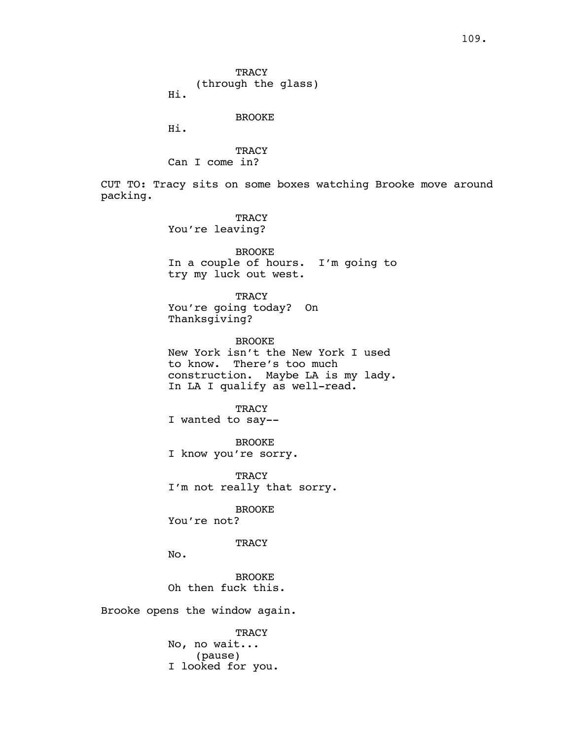**TRACY** (through the glass)

Hi.

BROOKE

Hi.

**TRACY** Can I come in?

CUT TO: Tracy sits on some boxes watching Brooke move around packing.

> **TRACY** You're leaving?

BROOKE In a couple of hours. I'm going to try my luck out west.

**TRACY** You're going today? On Thanksgiving?

BROOKE New York isn't the New York I used to know. There's too much construction. Maybe LA is my lady. In LA I qualify as well-read.

**TRACY** I wanted to say--

BROOKE I know you're sorry.

**TRACY** I'm not really that sorry.

BROOKE

You're not?

**TRACY** 

No.

BROOKE Oh then fuck this.

Brooke opens the window again.

**TRACY** No, no wait... (pause) I looked for you.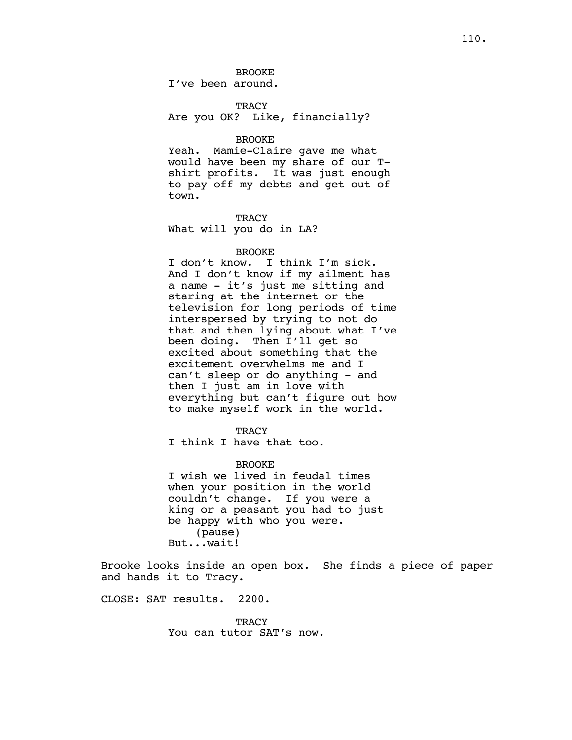BROOKE I've been around.

TRACY Are you OK? Like, financially?

# BROOKE

Yeah. Mamie-Claire gave me what would have been my share of our Tshirt profits. It was just enough to pay off my debts and get out of town.

**TRACY** What will you do in LA?

# BROOKE

I don't know. I think I'm sick. And I don't know if my ailment has a name - it's just me sitting and staring at the internet or the television for long periods of time interspersed by trying to not do that and then lying about what I've been doing. Then I'll get so excited about something that the excitement overwhelms me and I can't sleep or do anything - and then I just am in love with everything but can't figure out how to make myself work in the world.

### **TRACY**

I think I have that too.

#### BROOKE

I wish we lived in feudal times when your position in the world couldn't change. If you were a king or a peasant you had to just be happy with who you were. (pause) But...wait!

Brooke looks inside an open box. She finds a piece of paper and hands it to Tracy.

CLOSE: SAT results. 2200.

**TRACY** You can tutor SAT's now.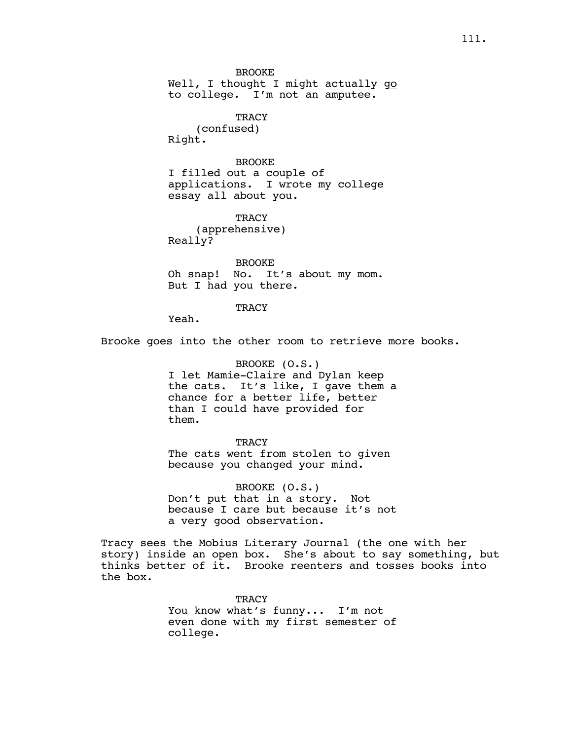BROOKE Well, I thought I might actually go to college. I'm not an amputee.

> **TRACY** (confused)

Right.

BROOKE I filled out a couple of applications. I wrote my college essay all about you.

**TRACY** (apprehensive) Really?

BROOKE Oh snap! No. It's about my mom. But I had you there.

# **TRACY**

Yeah.

Brooke goes into the other room to retrieve more books.

BROOKE (O.S.) I let Mamie-Claire and Dylan keep the cats. It's like, I gave them a chance for a better life, better than I could have provided for them.

**TRACY** The cats went from stolen to given because you changed your mind.

BROOKE (O.S.) Don't put that in a story. Not because I care but because it's not a very good observation.

Tracy sees the Mobius Literary Journal (the one with her story) inside an open box. She's about to say something, but thinks better of it. Brooke reenters and tosses books into the box.

> TRACY You know what's funny... I'm not even done with my first semester of college.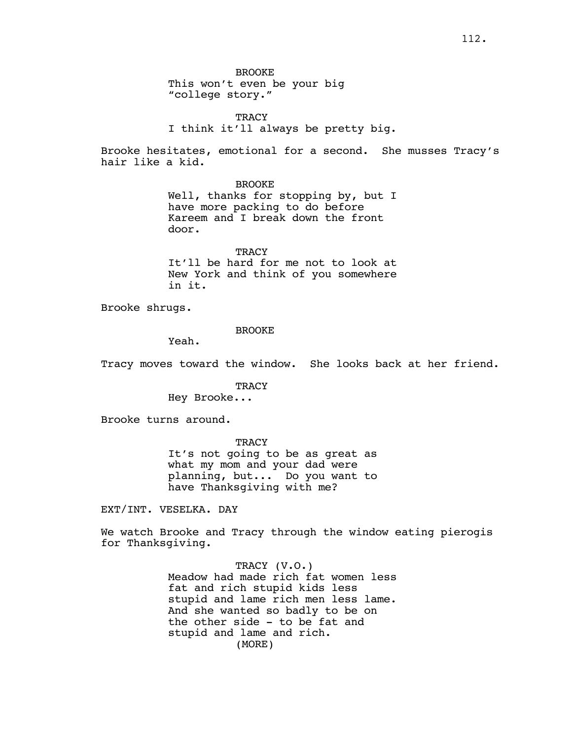BROOKE This won't even be your big "college story."

**TRACY** I think it'll always be pretty big.

Brooke hesitates, emotional for a second. She musses Tracy's hair like a kid.

BROOKE

Well, thanks for stopping by, but I have more packing to do before Kareem and I break down the front door.

**TRACY** It'll be hard for me not to look at New York and think of you somewhere in it.

Brooke shrugs.

# BROOKE

Yeah.

Tracy moves toward the window. She looks back at her friend.

**TRACY** 

Hey Brooke...

Brooke turns around.

**TRACY** It's not going to be as great as what my mom and your dad were planning, but... Do you want to have Thanksgiving with me?

EXT/INT. VESELKA. DAY

We watch Brooke and Tracy through the window eating pierogis for Thanksgiving.

> TRACY (V.O.) Meadow had made rich fat women less fat and rich stupid kids less stupid and lame rich men less lame. And she wanted so badly to be on the other side - to be fat and stupid and lame and rich. (MORE)